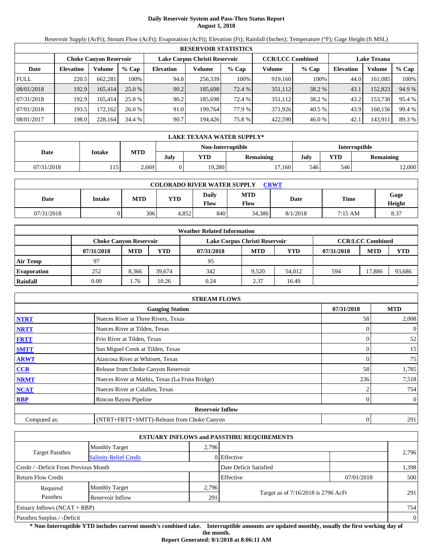# **Daily Reservoir System and Pass-Thru Status Report August 1, 2018**

Reservoir Supply (AcFt); Stream Flow (AcFt); Evaporation (AcFt); Elevation (Ft); Rainfall (Inches); Temperature (°F); Gage Height (ft MSL)

|             | <b>RESERVOIR STATISTICS</b>                                                                                     |         |         |                  |         |         |         |         |                  |         |        |  |
|-------------|-----------------------------------------------------------------------------------------------------------------|---------|---------|------------------|---------|---------|---------|---------|------------------|---------|--------|--|
|             | Lake Corpus Christi Reservoir<br><b>CCR/LCC Combined</b><br><b>Lake Texana</b><br><b>Choke Canyon Reservoir</b> |         |         |                  |         |         |         |         |                  |         |        |  |
| Date        | <b>Elevation</b>                                                                                                | Volume  | $%$ Cap | <b>Elevation</b> | Volume  | $%$ Cap | Volume  | $%$ Cap | <b>Elevation</b> | Volume  | % Cap  |  |
| <b>FULL</b> | 220.5                                                                                                           | 662.281 | 100%    | 94.0             | 256,339 | 100%    | 919,160 | 100%    | 44.0             | 161.085 | 100%   |  |
| 08/01/2018  | 192.9                                                                                                           | 165,414 | 25.0 %  | 90.2             | 185,698 | 72.4 %  | 351,112 | 38.2 %  | 43.1             | 152,823 | 94.9 % |  |
| 07/31/2018  | 192.9                                                                                                           | 165.414 | 25.0 %  | 90.2             | 185.698 | 72.4 %  | 351,112 | 38.2 %  | 43.2             | 153.730 | 95.4 % |  |
| 07/01/2018  | 193.5                                                                                                           | 172.162 | 26.0%   | 91.0             | 199.764 | 77.9 %  | 371.926 | 40.5 %  | 43.9             | 160.156 | 99.4 % |  |
| 08/01/2017  | 198.0                                                                                                           | 228,164 | 34.4 %  | 90.7             | 194.426 | 75.8 %  | 422,590 | 46.0%   | 42.1             | 143,911 | 89.3 % |  |

|            | LAKE TEXANA WATER SUPPLY*                 |       |      |        |                  |      |     |                  |  |  |
|------------|-------------------------------------------|-------|------|--------|------------------|------|-----|------------------|--|--|
|            | <b>Interruptible</b><br>Non-Interruptible |       |      |        |                  |      |     |                  |  |  |
| Date       | Intake                                    | MTD   | July | YTD    | <b>Remaining</b> | July | YTD | <b>Remaining</b> |  |  |
| 07/31/2018 | 15.                                       | 2,669 |      | 19.280 | 17.160           | 5461 | 546 | 12,000           |  |  |

| <b>COLORADO RIVER WATER SUPPLY</b><br><b>CRWT</b> |        |            |       |               |                    |          |             |                |  |  |
|---------------------------------------------------|--------|------------|-------|---------------|--------------------|----------|-------------|----------------|--|--|
| Date                                              | Intake | <b>MTD</b> | YTD   | Daily<br>Flow | <b>MTD</b><br>Flow | Date     | <b>Time</b> | Gage<br>Height |  |  |
| 07/31/2018                                        |        | 306        | 4.852 | 840           | 34,386             | 8/1/2018 | 7:15 AM     | 8.37           |  |  |

| <b>Weather Related Information</b> |                               |            |        |                               |            |            |            |                         |        |  |
|------------------------------------|-------------------------------|------------|--------|-------------------------------|------------|------------|------------|-------------------------|--------|--|
|                                    | <b>Choke Canvon Reservoir</b> |            |        | Lake Corpus Christi Reservoir |            |            |            | <b>CCR/LCC Combined</b> |        |  |
|                                    | 07/31/2018                    | <b>MTD</b> | YTD    | 07/31/2018                    | <b>MTD</b> | <b>YTD</b> | 07/31/2018 | <b>MTD</b>              | YTD    |  |
| <b>Air Temp</b>                    | 97                            |            |        | 95                            |            |            |            |                         |        |  |
| <b>Evaporation</b>                 | 252                           | 8,366      | 39.674 | 342                           | 9.520      | 54.012     | 594        | 17.886                  | 93,686 |  |
| Rainfall                           | 0.00                          | 1.76       | 10.26  | 0.24                          | 2.37       | 16.49      |            |                         |        |  |

|              | <b>STREAM FLOWS</b>                             |                |                |
|--------------|-------------------------------------------------|----------------|----------------|
|              | <b>Gauging Station</b>                          | 07/31/2018     | <b>MTD</b>     |
| <b>NTRT</b>  | Nueces River at Three Rivers, Texas             | 58             | 2,008          |
| <b>NRTT</b>  | Nueces River at Tilden, Texas                   |                | $\overline{0}$ |
| <b>FRTT</b>  | Frio River at Tilden, Texas                     | 0              | 52             |
| <b>SMTT</b>  | San Miguel Creek at Tilden, Texas               | 0              | 15             |
| <b>ARWT</b>  | Atascosa River at Whitsett, Texas               |                | 75             |
| <b>CCR</b>   | Release from Choke Canyon Reservoir             | 58             | 1,785          |
| <b>NRMT</b>  | Nueces River at Mathis, Texas (La Fruta Bridge) | 236            | 7,518          |
| <b>NCAT</b>  | Nueces River at Calallen, Texas                 |                | 754            |
| <b>RBP</b>   | Rincon Bayou Pipeline                           | 0              | $\overline{0}$ |
|              | <b>Reservoir Inflow</b>                         |                |                |
| Computed as: | (NTRT+FRTT+SMTT)-Release from Choke Canyon      | $\overline{0}$ | 291            |

|                                                  |                       |       | <b>ESTUARY INFLOWS and PASSTHRU REQUIREMENTS</b> |            |                |  |
|--------------------------------------------------|-----------------------|-------|--------------------------------------------------|------------|----------------|--|
|                                                  | <b>Monthly Target</b> | 2.796 |                                                  |            |                |  |
| Target Passthru<br><b>Salinity Relief Credit</b> |                       |       | 0 Effective                                      |            | 2,796          |  |
| Credit / -Deficit From Previous Month            |                       |       | Date Deficit Satisfied                           |            | 1,398          |  |
| <b>Return Flow Credit</b>                        |                       |       | Effective                                        | 07/01/2018 | 500            |  |
| Required                                         | <b>Monthly Target</b> | 2,796 |                                                  |            |                |  |
| Passthru                                         | Reservoir Inflow      | 291   | Target as of 7/16/2018 is 2796 AcFt              |            | 291            |  |
| Estuary Inflows $(NCAT + RBP)$                   |                       |       |                                                  |            | 754            |  |
| Passthru Surplus / -Deficit                      |                       |       |                                                  |            | $\overline{0}$ |  |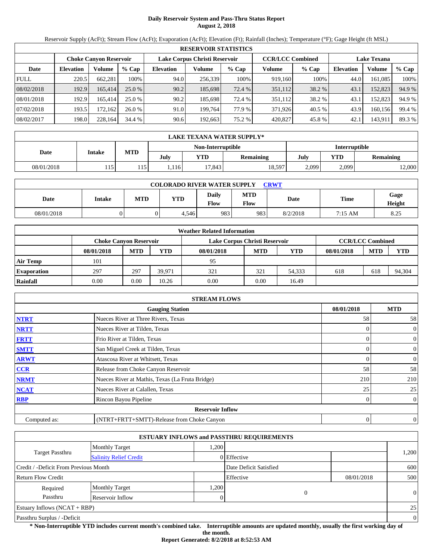# **Daily Reservoir System and Pass-Thru Status Report August 2, 2018**

Reservoir Supply (AcFt); Stream Flow (AcFt); Evaporation (AcFt); Elevation (Ft); Rainfall (Inches); Temperature (°F); Gage Height (ft MSL)

|             | <b>RESERVOIR STATISTICS</b>                                                               |         |          |                  |         |         |         |         |                    |         |        |  |
|-------------|-------------------------------------------------------------------------------------------|---------|----------|------------------|---------|---------|---------|---------|--------------------|---------|--------|--|
|             | <b>CCR/LCC Combined</b><br>Lake Corpus Christi Reservoir<br><b>Choke Canyon Reservoir</b> |         |          |                  |         |         |         |         | <b>Lake Texana</b> |         |        |  |
| Date        | <b>Elevation</b>                                                                          | Volume  | $%$ Cap  | <b>Elevation</b> | Volume  | $%$ Cap | Volume  | $%$ Cap | <b>Elevation</b>   | Volume  | % Cap  |  |
| <b>FULL</b> | 220.5                                                                                     | 662.281 | 100%     | 94.0             | 256,339 | 100%    | 919,160 | 100%    | 44.0               | 161.085 | 100%   |  |
| 08/02/2018  | 192.9                                                                                     | 165.414 | $25.0\%$ | 90.2             | 185.698 | 72.4 %  | 351,112 | 38.2 %  | 43.1               | 152,823 | 94.9 % |  |
| 08/01/2018  | 192.9                                                                                     | 165.414 | 25.0 %   | 90.2             | 185.698 | 72.4 %  | 351,112 | 38.2 %  | 43.1               | 152.823 | 94.9 % |  |
| 07/02/2018  | 193.5                                                                                     | 172.162 | 26.0%    | 91.0             | 199.764 | 77.9 %  | 371.926 | 40.5 %  | 43.9               | 160.156 | 99.4 % |  |
| 08/02/2017  | 198.0                                                                                     | 228,164 | 34.4 %   | 90.6             | 192,663 | 75.2 %  | 420,827 | 45.8%   | 42.1               | 143,911 | 89.3 % |  |

|            | LAKE TEXANA WATER SUPPLY* |            |      |                   |           |               |       |           |  |  |
|------------|---------------------------|------------|------|-------------------|-----------|---------------|-------|-----------|--|--|
|            |                           |            |      | Non-Interruptible |           | Interruptible |       |           |  |  |
| Date       | Intake                    | <b>MTD</b> | Julv | <b>YTD</b>        | Remaining | July          | YTD   | Remaining |  |  |
| 08/01/2018 | 115                       | 115        | .116 | 17,843            | 18,597    | 2,099         | 2,099 | 12,000    |  |  |

| <b>COLORADO RIVER WATER SUPPLY</b><br><b>CRWT</b> |               |            |       |               |                           |          |                   |                |  |  |
|---------------------------------------------------|---------------|------------|-------|---------------|---------------------------|----------|-------------------|----------------|--|--|
| Date                                              | <b>Intake</b> | <b>MTD</b> | YTD   | Daily<br>Flow | <b>MTD</b><br><b>Flow</b> | Date     | Time              | Gage<br>Height |  |  |
| 08/01/2018                                        |               |            | 4,546 | 983           | 983                       | 8/2/2018 | $7:15 \text{ AM}$ | 8.25           |  |  |

|                    | <b>Weather Related Information</b> |                                                                                           |            |            |            |        |            |            |            |  |  |
|--------------------|------------------------------------|-------------------------------------------------------------------------------------------|------------|------------|------------|--------|------------|------------|------------|--|--|
|                    |                                    | <b>CCR/LCC Combined</b><br>Lake Corpus Christi Reservoir<br><b>Choke Canvon Reservoir</b> |            |            |            |        |            |            |            |  |  |
|                    | 08/01/2018                         | <b>MTD</b>                                                                                | <b>YTD</b> | 08/01/2018 | <b>MTD</b> | YTD    | 08/01/2018 | <b>MTD</b> | <b>YTD</b> |  |  |
| Air Temp           | 101                                |                                                                                           |            | 95         |            |        |            |            |            |  |  |
| <b>Evaporation</b> | 297                                | 297                                                                                       | 39.971     | 321        | 321        | 54,333 | 618        | 618        | 94,304     |  |  |
| Rainfall           | 0.00                               | 0.00                                                                                      | 10.26      | 0.00       | 0.00       | 16.49  |            |            |            |  |  |

|              | <b>STREAM FLOWS</b>                             |            |                |
|--------------|-------------------------------------------------|------------|----------------|
|              | <b>Gauging Station</b>                          | 08/01/2018 | <b>MTD</b>     |
| <b>NTRT</b>  | Nueces River at Three Rivers, Texas             | 58         | 58             |
| <b>NRTT</b>  | Nueces River at Tilden, Texas                   |            | $\overline{0}$ |
| <b>FRTT</b>  | Frio River at Tilden, Texas                     | 0          | $\overline{0}$ |
| <b>SMTT</b>  | San Miguel Creek at Tilden, Texas               | 0          | $\mathbf{0}$   |
| <b>ARWT</b>  | Atascosa River at Whitsett, Texas               |            | $\mathbf{0}$   |
| <b>CCR</b>   | Release from Choke Canyon Reservoir             | 58         | 58             |
| <b>NRMT</b>  | Nueces River at Mathis, Texas (La Fruta Bridge) | 210        | 210            |
| <b>NCAT</b>  | Nueces River at Calallen, Texas                 | 25         | 25             |
| <b>RBP</b>   | Rincon Bayou Pipeline                           | 0          | $\overline{0}$ |
|              | <b>Reservoir Inflow</b>                         |            |                |
| Computed as: | (NTRT+FRTT+SMTT)-Release from Choke Canyon      | 0          | $\overline{0}$ |

|                                                  |                       |      | <b>ESTUARY INFLOWS and PASSTHRU REQUIREMENTS</b> |            |          |  |
|--------------------------------------------------|-----------------------|------|--------------------------------------------------|------------|----------|--|
|                                                  | <b>Monthly Target</b> | ,200 |                                                  |            |          |  |
| Target Passthru<br><b>Salinity Relief Credit</b> |                       |      | 0 Effective                                      |            | 1,200    |  |
| Credit / -Deficit From Previous Month            |                       |      | Date Deficit Satisfied                           |            | 600      |  |
| <b>Return Flow Credit</b>                        |                       |      | Effective                                        | 08/01/2018 | 500      |  |
| Required                                         | <b>Monthly Target</b> | ,200 |                                                  |            |          |  |
| Passthru                                         | Reservoir Inflow      |      | 0                                                |            | $\theta$ |  |
| Estuary Inflows $(NCAT + RBP)$                   |                       |      |                                                  |            | 25       |  |
| Passthru Surplus / -Deficit                      |                       |      |                                                  |            | $\theta$ |  |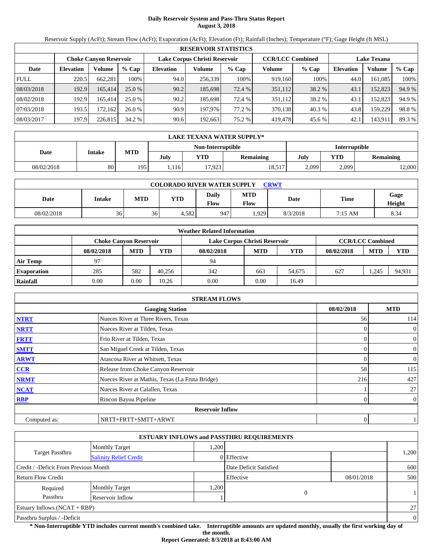# **Daily Reservoir System and Pass-Thru Status Report August 3, 2018**

Reservoir Supply (AcFt); Stream Flow (AcFt); Evaporation (AcFt); Elevation (Ft); Rainfall (Inches); Temperature (°F); Gage Height (ft MSL)

|             | <b>RESERVOIR STATISTICS</b> |                               |         |                  |                               |         |                         |         |                  |                    |        |  |
|-------------|-----------------------------|-------------------------------|---------|------------------|-------------------------------|---------|-------------------------|---------|------------------|--------------------|--------|--|
|             |                             | <b>Choke Canyon Reservoir</b> |         |                  | Lake Corpus Christi Reservoir |         | <b>CCR/LCC Combined</b> |         |                  | <b>Lake Texana</b> |        |  |
| Date        | <b>Elevation</b>            | Volume                        | $%$ Cap | <b>Elevation</b> | Volume                        | $%$ Cap | Volume                  | $%$ Cap | <b>Elevation</b> | Volume             | % Cap  |  |
| <b>FULL</b> | 220.5                       | 662,281                       | 100%    | 94.0             | 256,339                       | 100%    | 919,160                 | 100%    | 44.0             | 161.085            | 100%   |  |
| 08/03/2018  | 192.9                       | 165.414                       | 25.0 %  | 90.2             | 185.698                       | 72.4 %  | 351,112                 | 38.2 %  | 43.1             | 152,823            | 94.9 % |  |
| 08/02/2018  | 192.9                       | 165.414                       | 25.0 %  | 90.2             | 185.698                       | 72.4 %  | 351,112                 | 38.2 %  | 43.1             | 152,823            | 94.9 % |  |
| 07/03/2018  | 193.5                       | 172,162                       | 26.0%   | 90.9             | 197,976                       | 77.2 %  | 370,138                 | 40.3 %  | 43.8             | 159.229            | 98.8%  |  |
| 08/03/2017  | 197.9                       | 226,815                       | 34.2 %  | 90.6             | 192,663                       | 75.2 %  | 419,478                 | 45.6 %  | 42.1             | 143,911            | 89.3 % |  |

|            | LAKE TEXANA WATER SUPPLY* |      |      |                   |                  |               |       |           |  |  |  |
|------------|---------------------------|------|------|-------------------|------------------|---------------|-------|-----------|--|--|--|
|            |                           |      |      | Non-Interruptible |                  | Interruptible |       |           |  |  |  |
| Date       | Intake                    | MTD  | July | <b>YTD</b>        | <b>Remaining</b> | July          | YTD   | Remaining |  |  |  |
| 08/02/2018 | 80                        | 1951 | .116 | 17,923            | 18,517           | 2,099         | 2,099 | 2,000     |  |  |  |

| <b>COLORADO RIVER WATER SUPPLY</b><br><b>CRWT</b> |        |     |       |                      |                    |          |         |                |  |  |
|---------------------------------------------------|--------|-----|-------|----------------------|--------------------|----------|---------|----------------|--|--|
| Date                                              | Intake | MTD | YTD   | <b>Daily</b><br>Flow | MTD<br><b>Flow</b> | Date     | Time    | Gage<br>Height |  |  |
| 08/02/2018                                        | 36     | 36  | 4,582 | 947                  | .929               | 8/3/2018 | 7:15 AM | 8.34           |  |  |

|                    |                               |            |            | <b>Weather Related Information</b> |            |        |            |                         |            |
|--------------------|-------------------------------|------------|------------|------------------------------------|------------|--------|------------|-------------------------|------------|
|                    | <b>Choke Canvon Reservoir</b> |            |            | Lake Corpus Christi Reservoir      |            |        |            | <b>CCR/LCC Combined</b> |            |
|                    | 08/02/2018                    | <b>MTD</b> | <b>YTD</b> | 08/02/2018                         | <b>MTD</b> | YTD    | 08/02/2018 | <b>MTD</b>              | <b>YTD</b> |
| <b>Air Temp</b>    | 97                            |            |            | 94                                 |            |        |            |                         |            |
| <b>Evaporation</b> | 285                           | 582        | 40.256     | 342                                | 663        | 54.675 | 627        | .245                    | 94,931     |
| Rainfall           | 0.00                          | $0.00\,$   | 10.26      | 0.00                               | 0.00       | 16.49  |            |                         |            |

|              | <b>STREAM FLOWS</b>                             |            |                |
|--------------|-------------------------------------------------|------------|----------------|
|              | <b>Gauging Station</b>                          | 08/02/2018 | <b>MTD</b>     |
| <b>NTRT</b>  | Nueces River at Three Rivers, Texas             | 56         | 114            |
| <b>NRTT</b>  | Nueces River at Tilden, Texas                   | $\Omega$   | $\mathbf{0}$   |
| <b>FRTT</b>  | Frio River at Tilden, Texas                     | 0          | $\overline{0}$ |
| <b>SMTT</b>  | San Miguel Creek at Tilden, Texas               | $\Omega$   | $\mathbf{0}$   |
| <b>ARWT</b>  | Atascosa River at Whitsett, Texas               | 0          | $\mathbf{0}$   |
| <b>CCR</b>   | Release from Choke Canyon Reservoir             | 58         | 115            |
| <b>NRMT</b>  | Nueces River at Mathis, Texas (La Fruta Bridge) | 216        | 427            |
| <b>NCAT</b>  | Nueces River at Calallen, Texas                 |            | 27             |
| <b>RBP</b>   | Rincon Bayou Pipeline                           | 0          | $\overline{0}$ |
|              | <b>Reservoir Inflow</b>                         |            |                |
| Computed as: | NRTT+FRTT+SMTT+ARWT                             | 0          |                |

|                                       |                               |       | <b>ESTUARY INFLOWS and PASSTHRU REQUIREMENTS</b> |            |                |
|---------------------------------------|-------------------------------|-------|--------------------------------------------------|------------|----------------|
|                                       | <b>Monthly Target</b>         | .200  |                                                  |            |                |
| Target Passthru                       | <b>Salinity Relief Credit</b> |       | 0 Effective                                      |            | 1,200          |
| Credit / -Deficit From Previous Month |                               |       | Date Deficit Satisfied                           |            | 600            |
| <b>Return Flow Credit</b>             |                               |       | Effective                                        | 08/01/2018 | 500            |
| Required                              | <b>Monthly Target</b>         | 1,200 |                                                  |            |                |
| Passthru                              | Reservoir Inflow              |       | $\overline{0}$                                   |            |                |
| Estuary Inflows $(NCAT + RBP)$        |                               |       |                                                  |            | 27             |
| Passthru Surplus / -Deficit           |                               |       |                                                  |            | $\overline{0}$ |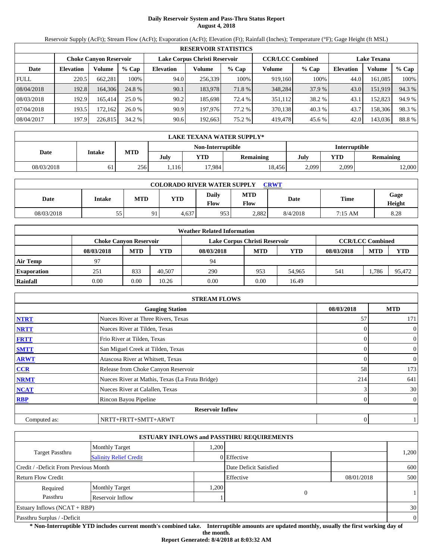# **Daily Reservoir System and Pass-Thru Status Report August 4, 2018**

Reservoir Supply (AcFt); Stream Flow (AcFt); Evaporation (AcFt); Elevation (Ft); Rainfall (Inches); Temperature (°F); Gage Height (ft MSL)

|             | <b>RESERVOIR STATISTICS</b>                                                                                     |         |         |                  |         |         |         |         |                  |         |        |  |
|-------------|-----------------------------------------------------------------------------------------------------------------|---------|---------|------------------|---------|---------|---------|---------|------------------|---------|--------|--|
|             | Lake Corpus Christi Reservoir<br><b>CCR/LCC Combined</b><br><b>Lake Texana</b><br><b>Choke Canvon Reservoir</b> |         |         |                  |         |         |         |         |                  |         |        |  |
| Date        | <b>Elevation</b>                                                                                                | Volume  | $%$ Cap | <b>Elevation</b> | Volume  | $%$ Cap | Volume  | $%$ Cap | <b>Elevation</b> | Volume  | % Cap  |  |
| <b>FULL</b> | 220.5                                                                                                           | 662,281 | 100%    | 94.0             | 256,339 | 100%    | 919,160 | 100%    | 44.0             | 161,085 | 100%   |  |
| 08/04/2018  | 192.8                                                                                                           | 164,306 | 24.8 %  | 90.1             | 183,978 | 71.8 %  | 348,284 | 37.9 %  | 43.0             | 151,919 | 94.3 % |  |
| 08/03/2018  | 192.9                                                                                                           | 165.414 | 25.0%   | 90.2             | 185.698 | 72.4 %  | 351,112 | 38.2 %  | 43.1             | 152,823 | 94.9 % |  |
| 07/04/2018  | 193.5                                                                                                           | 172.162 | 26.0%   | 90.9             | 197,976 | 77.2 %  | 370,138 | 40.3 %  | 43.7             | 158,306 | 98.3 % |  |
| 08/04/2017  | 197.9                                                                                                           | 226,815 | 34.2 %  | 90.6             | 192,663 | 75.2 %  | 419,478 | 45.6 %  | 42.0             | 143,036 | 88.8%  |  |

|            | <b>LAKE TEXANA WATER SUPPLY*</b> |            |      |                   |                  |       |               |                  |  |  |  |
|------------|----------------------------------|------------|------|-------------------|------------------|-------|---------------|------------------|--|--|--|
|            |                                  |            |      | Non-Interruptible |                  |       | Interruptible |                  |  |  |  |
| Date       | Intake                           | <b>MTD</b> | July | YTD               | <b>Remaining</b> | July  | YTD           | <b>Remaining</b> |  |  |  |
| 08/03/2018 | 61                               | 256        | ,116 | 17.984            | 18.456           | 2,099 | 2,099         | 12,000           |  |  |  |

| <b>COLORADO RIVER WATER SUPPLY</b><br><b>CRWT</b> |        |     |       |                      |                    |          |         |                |  |  |
|---------------------------------------------------|--------|-----|-------|----------------------|--------------------|----------|---------|----------------|--|--|
| Date                                              | Intake | MTD | YTD   | <b>Daily</b><br>Flow | MTD<br><b>Flow</b> | Date     | Time    | Gage<br>Height |  |  |
| 08/03/2018                                        | 55     | 91  | 4,637 | 953                  | 2,882              | 8/4/2018 | 7:15 AM | 8.28           |  |  |

|                    | <b>Weather Related Information</b> |            |            |                               |            |        |            |                         |            |  |  |  |
|--------------------|------------------------------------|------------|------------|-------------------------------|------------|--------|------------|-------------------------|------------|--|--|--|
|                    | <b>Choke Canyon Reservoir</b>      |            |            | Lake Corpus Christi Reservoir |            |        |            | <b>CCR/LCC Combined</b> |            |  |  |  |
|                    | 08/03/2018                         | <b>MTD</b> | <b>YTD</b> | 08/03/2018                    | <b>MTD</b> | YTD    | 08/03/2018 | <b>MTD</b>              | <b>YTD</b> |  |  |  |
| Air Temp           | 97                                 |            |            | 94                            |            |        |            |                         |            |  |  |  |
| <b>Evaporation</b> | 251                                | 833        | 40.507     | 290                           | 953        | 54.965 | 541        | .786                    | 95,472     |  |  |  |
| Rainfall           | 0.00                               | 0.00       | 10.26      | 0.00                          | 0.00       | 16.49  |            |                         |            |  |  |  |

|              | <b>STREAM FLOWS</b>                             |            |                |
|--------------|-------------------------------------------------|------------|----------------|
|              | <b>Gauging Station</b>                          | 08/03/2018 | <b>MTD</b>     |
| <b>NTRT</b>  | Nueces River at Three Rivers, Texas             | 57         | 171            |
| <b>NRTT</b>  | Nueces River at Tilden, Texas                   | $\Omega$   | $\overline{0}$ |
| <b>FRTT</b>  | Frio River at Tilden, Texas                     | $\Omega$   | $\mathbf{0}$   |
| <b>SMTT</b>  | San Miguel Creek at Tilden, Texas               | 0          | $\overline{0}$ |
| <b>ARWT</b>  | Atascosa River at Whitsett, Texas               | 0          | $\theta$       |
| <b>CCR</b>   | Release from Choke Canyon Reservoir             | 58         | 173            |
| <b>NRMT</b>  | Nueces River at Mathis, Texas (La Fruta Bridge) | 214        | 641            |
| <b>NCAT</b>  | Nueces River at Calallen, Texas                 |            | 30             |
| <b>RBP</b>   | Rincon Bayou Pipeline                           | 0          | $\overline{0}$ |
|              | <b>Reservoir Inflow</b>                         |            |                |
| Computed as: | NRTT+FRTT+SMTT+ARWT                             | 0          |                |

|                                       |                               |       | <b>ESTUARY INFLOWS and PASSTHRU REQUIREMENTS</b> |            |                |
|---------------------------------------|-------------------------------|-------|--------------------------------------------------|------------|----------------|
|                                       | <b>Monthly Target</b>         | .200  |                                                  |            |                |
| Target Passthru                       | <b>Salinity Relief Credit</b> |       | 0 Effective                                      |            | 1,200          |
| Credit / -Deficit From Previous Month |                               |       | Date Deficit Satisfied                           |            | 600            |
| <b>Return Flow Credit</b>             |                               |       | Effective                                        | 08/01/2018 | 500            |
| Required                              | <b>Monthly Target</b>         | 1,200 |                                                  |            |                |
| Passthru                              | Reservoir Inflow              |       | $\overline{0}$                                   |            |                |
| Estuary Inflows $(NCAT + RBP)$        |                               |       |                                                  |            | 30             |
| Passthru Surplus / -Deficit           |                               |       |                                                  |            | $\overline{0}$ |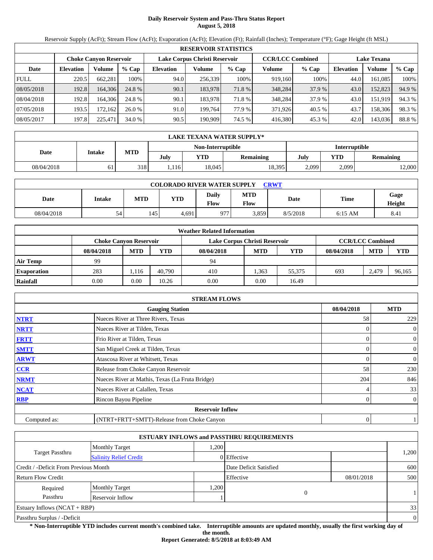## **Daily Reservoir System and Pass-Thru Status Report August 5, 2018**

Reservoir Supply (AcFt); Stream Flow (AcFt); Evaporation (AcFt); Elevation (Ft); Rainfall (Inches); Temperature (°F); Gage Height (ft MSL)

|             | <b>RESERVOIR STATISTICS</b>                                                                                     |         |         |                  |         |         |         |         |                  |         |        |  |
|-------------|-----------------------------------------------------------------------------------------------------------------|---------|---------|------------------|---------|---------|---------|---------|------------------|---------|--------|--|
|             | <b>CCR/LCC Combined</b><br>Lake Corpus Christi Reservoir<br><b>Lake Texana</b><br><b>Choke Canyon Reservoir</b> |         |         |                  |         |         |         |         |                  |         |        |  |
| Date        | <b>Elevation</b>                                                                                                | Volume  | $%$ Cap | <b>Elevation</b> | Volume  | $%$ Cap | Volume  | $%$ Cap | <b>Elevation</b> | Volume  | % Cap  |  |
| <b>FULL</b> | 220.5                                                                                                           | 662.281 | 100%    | 94.0             | 256,339 | 100%    | 919,160 | 100%    | 44.0             | 161.085 | 100%   |  |
| 08/05/2018  | 192.8                                                                                                           | 164,306 | 24.8 %  | 90.1             | 183,978 | 71.8 %  | 348,284 | 37.9 %  | 43.0             | 152,823 | 94.9 % |  |
| 08/04/2018  | 192.8                                                                                                           | 164.306 | 24.8 %  | 90.1             | 183,978 | 71.8 %  | 348,284 | 37.9 %  | 43.0             | 151.919 | 94.3 % |  |
| 07/05/2018  | 193.5                                                                                                           | 172.162 | 26.0%   | 91.0             | 199.764 | 77.9 %  | 371.926 | 40.5 %  | 43.7             | 158,306 | 98.3%  |  |
| 08/05/2017  | 197.8                                                                                                           | 225.471 | 34.0 %  | 90.5             | 190,909 | 74.5 %  | 416,380 | 45.3 %  | 42.0             | 143,036 | 88.8%  |  |

|            | LAKE TEXANA WATER SUPPLY* |            |      |                   |           |               |       |           |  |  |
|------------|---------------------------|------------|------|-------------------|-----------|---------------|-------|-----------|--|--|
|            |                           |            |      | Non-Interruptible |           | Interruptible |       |           |  |  |
| Date       | Intake                    | <b>MTD</b> | Julv | <b>YTD</b>        | Remaining | July          | YTD   | Remaining |  |  |
| 08/04/2018 | 61                        | 318        | .116 | 18,045            | 18.395    | 2,099         | 2,099 | 2,000     |  |  |

| <b>COLORADO RIVER WATER SUPPLY</b><br><b>CRWT</b> |               |     |       |                      |                    |          |             |                |  |  |
|---------------------------------------------------|---------------|-----|-------|----------------------|--------------------|----------|-------------|----------------|--|--|
| Date                                              | <b>Intake</b> | MTD | YTD   | <b>Daily</b><br>Flow | MTD<br><b>Flow</b> | Date     | <b>Time</b> | Gage<br>Height |  |  |
| 08/04/2018                                        | 54            | 145 | 4,691 | 977                  | 3.859              | 8/5/2018 | $6:15$ AM   | 8.41           |  |  |

|                    |                               |            |            | <b>Weather Related Information</b> |            |        |            |                         |            |
|--------------------|-------------------------------|------------|------------|------------------------------------|------------|--------|------------|-------------------------|------------|
|                    | <b>Choke Canvon Reservoir</b> |            |            | Lake Corpus Christi Reservoir      |            |        |            | <b>CCR/LCC Combined</b> |            |
|                    | 08/04/2018                    | <b>MTD</b> | <b>YTD</b> | 08/04/2018                         | <b>MTD</b> | YTD    | 08/04/2018 | <b>MTD</b>              | <b>YTD</b> |
| <b>Air Temp</b>    | 99                            |            |            | 94                                 |            |        |            |                         |            |
| <b>Evaporation</b> | 283                           | .116       | 40.790     | 410                                | .363       | 55.375 | 693        | 2.479                   | 96,165     |
| Rainfall           | 0.00                          | $0.00\,$   | 10.26      | 0.00                               | 0.00       | 16.49  |            |                         |            |

|              | <b>STREAM FLOWS</b>                             |            |                |
|--------------|-------------------------------------------------|------------|----------------|
|              | <b>Gauging Station</b>                          | 08/04/2018 | <b>MTD</b>     |
| <b>NTRT</b>  | Nueces River at Three Rivers, Texas             | 58         | 229            |
| <b>NRTT</b>  | Nueces River at Tilden, Texas                   |            | $\overline{0}$ |
| <b>FRTT</b>  | Frio River at Tilden, Texas                     |            | $\overline{0}$ |
| <b>SMTT</b>  | San Miguel Creek at Tilden, Texas               | 0          | $\overline{0}$ |
| <b>ARWT</b>  | Atascosa River at Whitsett, Texas               | 0          | $\overline{0}$ |
| CCR          | Release from Choke Canyon Reservoir             | 58         | 230            |
| <b>NRMT</b>  | Nueces River at Mathis, Texas (La Fruta Bridge) | 204        | 846            |
| <b>NCAT</b>  | Nueces River at Calallen, Texas                 |            | 33             |
| <b>RBP</b>   | Rincon Bayou Pipeline                           | 0          | $\overline{0}$ |
|              | <b>Reservoir Inflow</b>                         |            |                |
| Computed as: | (NTRT+FRTT+SMTT)-Release from Choke Canyon      | 0          |                |

|                                       |                               |       | <b>ESTUARY INFLOWS and PASSTHRU REQUIREMENTS</b> |            |          |
|---------------------------------------|-------------------------------|-------|--------------------------------------------------|------------|----------|
|                                       | <b>Monthly Target</b>         | 1.200 |                                                  |            |          |
| Target Passthru                       | <b>Salinity Relief Credit</b> |       | 0 Effective                                      |            | 1,200    |
| Credit / -Deficit From Previous Month |                               |       | Date Deficit Satisfied                           |            | 600      |
| Return Flow Credit                    |                               |       | Effective                                        | 08/01/2018 | 500      |
| Required                              | <b>Monthly Target</b>         | 1,200 |                                                  |            |          |
| Passthru                              | Reservoir Inflow              |       | 0                                                |            |          |
| Estuary Inflows $(NCAT + RBP)$        |                               |       |                                                  |            | 33       |
| Passthru Surplus / -Deficit           |                               |       |                                                  |            | $\theta$ |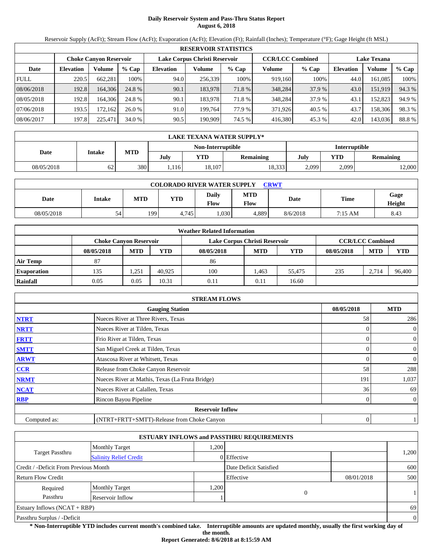## **Daily Reservoir System and Pass-Thru Status Report August 6, 2018**

Reservoir Supply (AcFt); Stream Flow (AcFt); Evaporation (AcFt); Elevation (Ft); Rainfall (Inches); Temperature (°F); Gage Height (ft MSL)

|             | <b>RESERVOIR STATISTICS</b>                                                                                     |         |         |                  |         |         |         |         |                  |         |        |  |
|-------------|-----------------------------------------------------------------------------------------------------------------|---------|---------|------------------|---------|---------|---------|---------|------------------|---------|--------|--|
|             | <b>CCR/LCC Combined</b><br>Lake Corpus Christi Reservoir<br><b>Lake Texana</b><br><b>Choke Canyon Reservoir</b> |         |         |                  |         |         |         |         |                  |         |        |  |
| Date        | <b>Elevation</b>                                                                                                | Volume  | $%$ Cap | <b>Elevation</b> | Volume  | $%$ Cap | Volume  | $%$ Cap | <b>Elevation</b> | Volume  | % Cap  |  |
| <b>FULL</b> | 220.5                                                                                                           | 662.281 | 100%    | 94.0             | 256,339 | 100%    | 919,160 | 100%    | 44.0             | 161.085 | 100%   |  |
| 08/06/2018  | 192.8                                                                                                           | 164,306 | 24.8 %  | 90.1             | 183,978 | 71.8 %  | 348,284 | 37.9 %  | 43.0             | 151,919 | 94.3 % |  |
| 08/05/2018  | 192.8                                                                                                           | 164.306 | 24.8 %  | 90.1             | 183,978 | 71.8 %  | 348,284 | 37.9 %  | 43.1             | 152.823 | 94.9 % |  |
| 07/06/2018  | 193.5                                                                                                           | 172.162 | 26.0%   | 91.0             | 199.764 | 77.9 %  | 371.926 | 40.5 %  | 43.7             | 158,306 | 98.3%  |  |
| 08/06/2017  | 197.8                                                                                                           | 225.471 | 34.0 %  | 90.5             | 190,909 | 74.5 %  | 416,380 | 45.3 %  | 42.0             | 143,036 | 88.8%  |  |

|            | LAKE TEXANA WATER SUPPLY* |            |      |                   |           |       |               |           |  |  |
|------------|---------------------------|------------|------|-------------------|-----------|-------|---------------|-----------|--|--|
|            |                           |            |      | Non-Interruptible |           |       | Interruptible |           |  |  |
| Date       | Intake                    | <b>MTD</b> | July | <b>YTD</b>        | Remaining | July  | YTD           | Remaining |  |  |
| 08/05/2018 | 62                        | 380        | .116 | 18,107            | 18,333    | 2,099 | 2,099         | 2,000     |  |  |

| <b>COLORADO RIVER WATER SUPPLY</b><br>CRWT |        |            |            |               |                           |          |         |                |  |  |
|--------------------------------------------|--------|------------|------------|---------------|---------------------------|----------|---------|----------------|--|--|
| Date                                       | Intake | <b>MTD</b> | <b>YTD</b> | Daily<br>Flow | <b>MTD</b><br><b>Flow</b> | Date     | Time    | Gage<br>Height |  |  |
| 08/05/2018                                 | 54     | 1991       | 4.745      | ,030          | 4.889                     | 8/6/2018 | 7:15 AM | 8.43           |  |  |

|                    |                               |            |            | <b>Weather Related Information</b> |            |        |            |                         |            |
|--------------------|-------------------------------|------------|------------|------------------------------------|------------|--------|------------|-------------------------|------------|
|                    | <b>Choke Canvon Reservoir</b> |            |            | Lake Corpus Christi Reservoir      |            |        |            | <b>CCR/LCC Combined</b> |            |
|                    | 08/05/2018                    | <b>MTD</b> | <b>YTD</b> | 08/05/2018                         | <b>MTD</b> | YTD    | 08/05/2018 | <b>MTD</b>              | <b>YTD</b> |
| Air Temp           | 87                            |            |            | 86                                 |            |        |            |                         |            |
| <b>Evaporation</b> | 135                           | 1,251      | 40.925     | 100                                | .463       | 55.475 | 235        | 2.714                   | 96,400     |
| Rainfall           | 0.05                          | 0.05       | 10.31      | 0.11                               | 0.11       | 16.60  |            |                         |            |

|              | <b>STREAM FLOWS</b>                             |            |                |
|--------------|-------------------------------------------------|------------|----------------|
|              | <b>Gauging Station</b>                          | 08/05/2018 | <b>MTD</b>     |
| <b>NTRT</b>  | Nueces River at Three Rivers, Texas             | 58         | 286            |
| <b>NRTT</b>  | Nueces River at Tilden, Texas                   |            | $\overline{0}$ |
| <b>FRTT</b>  | Frio River at Tilden, Texas                     | 0          | $\overline{0}$ |
| <b>SMTT</b>  | San Miguel Creek at Tilden, Texas               | 0          | $\overline{0}$ |
| <b>ARWT</b>  | Atascosa River at Whitsett, Texas               |            | $\mathbf{0}$   |
| CCR          | Release from Choke Canyon Reservoir             | 58         | 288            |
| <b>NRMT</b>  | Nueces River at Mathis, Texas (La Fruta Bridge) | 191        | 1,037          |
| <b>NCAT</b>  | Nueces River at Calallen, Texas                 | 36         | 69             |
| <b>RBP</b>   | Rincon Bayou Pipeline                           | 0          | $\overline{0}$ |
|              | <b>Reservoir Inflow</b>                         |            |                |
| Computed as: | (NTRT+FRTT+SMTT)-Release from Choke Canyon      | 0          |                |

|                                       |                               |      | <b>ESTUARY INFLOWS and PASSTHRU REQUIREMENTS</b> |            |              |
|---------------------------------------|-------------------------------|------|--------------------------------------------------|------------|--------------|
|                                       | <b>Monthly Target</b>         | ,200 |                                                  |            |              |
| Target Passthru                       | <b>Salinity Relief Credit</b> |      | 0 Effective                                      |            | 1,200        |
| Credit / -Deficit From Previous Month |                               |      | Date Deficit Satisfied                           |            | 600          |
| <b>Return Flow Credit</b>             |                               |      | Effective                                        | 08/01/2018 | 500          |
| Required                              | <b>Monthly Target</b>         | ,200 |                                                  |            |              |
| Passthru                              | Reservoir Inflow              |      | 0                                                |            | $\mathbf{1}$ |
| Estuary Inflows $(NCAT + RBP)$        |                               |      |                                                  |            | 69           |
| Passthru Surplus / -Deficit           |                               |      |                                                  |            | $\theta$     |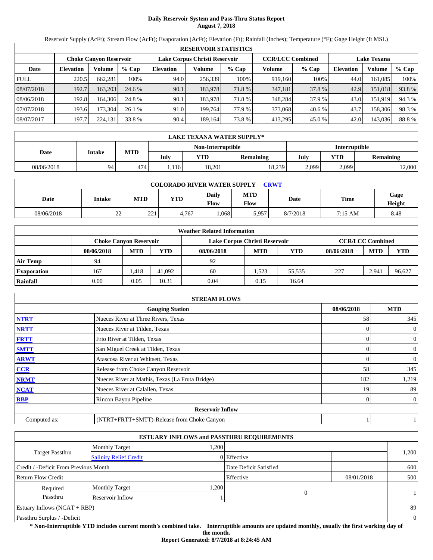# **Daily Reservoir System and Pass-Thru Status Report August 7, 2018**

Reservoir Supply (AcFt); Stream Flow (AcFt); Evaporation (AcFt); Elevation (Ft); Rainfall (Inches); Temperature (°F); Gage Height (ft MSL)

|             | <b>RESERVOIR STATISTICS</b> |                        |         |                  |                               |         |                         |         |                    |         |        |  |  |
|-------------|-----------------------------|------------------------|---------|------------------|-------------------------------|---------|-------------------------|---------|--------------------|---------|--------|--|--|
|             |                             | Choke Canvon Reservoir |         |                  | Lake Corpus Christi Reservoir |         | <b>CCR/LCC Combined</b> |         | <b>Lake Texana</b> |         |        |  |  |
| Date        | <b>Elevation</b>            | Volume                 | $%$ Cap | <b>Elevation</b> | Volume                        | $%$ Cap | Volume                  | $%$ Cap | <b>Elevation</b>   | Volume  | % Cap  |  |  |
| <b>FULL</b> | 220.5                       | 662,281                | 100%    | 94.0             | 256,339                       | 100%    | 919,160                 | 100%    | 44.0               | 161,085 | 100%   |  |  |
| 08/07/2018  | 192.7                       | 163,203                | 24.6 %  | 90.1             | 183,978                       | 71.8 %  | 347,181                 | 37.8 %  | 42.9               | 151,018 | 93.8%  |  |  |
| 08/06/2018  | 192.8                       | 164.306                | 24.8 %  | 90.1             | 183.978                       | 71.8%   | 348,284                 | 37.9 %  | 43.0               | 151.919 | 94.3 % |  |  |
| 07/07/2018  | 193.6                       | 173.304                | 26.1%   | 91.0             | 199.764                       | 77.9 %  | 373,068                 | 40.6 %  | 43.7               | 158,306 | 98.3%  |  |  |
| 08/07/2017  | 197.7                       | 224,131                | 33.8 %  | 90.4             | 189,164                       | 73.8 %  | 413,295                 | 45.0 %  | 42.0               | 143,036 | 88.8%  |  |  |

|            | LAKE TEXANA WATER SUPPLY* |            |      |                   |           |       |               |           |  |  |  |
|------------|---------------------------|------------|------|-------------------|-----------|-------|---------------|-----------|--|--|--|
|            |                           |            |      | Non-Interruptible |           |       | Interruptible |           |  |  |  |
| Date       | Intake                    | <b>MTD</b> | July | <b>YTD</b>        | Remaining | July  | YTD           | Remaining |  |  |  |
| 08/06/2018 | 94                        | 474        | .116 | 18,201            | 18,239    | 2,099 | 2,099         | 2,000     |  |  |  |

| <b>COLORADO RIVER WATER SUPPLY</b><br><b>CRWT</b> |                    |     |            |                      |             |          |             |                |  |  |
|---------------------------------------------------|--------------------|-----|------------|----------------------|-------------|----------|-------------|----------------|--|--|
| Date                                              | Intake             | MTD | <b>YTD</b> | <b>Daily</b><br>Flow | MTD<br>Flow | Date     | <b>Time</b> | Gage<br>Height |  |  |
| 08/06/2018                                        | $\mathcal{D}$<br>∸ | 221 | 4,767      | .068                 | 5.957       | 8/7/2018 | 7:15 AM     | 8.48           |  |  |

|                    | <b>Weather Related Information</b> |            |            |                               |            |        |            |                         |            |  |  |
|--------------------|------------------------------------|------------|------------|-------------------------------|------------|--------|------------|-------------------------|------------|--|--|
|                    | <b>Choke Canvon Reservoir</b>      |            |            | Lake Corpus Christi Reservoir |            |        |            | <b>CCR/LCC Combined</b> |            |  |  |
|                    | 08/06/2018                         | <b>MTD</b> | <b>YTD</b> | 08/06/2018                    | <b>MTD</b> | YTD    | 08/06/2018 | <b>MTD</b>              | <b>YTD</b> |  |  |
| <b>Air Temp</b>    | 94                                 |            |            | 92                            |            |        |            |                         |            |  |  |
| <b>Evaporation</b> | 167                                | .418       | 41.092     | 60                            | .523       | 55.535 | 227        | 2.941                   | 96.627     |  |  |
| Rainfall           | 0.00                               | 0.05       | 10.31      | 0.04                          | 0.15       | 16.64  |            |                         |            |  |  |

|              | <b>STREAM FLOWS</b>                             |            |                |
|--------------|-------------------------------------------------|------------|----------------|
|              | <b>Gauging Station</b>                          | 08/06/2018 | <b>MTD</b>     |
| <b>NTRT</b>  | Nueces River at Three Rivers, Texas             | 58         | 345            |
| <b>NRTT</b>  | Nueces River at Tilden, Texas                   |            | $\overline{0}$ |
| <b>FRTT</b>  | Frio River at Tilden, Texas                     |            | $\overline{0}$ |
| <b>SMTT</b>  | San Miguel Creek at Tilden, Texas               | 0          | $\overline{0}$ |
| <b>ARWT</b>  | Atascosa River at Whitsett, Texas               | 0          | $\overline{0}$ |
| CCR          | Release from Choke Canyon Reservoir             | 58         | 345            |
| <b>NRMT</b>  | Nueces River at Mathis, Texas (La Fruta Bridge) | 182        | 1,219          |
| <b>NCAT</b>  | Nueces River at Calallen, Texas                 | 19         | 89             |
| <b>RBP</b>   | Rincon Bayou Pipeline                           | 0          | $\overline{0}$ |
|              | <b>Reservoir Inflow</b>                         |            |                |
| Computed as: | (NTRT+FRTT+SMTT)-Release from Choke Canyon      |            |                |

|                                       |                               |      | <b>ESTUARY INFLOWS and PASSTHRU REQUIREMENTS</b> |            |              |
|---------------------------------------|-------------------------------|------|--------------------------------------------------|------------|--------------|
|                                       | <b>Monthly Target</b>         | .200 |                                                  |            |              |
| Target Passthru                       | <b>Salinity Relief Credit</b> |      | 0 Effective                                      |            | 1,200        |
| Credit / -Deficit From Previous Month |                               |      | Date Deficit Satisfied                           |            | 600          |
| <b>Return Flow Credit</b>             |                               |      | Effective                                        | 08/01/2018 | 500          |
| Required                              | <b>Monthly Target</b>         | ,200 |                                                  |            |              |
| Passthru                              | Reservoir Inflow              |      | 0                                                |            | 1            |
| <b>Estuary Inflows (NCAT + RBP)</b>   |                               |      |                                                  |            | 89           |
| Passthru Surplus / -Deficit           |                               |      |                                                  |            | $\mathbf{0}$ |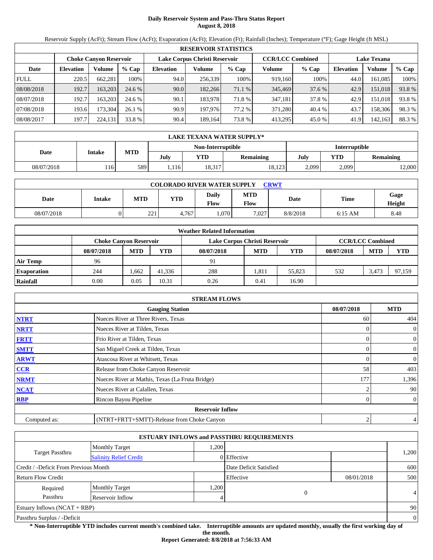# **Daily Reservoir System and Pass-Thru Status Report August 8, 2018**

Reservoir Supply (AcFt); Stream Flow (AcFt); Evaporation (AcFt); Elevation (Ft); Rainfall (Inches); Temperature (°F); Gage Height (ft MSL)

|             | <b>RESERVOIR STATISTICS</b> |                               |         |                  |                               |         |                         |         |                    |         |       |  |
|-------------|-----------------------------|-------------------------------|---------|------------------|-------------------------------|---------|-------------------------|---------|--------------------|---------|-------|--|
|             |                             | <b>Choke Canyon Reservoir</b> |         |                  | Lake Corpus Christi Reservoir |         | <b>CCR/LCC Combined</b> |         | <b>Lake Texana</b> |         |       |  |
| Date        | <b>Elevation</b>            | Volume                        | $%$ Cap | <b>Elevation</b> | Volume                        | $%$ Cap | Volume                  | $%$ Cap | <b>Elevation</b>   | Volume  | % Cap |  |
| <b>FULL</b> | 220.5                       | 662,281                       | 100%    | 94.0             | 256,339                       | 100%    | 919,160                 | 100%    | 44.0               | 161.085 | 100%  |  |
| 08/08/2018  | 192.7                       | 163.203                       | 24.6 %  | 90.0             | 182.266                       | 71.1 %  | 345,469                 | 37.6 %  | 42.9               | 151,018 | 93.8% |  |
| 08/07/2018  | 192.7                       | 163.203                       | 24.6 %  | 90.1             | 183,978                       | 71.8 %  | 347,181                 | 37.8 %  | 42.9               | 151,018 | 93.8% |  |
| 07/08/2018  | 193.6                       | 173,304                       | 26.1%   | 90.9             | 197,976                       | 77.2 %  | 371.280                 | 40.4 %  | 43.7               | 158,306 | 98.3% |  |
| 08/08/2017  | 197.7                       | 224,131                       | 33.8 %  | 90.4             | 189,164                       | 73.8%   | 413,295                 | 45.0 %  | 41.9               | 142,163 | 88.3% |  |

|            | LAKE TEXANA WATER SUPPLY* |     |      |                   |           |               |       |           |  |  |  |
|------------|---------------------------|-----|------|-------------------|-----------|---------------|-------|-----------|--|--|--|
|            |                           |     |      | Non-Interruptible |           | Interruptible |       |           |  |  |  |
| Date       | Intake                    | MTD | July | <b>YTD</b>        | Remaining | July          | YTD   | Remaining |  |  |  |
| 08/07/2018 | 116                       | 589 | .116 | 18,317            | 18,123    | 2,099         | 2,099 | 2,000     |  |  |  |

| <b>COLORADO RIVER WATER SUPPLY</b><br><b>CRWT</b> |        |           |            |                      |             |          |           |                |  |  |
|---------------------------------------------------|--------|-----------|------------|----------------------|-------------|----------|-----------|----------------|--|--|
| Date                                              | Intake | MTD       | <b>YTD</b> | <b>Daily</b><br>Flow | MTD<br>Flow | Date     | Time      | Gage<br>Height |  |  |
| 08/07/2018                                        |        | 221<br>∠∠ | 4.767      | .070                 | 7,027       | 8/8/2018 | $6:15$ AM | 8.48           |  |  |

|                    |                               |            |            | <b>Weather Related Information</b> |            |        |            |                         |            |
|--------------------|-------------------------------|------------|------------|------------------------------------|------------|--------|------------|-------------------------|------------|
|                    | <b>Choke Canvon Reservoir</b> |            |            | Lake Corpus Christi Reservoir      |            |        |            | <b>CCR/LCC Combined</b> |            |
|                    | 08/07/2018                    | <b>MTD</b> | <b>YTD</b> | 08/07/2018                         | <b>MTD</b> | YTD    | 08/07/2018 | <b>MTD</b>              | <b>YTD</b> |
| <b>Air Temp</b>    | 96                            |            |            | 91                                 |            |        |            |                         |            |
| <b>Evaporation</b> | 244                           | .662       | 41,336     | 288                                | 1.811      | 55.823 | 532        | 3.473                   | 97.159     |
| Rainfall           | 0.00                          | 0.05       | 10.31      | 0.26                               | 0.41       | 16.90  |            |                         |            |

|              | <b>STREAM FLOWS</b>                             |            |                |
|--------------|-------------------------------------------------|------------|----------------|
|              | <b>Gauging Station</b>                          | 08/07/2018 | <b>MTD</b>     |
| <b>NTRT</b>  | Nueces River at Three Rivers, Texas             | 60         | 404            |
| <b>NRTT</b>  | Nueces River at Tilden, Texas                   |            | $\overline{0}$ |
| <b>FRTT</b>  | Frio River at Tilden, Texas                     |            | $\overline{0}$ |
| <b>SMTT</b>  | San Miguel Creek at Tilden, Texas               | 0          | $\overline{0}$ |
| <b>ARWT</b>  | Atascosa River at Whitsett, Texas               | 0          | $\overline{0}$ |
| CCR          | Release from Choke Canyon Reservoir             | 58         | 403            |
| <b>NRMT</b>  | Nueces River at Mathis, Texas (La Fruta Bridge) | 177        | 1,396          |
| <b>NCAT</b>  | Nueces River at Calallen, Texas                 |            | 90             |
| <b>RBP</b>   | Rincon Bayou Pipeline                           | 0          | $\overline{0}$ |
|              | <b>Reservoir Inflow</b>                         |            |                |
| Computed as: | (NTRT+FRTT+SMTT)-Release from Choke Canyon      | 2          | $\overline{4}$ |

|                                       |                               |      | <b>ESTUARY INFLOWS and PASSTHRU REQUIREMENTS</b> |            |                |
|---------------------------------------|-------------------------------|------|--------------------------------------------------|------------|----------------|
|                                       | <b>Monthly Target</b>         | ,200 |                                                  |            |                |
| Target Passthru                       | <b>Salinity Relief Credit</b> |      | 0 Effective                                      |            | 1,200          |
| Credit / -Deficit From Previous Month |                               |      | Date Deficit Satisfied                           |            | 600            |
| <b>Return Flow Credit</b>             |                               |      | Effective                                        | 08/01/2018 | 500            |
| Required                              | <b>Monthly Target</b>         | ,200 |                                                  |            |                |
| Passthru                              | Reservoir Inflow              |      | 0                                                |            | $\overline{4}$ |
| Estuary Inflows $(NCAT + RBP)$        |                               |      |                                                  |            | 90             |
| Passthru Surplus / -Deficit           |                               |      |                                                  |            | $\theta$       |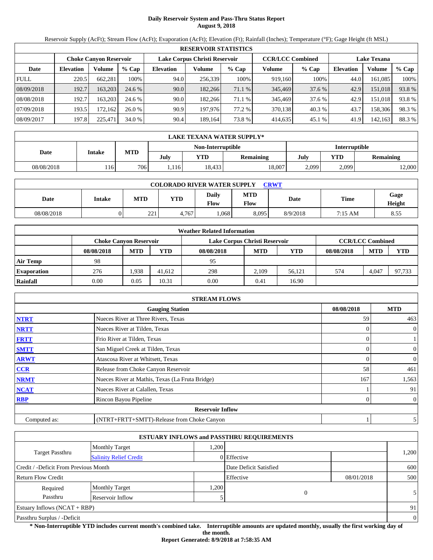# **Daily Reservoir System and Pass-Thru Status Report August 9, 2018**

Reservoir Supply (AcFt); Stream Flow (AcFt); Evaporation (AcFt); Elevation (Ft); Rainfall (Inches); Temperature (°F); Gage Height (ft MSL)

|             | <b>RESERVOIR STATISTICS</b> |                               |         |                               |         |         |                         |         |                    |         |        |  |  |
|-------------|-----------------------------|-------------------------------|---------|-------------------------------|---------|---------|-------------------------|---------|--------------------|---------|--------|--|--|
|             |                             | <b>Choke Canyon Reservoir</b> |         | Lake Corpus Christi Reservoir |         |         | <b>CCR/LCC Combined</b> |         | <b>Lake Texana</b> |         |        |  |  |
| Date        | <b>Elevation</b>            | Volume                        | $%$ Cap | <b>Elevation</b>              | Volume  | $%$ Cap | Volume                  | $%$ Cap | <b>Elevation</b>   | Volume  | % Cap  |  |  |
| <b>FULL</b> | 220.5                       | 662.281                       | 100%    | 94.0                          | 256,339 | 100%    | 919,160                 | 100%    | 44.0               | 161.085 | 100%   |  |  |
| 08/09/2018  | 192.7                       | 163.203                       | 24.6 %  | 90.0                          | 182.266 | 71.1 %  | 345,469                 | 37.6 %  | 42.9               | 151,018 | 93.8%  |  |  |
| 08/08/2018  | 192.7                       | 163.203                       | 24.6 %  | 90.0                          | 182.266 | 71.1 %  | 345,469                 | 37.6 %  | 42.9               | 151.018 | 93.8%  |  |  |
| 07/09/2018  | 193.5                       | 172.162                       | 26.0%   | 90.9                          | 197,976 | 77.2 %  | 370,138                 | 40.3 %  | 43.7               | 158,306 | 98.3%  |  |  |
| 08/09/2017  | 197.8                       | 225.471                       | 34.0 %  | 90.4                          | 189,164 | 73.8 %  | 414,635                 | 45.1 %  | 41.9               | 142,163 | 88.3 % |  |  |

|            | LAKE TEXANA WATER SUPPLY* |            |      |                   |           |               |       |           |  |  |
|------------|---------------------------|------------|------|-------------------|-----------|---------------|-------|-----------|--|--|
|            |                           |            |      | Non-Interruptible |           | Interruptible |       |           |  |  |
| Date       | Intake                    | <b>MTD</b> | Julv | <b>YTD</b>        | Remaining | July          | YTD   | Remaining |  |  |
| 08/08/2018 | 116                       | 7061       | .116 | 18,433            | 18,007    | 2,099         | 2,099 | 2,000     |  |  |

| <b>COLORADO RIVER WATER SUPPLY</b><br>CRWT |        |            |            |               |                           |          |         |                |  |  |
|--------------------------------------------|--------|------------|------------|---------------|---------------------------|----------|---------|----------------|--|--|
| <b>Date</b>                                | Intake | <b>MTD</b> | <b>YTD</b> | Daily<br>Flow | <b>MTD</b><br><b>Flow</b> | Date     | Time    | Gage<br>Height |  |  |
| 08/08/2018                                 |        | 221<br>ـــ | 4,767      | .068          | 8,095                     | 8/9/2018 | 7:15 AM | 8.55           |  |  |

|                    | <b>Weather Related Information</b> |            |            |                               |            |            |            |                         |            |  |  |
|--------------------|------------------------------------|------------|------------|-------------------------------|------------|------------|------------|-------------------------|------------|--|--|
|                    | <b>Choke Canvon Reservoir</b>      |            |            | Lake Corpus Christi Reservoir |            |            |            | <b>CCR/LCC Combined</b> |            |  |  |
|                    | 08/08/2018                         | <b>MTD</b> | <b>YTD</b> | 08/08/2018                    | <b>MTD</b> | <b>YTD</b> | 08/08/2018 | <b>MTD</b>              | <b>YTD</b> |  |  |
| Air Temp           | 98                                 |            |            | 95                            |            |            |            |                         |            |  |  |
| <b>Evaporation</b> | 276                                | .938       | 41.612     | 298                           | 2,109      | 56.121     | 574        | 4,047                   | 97.733     |  |  |
| Rainfall           | 0.00                               | 0.05       | 10.31      | 0.00                          | 0.41       | 16.90      |            |                         |            |  |  |

|              | <b>STREAM FLOWS</b>                             |            |                  |
|--------------|-------------------------------------------------|------------|------------------|
|              | <b>Gauging Station</b>                          | 08/08/2018 | <b>MTD</b>       |
| <b>NTRT</b>  | Nueces River at Three Rivers, Texas             | 59         | 463              |
| <b>NRTT</b>  | Nueces River at Tilden, Texas                   |            | $\overline{0}$   |
| <b>FRTT</b>  | Frio River at Tilden, Texas                     |            |                  |
| <b>SMTT</b>  | San Miguel Creek at Tilden, Texas               |            | 0                |
| <b>ARWT</b>  | Atascosa River at Whitsett, Texas               |            | $\boldsymbol{0}$ |
| <b>CCR</b>   | Release from Choke Canyon Reservoir             | 58         | 461              |
| <b>NRMT</b>  | Nueces River at Mathis, Texas (La Fruta Bridge) | 167        | 1,563            |
| <b>NCAT</b>  | Nueces River at Calallen, Texas                 |            | 91               |
| <b>RBP</b>   | Rincon Bayou Pipeline                           |            | $\overline{0}$   |
|              | <b>Reservoir Inflow</b>                         |            |                  |
| Computed as: | (NTRT+FRTT+SMTT)-Release from Choke Canyon      |            | 5                |

|                                                  |                       |       | <b>ESTUARY INFLOWS and PASSTHRU REQUIREMENTS</b> |            |                |
|--------------------------------------------------|-----------------------|-------|--------------------------------------------------|------------|----------------|
|                                                  | <b>Monthly Target</b> | 0.200 |                                                  |            |                |
| Target Passthru<br><b>Salinity Relief Credit</b> |                       |       | 0 Effective                                      |            | 1,200          |
| Credit / -Deficit From Previous Month            |                       |       | Date Deficit Satisfied                           |            | 600            |
| Return Flow Credit                               |                       |       | Effective                                        | 08/01/2018 | 500            |
| Required                                         | <b>Monthly Target</b> | 1,200 |                                                  |            |                |
| Passthru                                         | Reservoir Inflow      |       | $\Omega$                                         |            | 5 <sup>1</sup> |
| Estuary Inflows $(NCAT + RBP)$                   |                       |       |                                                  |            | 91             |
| Passthru Surplus / -Deficit                      |                       |       |                                                  |            | $\overline{0}$ |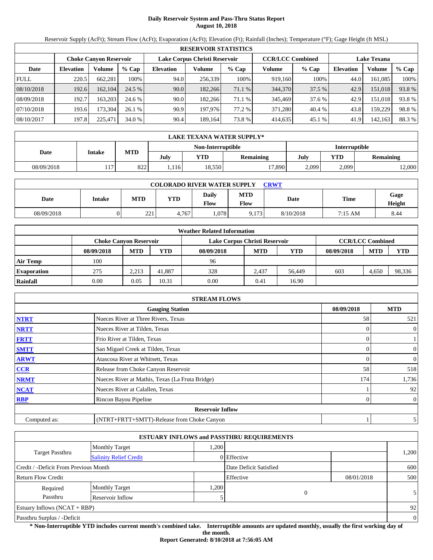# **Daily Reservoir System and Pass-Thru Status Report August 10, 2018**

Reservoir Supply (AcFt); Stream Flow (AcFt); Evaporation (AcFt); Elevation (Ft); Rainfall (Inches); Temperature (°F); Gage Height (ft MSL)

|             | <b>RESERVOIR STATISTICS</b> |                               |         |                               |         |         |                         |         |                    |         |        |  |  |
|-------------|-----------------------------|-------------------------------|---------|-------------------------------|---------|---------|-------------------------|---------|--------------------|---------|--------|--|--|
|             |                             | <b>Choke Canyon Reservoir</b> |         | Lake Corpus Christi Reservoir |         |         | <b>CCR/LCC Combined</b> |         | <b>Lake Texana</b> |         |        |  |  |
| Date        | <b>Elevation</b>            | Volume                        | $%$ Cap | <b>Elevation</b>              | Volume  | $%$ Cap | Volume                  | $%$ Cap | <b>Elevation</b>   | Volume  | % Cap  |  |  |
| <b>FULL</b> | 220.5                       | 662.281                       | 100%    | 94.0                          | 256,339 | 100%    | 919,160                 | 100%    | 44.0               | 161.085 | 100%   |  |  |
| 08/10/2018  | 192.6                       | 162,104                       | 24.5 %  | 90.0                          | 182.266 | 71.1 %  | 344,370                 | 37.5 %  | 42.9               | 151,018 | 93.8%  |  |  |
| 08/09/2018  | 192.7                       | 163.203                       | 24.6 %  | 90.0                          | 182.266 | 71.1 %  | 345,469                 | 37.6 %  | 42.9               | 151.018 | 93.8%  |  |  |
| 07/10/2018  | 193.6                       | 173.304                       | 26.1%   | 90.9                          | 197,976 | 77.2 %  | 371.280                 | 40.4 %  | 43.8               | 159.229 | 98.8%  |  |  |
| 08/10/2017  | 197.8                       | 225.471                       | 34.0 %  | 90.4                          | 189,164 | 73.8 %  | 414,635                 | 45.1 %  | 41.9               | 142,163 | 88.3 % |  |  |

|            | LAKE TEXANA WATER SUPPLY* |            |      |                   |           |               |       |           |  |  |  |
|------------|---------------------------|------------|------|-------------------|-----------|---------------|-------|-----------|--|--|--|
|            |                           |            |      | Non-Interruptible |           | Interruptible |       |           |  |  |  |
| Date       | Intake                    | <b>MTD</b> | Julv | <b>YTD</b>        | Remaining | July          | YTD   | Remaining |  |  |  |
| 08/09/2018 | 117                       | 822        | .116 | 18,550            | 17,890    | 2,099         | 2,099 | 2,000     |  |  |  |

| <b>COLORADO RIVER WATER SUPPLY</b><br>CRWT |        |                        |            |                      |                    |           |             |                |  |  |
|--------------------------------------------|--------|------------------------|------------|----------------------|--------------------|-----------|-------------|----------------|--|--|
| Date                                       | Intake | MTD                    | <b>YTD</b> | <b>Daily</b><br>Flow | <b>MTD</b><br>Flow | Date      | <b>Time</b> | Gage<br>Height |  |  |
| 08/09/2018                                 |        | $\mathbf{a}$<br>ل کے ک | 4.767      | .078                 | 9.173              | 8/10/2018 | 7:15 AM     | 8.44           |  |  |

|                    | <b>Weather Related Information</b> |                                                                                           |            |            |            |            |            |            |            |  |  |
|--------------------|------------------------------------|-------------------------------------------------------------------------------------------|------------|------------|------------|------------|------------|------------|------------|--|--|
|                    |                                    | <b>CCR/LCC Combined</b><br>Lake Corpus Christi Reservoir<br><b>Choke Canvon Reservoir</b> |            |            |            |            |            |            |            |  |  |
|                    | 08/09/2018                         | <b>MTD</b>                                                                                | <b>YTD</b> | 08/09/2018 | <b>MTD</b> | <b>YTD</b> | 08/09/2018 | <b>MTD</b> | <b>YTD</b> |  |  |
| <b>Air Temp</b>    | 100                                |                                                                                           |            | 96         |            |            |            |            |            |  |  |
| <b>Evaporation</b> | 275                                | 2.213                                                                                     | 41,887     | 328        | 2.437      | 56.449     | 603        | 4.650      | 98,336     |  |  |
| Rainfall           | 0.00                               | 0.05                                                                                      | 10.31      | 0.00       | 0.41       | 16.90      |            |            |            |  |  |

|              | <b>STREAM FLOWS</b>                             |            |                |
|--------------|-------------------------------------------------|------------|----------------|
|              | <b>Gauging Station</b>                          | 08/09/2018 | <b>MTD</b>     |
| <b>NTRT</b>  | Nueces River at Three Rivers, Texas             | 58         | 521            |
| <b>NRTT</b>  | Nueces River at Tilden, Texas                   | 0          | $\mathbf{0}$   |
| <b>FRTT</b>  | Frio River at Tilden, Texas                     | $\Omega$   |                |
| <b>SMTT</b>  | San Miguel Creek at Tilden, Texas               | $\Omega$   | $\mathbf{0}$   |
| <b>ARWT</b>  | Atascosa River at Whitsett, Texas               | 0          | $\mathbf{0}$   |
| <b>CCR</b>   | Release from Choke Canyon Reservoir             | 58         | 518            |
| <b>NRMT</b>  | Nueces River at Mathis, Texas (La Fruta Bridge) | 174        | 1,736          |
| <b>NCAT</b>  | Nueces River at Calallen, Texas                 |            | 92             |
| <b>RBP</b>   | Rincon Bayou Pipeline                           | 0          | $\overline{0}$ |
|              | <b>Reservoir Inflow</b>                         |            |                |
| Computed as: | (NTRT+FRTT+SMTT)-Release from Choke Canyon      |            |                |

|                                       |                               |      | <b>ESTUARY INFLOWS and PASSTHRU REQUIREMENTS</b> |            |                |
|---------------------------------------|-------------------------------|------|--------------------------------------------------|------------|----------------|
|                                       | <b>Monthly Target</b>         | .200 |                                                  |            |                |
| Target Passthru                       | <b>Salinity Relief Credit</b> |      | 0 Effective                                      |            | 1,200          |
| Credit / -Deficit From Previous Month |                               |      | Date Deficit Satisfied                           |            | 600            |
| Return Flow Credit                    |                               |      | Effective                                        | 08/01/2018 | 500            |
| Required                              | <b>Monthly Target</b>         | .200 |                                                  |            |                |
| Passthru                              | Reservoir Inflow              |      | $\Omega$                                         |            | 5 <sup>1</sup> |
| Estuary Inflows $(NCAT + RBP)$        |                               |      |                                                  |            | 92             |
| Passthru Surplus / -Deficit           |                               |      |                                                  |            | $\overline{0}$ |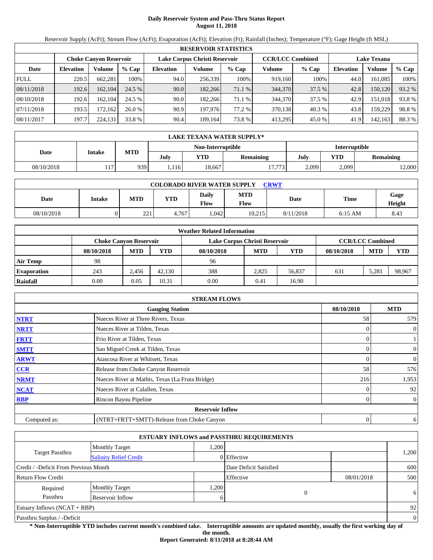# **Daily Reservoir System and Pass-Thru Status Report August 11, 2018**

Reservoir Supply (AcFt); Stream Flow (AcFt); Evaporation (AcFt); Elevation (Ft); Rainfall (Inches); Temperature (°F); Gage Height (ft MSL)

|             | <b>RESERVOIR STATISTICS</b>                                                                                     |         |         |                  |         |         |         |         |                  |         |        |  |
|-------------|-----------------------------------------------------------------------------------------------------------------|---------|---------|------------------|---------|---------|---------|---------|------------------|---------|--------|--|
|             | <b>CCR/LCC Combined</b><br>Lake Corpus Christi Reservoir<br><b>Lake Texana</b><br><b>Choke Canyon Reservoir</b> |         |         |                  |         |         |         |         |                  |         |        |  |
| Date        | <b>Elevation</b>                                                                                                | Volume  | $%$ Cap | <b>Elevation</b> | Volume  | $%$ Cap | Volume  | $%$ Cap | <b>Elevation</b> | Volume  | % Cap  |  |
| <b>FULL</b> | 220.5                                                                                                           | 662.281 | 100%    | 94.0             | 256,339 | 100%    | 919,160 | 100%    | 44.0             | 161.085 | 100%   |  |
| 08/11/2018  | 192.6                                                                                                           | 162,104 | 24.5 %  | 90.0             | 182.266 | 71.1 %  | 344,370 | 37.5 %  | 42.8             | 150,120 | 93.2 % |  |
| 08/10/2018  | 192.6                                                                                                           | 162.104 | 24.5 %  | 90.0             | 182.266 | 71.1 %  | 344,370 | 37.5 %  | 42.9             | 151.018 | 93.8%  |  |
| 07/11/2018  | 193.5                                                                                                           | 172.162 | 26.0%   | 90.9             | 197,976 | 77.2 %  | 370,138 | 40.3 %  | 43.8             | 159.229 | 98.8%  |  |
| 08/11/2017  | 197.7                                                                                                           | 224,131 | 33.8 %  | 90.4             | 189,164 | 73.8 %  | 413,295 | 45.0 %  | 41.9             | 142,163 | 88.3 % |  |

|            | LAKE TEXANA WATER SUPPLY* |            |      |                   |           |               |       |           |  |  |
|------------|---------------------------|------------|------|-------------------|-----------|---------------|-------|-----------|--|--|
|            |                           |            |      | Non-Interruptible |           | Interruptible |       |           |  |  |
| Date       | Intake                    | <b>MTD</b> | Julv | <b>YTD</b>        | Remaining | July          | YTD   | Remaining |  |  |
| 08/10/2018 | 117                       | 939        | .116 | 18,667            | 17,773    | 2,099         | 2,099 | 12,000    |  |  |

| <b>COLORADO RIVER WATER SUPPLY</b><br>CRWT |        |            |            |                      |                    |           |             |                |  |  |  |
|--------------------------------------------|--------|------------|------------|----------------------|--------------------|-----------|-------------|----------------|--|--|--|
| Date                                       | Intake | <b>MTD</b> | <b>YTD</b> | Daily<br><b>Flow</b> | <b>MTD</b><br>Flow | Date      | <b>Time</b> | Gage<br>Height |  |  |  |
| 08/10/2018                                 |        | 221        | 4.767      | .042                 | 10.215             | 8/11/2018 | $6:15$ AM   | 8.43           |  |  |  |

|                    |                               |            |            | <b>Weather Related Information</b> |            |        |            |                         |        |
|--------------------|-------------------------------|------------|------------|------------------------------------|------------|--------|------------|-------------------------|--------|
|                    | <b>Choke Canvon Reservoir</b> |            |            | Lake Corpus Christi Reservoir      |            |        |            | <b>CCR/LCC Combined</b> |        |
|                    | 08/10/2018                    | <b>MTD</b> | <b>YTD</b> | 08/10/2018                         | <b>MTD</b> | YTD    | 08/10/2018 | <b>MTD</b>              | YTD    |
| <b>Air Temp</b>    | 98                            |            |            | 96                                 |            |        |            |                         |        |
| <b>Evaporation</b> | 243                           | 2.456      | 42.130     | 388                                | 2,825      | 56,837 | 631        | 5.281                   | 98,967 |
| Rainfall           | 0.00                          | 0.05       | 10.31      | 0.00                               | 0.41       | 16.90  |            |                         |        |

|              | <b>STREAM FLOWS</b>                             |            |                |
|--------------|-------------------------------------------------|------------|----------------|
|              | <b>Gauging Station</b>                          | 08/10/2018 | <b>MTD</b>     |
| <b>NTRT</b>  | Nueces River at Three Rivers, Texas             | 58         | 579            |
| <b>NRTT</b>  | Nueces River at Tilden, Texas                   |            | 0              |
| <b>FRTT</b>  | Frio River at Tilden, Texas                     |            |                |
| <b>SMTT</b>  | San Miguel Creek at Tilden, Texas               |            | 0              |
| <b>ARWT</b>  | Atascosa River at Whitsett, Texas               |            | 0              |
| <b>CCR</b>   | Release from Choke Canyon Reservoir             | 58         | 576            |
| <b>NRMT</b>  | Nueces River at Mathis, Texas (La Fruta Bridge) | 216        | 1,953          |
| <b>NCAT</b>  | Nueces River at Calallen, Texas                 |            | 92             |
| <b>RBP</b>   | Rincon Bayou Pipeline                           |            | $\overline{0}$ |
|              | <b>Reservoir Inflow</b>                         |            |                |
| Computed as: | (NTRT+FRTT+SMTT)-Release from Choke Canyon      | 0          | 6              |

|                                       |                               |      | <b>ESTUARY INFLOWS and PASSTHRU REQUIREMENTS</b> |            |          |
|---------------------------------------|-------------------------------|------|--------------------------------------------------|------------|----------|
|                                       | <b>Monthly Target</b>         | .200 |                                                  |            |          |
| <b>Target Passthru</b>                | <b>Salinity Relief Credit</b> |      | 0 Effective                                      |            | 1,200    |
| Credit / -Deficit From Previous Month |                               |      | Date Deficit Satisfied                           |            | 600      |
| <b>Return Flow Credit</b>             |                               |      | Effective                                        | 08/01/2018 | 500      |
| Required                              | <b>Monthly Target</b>         | .200 |                                                  |            |          |
| Passthru                              | Reservoir Inflow              | 6    | 0                                                |            | 6        |
| Estuary Inflows $(NCAT + RBP)$        |                               |      |                                                  |            | 92       |
| Passthru Surplus / -Deficit           |                               |      |                                                  |            | $\theta$ |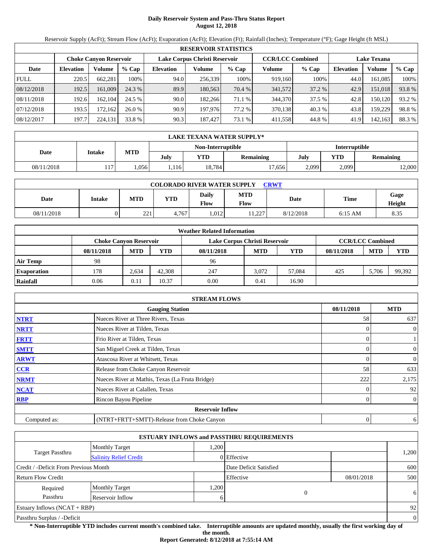# **Daily Reservoir System and Pass-Thru Status Report August 12, 2018**

Reservoir Supply (AcFt); Stream Flow (AcFt); Evaporation (AcFt); Elevation (Ft); Rainfall (Inches); Temperature (°F); Gage Height (ft MSL)

|             | <b>RESERVOIR STATISTICS</b>                                                                                     |         |         |                  |         |         |         |         |                  |         |        |  |
|-------------|-----------------------------------------------------------------------------------------------------------------|---------|---------|------------------|---------|---------|---------|---------|------------------|---------|--------|--|
|             | <b>CCR/LCC Combined</b><br>Lake Corpus Christi Reservoir<br><b>Lake Texana</b><br><b>Choke Canyon Reservoir</b> |         |         |                  |         |         |         |         |                  |         |        |  |
| Date        | <b>Elevation</b>                                                                                                | Volume  | $%$ Cap | <b>Elevation</b> | Volume  | $%$ Cap | Volume  | $%$ Cap | <b>Elevation</b> | Volume  | % Cap  |  |
| <b>FULL</b> | 220.5                                                                                                           | 662,281 | 100%    | 94.0             | 256,339 | 100%    | 919.160 | 100%    | 44.0             | 161.085 | 100%   |  |
| 08/12/2018  | 192.5                                                                                                           | 161,009 | 24.3 %  | 89.9             | 180.563 | 70.4 %  | 341,572 | 37.2 %  | 42.9             | 151,018 | 93.8%  |  |
| 08/11/2018  | 192.6                                                                                                           | 162.104 | 24.5 %  | 90.0             | 182.266 | 71.1 %  | 344,370 | 37.5 %  | 42.8             | 150,120 | 93.2 % |  |
| 07/12/2018  | 193.5                                                                                                           | 172.162 | 26.0%   | 90.9             | 197,976 | 77.2 %  | 370,138 | 40.3 %  | 43.8             | 159.229 | 98.8%  |  |
| 08/12/2017  | 197.7                                                                                                           | 224,131 | 33.8 %  | 90.3             | 187,427 | 73.1 %  | 411,558 | 44.8%   | 41.9             | 142,163 | 88.3%  |  |

|            | LAKE TEXANA WATER SUPPLY* |            |      |                   |                  |               |       |           |  |  |
|------------|---------------------------|------------|------|-------------------|------------------|---------------|-------|-----------|--|--|
|            |                           |            |      | Non-Interruptible |                  | Interruptible |       |           |  |  |
| Date       | Intake                    | <b>MTD</b> | July | YTD               | <b>Remaining</b> | July          | YTD   | Remaining |  |  |
| 08/11/2018 | 117                       | .056       | .116 | 18.784            | 17,6561          | 2,099         | 2,099 | 12,000    |  |  |

| <b>COLORADO RIVER WATER SUPPLY</b><br><b>CRWT</b> |        |            |            |                             |                    |           |           |                |  |  |  |
|---------------------------------------------------|--------|------------|------------|-----------------------------|--------------------|-----------|-----------|----------------|--|--|--|
| Date                                              | Intake | <b>MTD</b> | <b>YTD</b> | <b>Daily</b><br><b>Flow</b> | <b>MTD</b><br>Flow | Date      | Time      | Gage<br>Height |  |  |  |
| 08/11/2018                                        |        | 221        | 4.767      | .012                        | .1227<br>1.44      | 8/12/2018 | $6:15$ AM | 8.35           |  |  |  |

|                    | <b>Weather Related Information</b>                                                        |            |            |            |            |        |            |            |            |  |  |  |
|--------------------|-------------------------------------------------------------------------------------------|------------|------------|------------|------------|--------|------------|------------|------------|--|--|--|
|                    | <b>CCR/LCC Combined</b><br>Lake Corpus Christi Reservoir<br><b>Choke Canvon Reservoir</b> |            |            |            |            |        |            |            |            |  |  |  |
|                    | 08/11/2018                                                                                | <b>MTD</b> | <b>YTD</b> | 08/11/2018 | <b>MTD</b> | YTD    | 08/11/2018 | <b>MTD</b> | <b>YTD</b> |  |  |  |
| <b>Air Temp</b>    | 98                                                                                        |            |            | 96         |            |        |            |            |            |  |  |  |
| <b>Evaporation</b> | 178                                                                                       | 2.634      | 42,308     | 247        | 3.072      | 57.084 | 425        | 5.706      | 99,392     |  |  |  |
| Rainfall           | 0.06                                                                                      | 0.11       | 10.37      | 0.00       | 0.41       | 16.90  |            |            |            |  |  |  |

|              | <b>STREAM FLOWS</b>                             |                |                |
|--------------|-------------------------------------------------|----------------|----------------|
|              | <b>Gauging Station</b>                          | 08/11/2018     | <b>MTD</b>     |
| <b>NTRT</b>  | Nueces River at Three Rivers, Texas             | 58             | 637            |
| <b>NRTT</b>  | Nueces River at Tilden, Texas                   |                | $\overline{0}$ |
| <b>FRTT</b>  | Frio River at Tilden, Texas                     | 0              |                |
| <b>SMTT</b>  | San Miguel Creek at Tilden, Texas               | 0              | $\mathbf{0}$   |
| <b>ARWT</b>  | Atascosa River at Whitsett, Texas               |                | $\mathbf{0}$   |
| <b>CCR</b>   | Release from Choke Canyon Reservoir             | 58             | 633            |
| <b>NRMT</b>  | Nueces River at Mathis, Texas (La Fruta Bridge) | 222            | 2,175          |
| <b>NCAT</b>  | Nueces River at Calallen, Texas                 |                | 92             |
| <b>RBP</b>   | Rincon Bayou Pipeline                           | 0              | $\overline{0}$ |
|              | <b>Reservoir Inflow</b>                         |                |                |
| Computed as: | (NTRT+FRTT+SMTT)-Release from Choke Canyon      | $\overline{0}$ | 6              |

|                                       |                               |      | <b>ESTUARY INFLOWS and PASSTHRU REQUIREMENTS</b> |            |          |
|---------------------------------------|-------------------------------|------|--------------------------------------------------|------------|----------|
|                                       | <b>Monthly Target</b>         | ,200 |                                                  |            |          |
| Target Passthru                       | <b>Salinity Relief Credit</b> |      | 0 Effective                                      |            | 1,200    |
| Credit / -Deficit From Previous Month |                               |      | Date Deficit Satisfied                           |            | 600      |
| <b>Return Flow Credit</b>             |                               |      | Effective                                        | 08/01/2018 | 500      |
| Required                              | <b>Monthly Target</b>         | ,200 |                                                  |            |          |
| Passthru                              | Reservoir Inflow              |      | 0                                                |            | 6        |
| Estuary Inflows $(NCAT + RBP)$        |                               |      |                                                  |            | 92       |
| Passthru Surplus / -Deficit           |                               |      |                                                  |            | $\theta$ |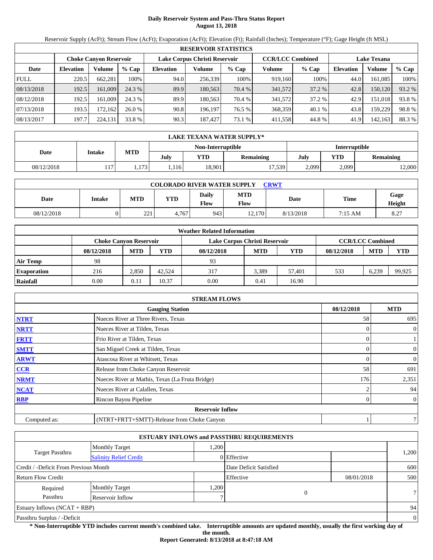# **Daily Reservoir System and Pass-Thru Status Report August 13, 2018**

Reservoir Supply (AcFt); Stream Flow (AcFt); Evaporation (AcFt); Elevation (Ft); Rainfall (Inches); Temperature (°F); Gage Height (ft MSL)

|                                                                                                          | <b>RESERVOIR STATISTICS</b> |         |         |                  |         |         |         |         |                  |         |        |  |  |
|----------------------------------------------------------------------------------------------------------|-----------------------------|---------|---------|------------------|---------|---------|---------|---------|------------------|---------|--------|--|--|
| Lake Corpus Christi Reservoir<br><b>CCR/LCC Combined</b><br><b>Lake Texana</b><br>Choke Canvon Reservoir |                             |         |         |                  |         |         |         |         |                  |         |        |  |  |
| Date                                                                                                     | <b>Elevation</b>            | Volume  | $%$ Cap | <b>Elevation</b> | Volume  | $%$ Cap | Volume  | $%$ Cap | <b>Elevation</b> | Volume  | % Cap  |  |  |
| <b>FULL</b>                                                                                              | 220.5                       | 662,281 | 100%    | 94.0             | 256,339 | 100%    | 919.160 | 100%    | 44.0             | 161,085 | 100%   |  |  |
| 08/13/2018                                                                                               | 192.5                       | 161,009 | 24.3 %  | 89.9             | 180.563 | 70.4 %  | 341,572 | 37.2 %  | 42.8             | 150.120 | 93.2 % |  |  |
| 08/12/2018                                                                                               | 192.5                       | 161.009 | 24.3 %  | 89.9             | 180.563 | 70.4 %  | 341,572 | 37.2 %  | 42.9             | 151.018 | 93.8%  |  |  |
| 07/13/2018                                                                                               | 193.5                       | 172.162 | 26.0%   | 90.8             | 196.197 | 76.5 %  | 368,359 | 40.1%   | 43.8             | 159.229 | 98.8%  |  |  |
| 08/13/2017                                                                                               | 197.7                       | 224,131 | 33.8 %  | 90.3             | 187.427 | 73.1 %  | 411,558 | 44.8%   | 41.9             | 142,163 | 88.3%  |  |  |

|            | LAKE TEXANA WATER SUPPLY* |            |      |                   |                  |               |       |                  |  |  |
|------------|---------------------------|------------|------|-------------------|------------------|---------------|-------|------------------|--|--|
|            |                           |            |      | Non-Interruptible |                  | Interruptible |       |                  |  |  |
| Date       | Intake                    | <b>MTD</b> | July | <b>YTD</b>        | <b>Remaining</b> | July          | YTD   | <b>Remaining</b> |  |  |
| 08/12/2018 | 117                       | .173       | .116 | 18,901            | 17.539           | 2,099         | 2,099 | 12,000           |  |  |

| <b>COLORADO RIVER WATER SUPPLY</b><br><b>CRWT</b> |        |            |       |               |                    |           |         |                |  |  |  |
|---------------------------------------------------|--------|------------|-------|---------------|--------------------|-----------|---------|----------------|--|--|--|
| Date                                              | Intake | MTD        | YTD   | Daily<br>Flow | <b>MTD</b><br>Flow | Date      | Time    | Gage<br>Height |  |  |  |
| 08/12/2018                                        |        | 221<br>ـــ | 4.767 | 943           | 12.170             | 8/13/2018 | 7:15 AM | 8.27           |  |  |  |

|                    |                               |            |            | <b>Weather Related Information</b> |       |        |            |                         |            |
|--------------------|-------------------------------|------------|------------|------------------------------------|-------|--------|------------|-------------------------|------------|
|                    | <b>Choke Canyon Reservoir</b> |            |            | Lake Corpus Christi Reservoir      |       |        |            | <b>CCR/LCC Combined</b> |            |
|                    | 08/12/2018                    | <b>MTD</b> | <b>YTD</b> | 08/12/2018                         | MTD   | YTD    | 08/12/2018 | <b>MTD</b>              | <b>YTD</b> |
| <b>Air Temp</b>    | 98                            |            |            | 93                                 |       |        |            |                         |            |
| <b>Evaporation</b> | 216                           | 2.850      | 42.524     | 317                                | 3.389 | 57.401 | 533        | 6.239                   | 99.925     |
| Rainfall           | 0.00                          | 0.11       | 10.37      | 0.00                               | 0.41  | 16.90  |            |                         |            |

|              | <b>STREAM FLOWS</b>                             |            |                |
|--------------|-------------------------------------------------|------------|----------------|
|              | <b>Gauging Station</b>                          | 08/12/2018 | <b>MTD</b>     |
| <b>NTRT</b>  | Nueces River at Three Rivers, Texas             | 58         | 695            |
| <b>NRTT</b>  | Nueces River at Tilden, Texas                   | 0          | $\overline{0}$ |
| <b>FRTT</b>  | Frio River at Tilden, Texas                     | 0          |                |
| <b>SMTT</b>  | San Miguel Creek at Tilden, Texas               | 0          | $\overline{0}$ |
| <b>ARWT</b>  | Atascosa River at Whitsett, Texas               |            | $\overline{0}$ |
| CCR          | Release from Choke Canyon Reservoir             | 58         | 691            |
| <b>NRMT</b>  | Nueces River at Mathis, Texas (La Fruta Bridge) | 176        | 2,351          |
| <b>NCAT</b>  | Nueces River at Calallen, Texas                 |            | 94             |
| <b>RBP</b>   | Rincon Bayou Pipeline                           | 0          | $\overline{0}$ |
|              | <b>Reservoir Inflow</b>                         |            |                |
| Computed as: | (NTRT+FRTT+SMTT)-Release from Choke Canyon      |            | $\overline{7}$ |

|                                       |                               |      | <b>ESTUARY INFLOWS and PASSTHRU REQUIREMENTS</b> |            |          |
|---------------------------------------|-------------------------------|------|--------------------------------------------------|------------|----------|
|                                       | <b>Monthly Target</b>         | ,200 |                                                  |            |          |
| <b>Target Passthru</b>                | <b>Salinity Relief Credit</b> |      | 0 Effective                                      |            | 1,200    |
| Credit / -Deficit From Previous Month |                               |      | Date Deficit Satisfied                           |            | 600      |
| <b>Return Flow Credit</b>             |                               |      | Effective                                        | 08/01/2018 | 500      |
| Required                              | <b>Monthly Target</b>         | ,200 |                                                  |            |          |
| Passthru                              | Reservoir Inflow              |      | 0                                                |            | 7        |
| Estuary Inflows $(NCAT + RBP)$        |                               |      |                                                  |            | 94       |
| Passthru Surplus / -Deficit           |                               |      |                                                  |            | $\theta$ |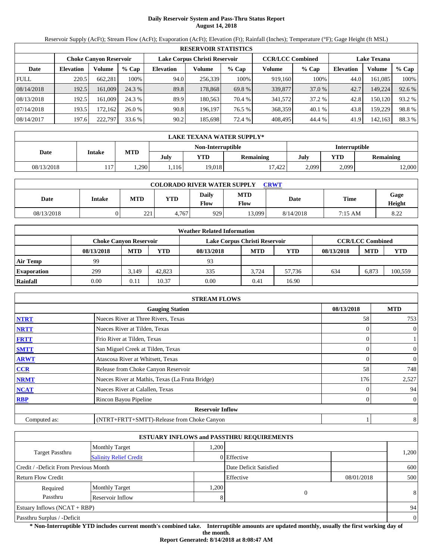# **Daily Reservoir System and Pass-Thru Status Report August 14, 2018**

Reservoir Supply (AcFt); Stream Flow (AcFt); Evaporation (AcFt); Elevation (Ft); Rainfall (Inches); Temperature (°F); Gage Height (ft MSL)

|             | <b>RESERVOIR STATISTICS</b>                                                                                     |         |         |                  |         |         |         |         |                  |         |        |  |  |
|-------------|-----------------------------------------------------------------------------------------------------------------|---------|---------|------------------|---------|---------|---------|---------|------------------|---------|--------|--|--|
|             | <b>CCR/LCC Combined</b><br>Lake Corpus Christi Reservoir<br><b>Lake Texana</b><br><b>Choke Canyon Reservoir</b> |         |         |                  |         |         |         |         |                  |         |        |  |  |
| Date        | <b>Elevation</b>                                                                                                | Volume  | $%$ Cap | <b>Elevation</b> | Volume  | $%$ Cap | Volume  | $%$ Cap | <b>Elevation</b> | Volume  | % Cap  |  |  |
| <b>FULL</b> | 220.5                                                                                                           | 662.281 | 100%    | 94.0             | 256,339 | 100%    | 919,160 | 100%    | 44.0             | 161.085 | 100%   |  |  |
| 08/14/2018  | 192.5                                                                                                           | 161,009 | 24.3 %  | 89.8             | 178,868 | 69.8 %  | 339,877 | 37.0 %  | 42.7             | 149,224 | 92.6 % |  |  |
| 08/13/2018  | 192.5                                                                                                           | 161.009 | 24.3 %  | 89.9             | 180.563 | 70.4 %  | 341,572 | 37.2 %  | 42.8             | 150.120 | 93.2 % |  |  |
| 07/14/2018  | 193.5                                                                                                           | 172.162 | 26.0%   | 90.8             | 196.197 | 76.5 %  | 368,359 | 40.1 %  | 43.8             | 159.229 | 98.8%  |  |  |
| 08/14/2017  | 197.6                                                                                                           | 222,797 | 33.6 %  | 90.2             | 185,698 | 72.4 %  | 408,495 | 44.4 %  | 41.9             | 142,163 | 88.3 % |  |  |

|            | LAKE TEXANA WATER SUPPLY* |            |      |                   |                  |               |       |                  |  |  |
|------------|---------------------------|------------|------|-------------------|------------------|---------------|-------|------------------|--|--|
|            |                           |            |      | Non-Interruptible |                  | Interruptible |       |                  |  |  |
| Date       | <b>Intake</b>             | <b>MTD</b> | July | YTD               | <b>Remaining</b> | July          | YTD   | <b>Remaining</b> |  |  |
| 08/13/2018 | 117.                      | .290       | .116 | 19.018            | 17.422           | 2,099         | 2,099 | 12,000           |  |  |

| <b>COLORADO RIVER WATER SUPPLY</b><br>CRWT |        |              |            |                      |                    |           |             |                |  |  |  |
|--------------------------------------------|--------|--------------|------------|----------------------|--------------------|-----------|-------------|----------------|--|--|--|
| Date                                       | Intake | <b>MTD</b>   | <b>YTD</b> | Daily<br><b>Flow</b> | <b>MTD</b><br>Flow | Date      | <b>Time</b> | Gage<br>Height |  |  |  |
| 08/13/2018                                 |        | 221<br>۔ ے ب | 4.767      | 9291                 | 13.099             | 8/14/2018 | 7:15 AM     | 8.22           |  |  |  |

|                    |            |                               |        | <b>Weather Related Information</b> |            |            |            |                         |            |
|--------------------|------------|-------------------------------|--------|------------------------------------|------------|------------|------------|-------------------------|------------|
|                    |            | <b>Choke Canvon Reservoir</b> |        | Lake Corpus Christi Reservoir      |            |            |            | <b>CCR/LCC Combined</b> |            |
|                    | 08/13/2018 | <b>MTD</b>                    | YTD    | 08/13/2018                         | <b>MTD</b> | <b>YTD</b> | 08/13/2018 | <b>MTD</b>              | <b>YTD</b> |
| <b>Air Temp</b>    | 99         |                               |        | 93                                 |            |            |            |                         |            |
| <b>Evaporation</b> | 299        | 3.149                         | 42,823 | 335                                | 3.724      | 57.736     | 634        | 6.873                   | 100,559    |
| Rainfall           | 0.00       | 0.11                          | 10.37  | 0.00                               | 0.41       | 16.90      |            |                         |            |

|              | <b>STREAM FLOWS</b>                             |            |                          |
|--------------|-------------------------------------------------|------------|--------------------------|
|              | <b>Gauging Station</b>                          | 08/13/2018 | <b>MTD</b>               |
| <b>NTRT</b>  | Nueces River at Three Rivers, Texas             |            | 58<br>753                |
| <b>NRTT</b>  | Nueces River at Tilden, Texas                   |            | $\mathbf{0}$             |
| <b>FRTT</b>  | Frio River at Tilden, Texas                     |            |                          |
| <b>SMTT</b>  | San Miguel Creek at Tilden, Texas               |            | $\mathbf{0}$<br>$\Omega$ |
| <b>ARWT</b>  | Atascosa River at Whitsett, Texas               |            | $\mathbf{0}$             |
| <b>CCR</b>   | Release from Choke Canyon Reservoir             |            | 748<br>58                |
| <b>NRMT</b>  | Nueces River at Mathis, Texas (La Fruta Bridge) |            | 2,527<br>176             |
| <b>NCAT</b>  | Nueces River at Calallen, Texas                 |            | 94                       |
| <b>RBP</b>   | Rincon Bayou Pipeline                           |            | $\overline{0}$           |
|              | <b>Reservoir Inflow</b>                         |            |                          |
| Computed as: | (NTRT+FRTT+SMTT)-Release from Choke Canyon      |            | 8                        |

|                                       |                               |      | <b>ESTUARY INFLOWS and PASSTHRU REQUIREMENTS</b> |            |                |
|---------------------------------------|-------------------------------|------|--------------------------------------------------|------------|----------------|
|                                       | <b>Monthly Target</b>         | .200 |                                                  |            |                |
| Target Passthru                       | <b>Salinity Relief Credit</b> |      | 0 Effective                                      |            | 1,200          |
| Credit / -Deficit From Previous Month |                               |      | Date Deficit Satisfied                           |            | 600            |
| <b>Return Flow Credit</b>             |                               |      | Effective                                        | 08/01/2018 | 500            |
| Required                              | <b>Monthly Target</b>         | ,200 |                                                  |            |                |
| Passthru                              | Reservoir Inflow              | 8    | 0                                                |            | 8              |
| <b>Estuary Inflows (NCAT + RBP)</b>   |                               |      |                                                  |            | 94             |
| Passthru Surplus / -Deficit           |                               |      |                                                  |            | $\overline{0}$ |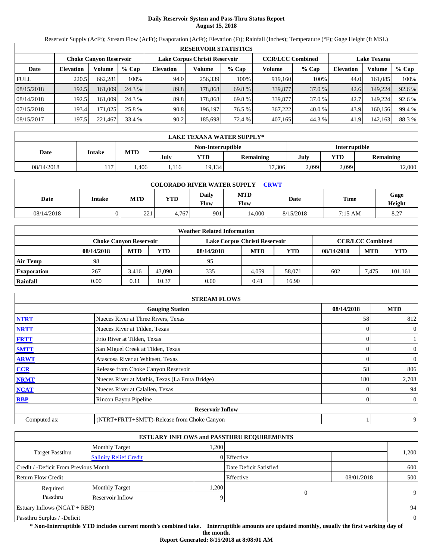# **Daily Reservoir System and Pass-Thru Status Report August 15, 2018**

Reservoir Supply (AcFt); Stream Flow (AcFt); Evaporation (AcFt); Elevation (Ft); Rainfall (Inches); Temperature (°F); Gage Height (ft MSL)

|             | <b>RESERVOIR STATISTICS</b> |                               |         |                               |         |         |                         |         |                    |         |        |  |  |
|-------------|-----------------------------|-------------------------------|---------|-------------------------------|---------|---------|-------------------------|---------|--------------------|---------|--------|--|--|
|             |                             | <b>Choke Canyon Reservoir</b> |         | Lake Corpus Christi Reservoir |         |         | <b>CCR/LCC Combined</b> |         | <b>Lake Texana</b> |         |        |  |  |
| Date        | <b>Elevation</b>            | Volume                        | $%$ Cap | <b>Elevation</b>              | Volume  | $%$ Cap | Volume                  | $%$ Cap | <b>Elevation</b>   | Volume  | % Cap  |  |  |
| <b>FULL</b> | 220.5                       | 662.281                       | 100%    | 94.0                          | 256,339 | 100%    | 919,160                 | 100%    | 44.0               | 161.085 | 100%   |  |  |
| 08/15/2018  | 192.5                       | 161,009                       | 24.3 %  | 89.8                          | 178,868 | 69.8 %  | 339,877                 | 37.0 %  | 42.6               | 149,224 | 92.6 % |  |  |
| 08/14/2018  | 192.5                       | 161.009                       | 24.3 %  | 89.8                          | 178.868 | 69.8 %  | 339,877                 | 37.0 %  | 42.7               | 149.224 | 92.6 % |  |  |
| 07/15/2018  | 193.4                       | 171.025                       | 25.8 %  | 90.8                          | 196.197 | 76.5 %  | 367,222                 | 40.0 %  | 43.9               | 160.156 | 99.4 % |  |  |
| 08/15/2017  | 197.5                       | 221.467                       | 33.4 %  | 90.2                          | 185,698 | 72.4 %  | 407,165                 | 44.3 %  | 41.9               | 142,163 | 88.3 % |  |  |

|            | LAKE TEXANA WATER SUPPLY* |            |      |                   |           |               |                         |        |  |  |
|------------|---------------------------|------------|------|-------------------|-----------|---------------|-------------------------|--------|--|--|
|            |                           |            |      | Non-Interruptible |           | Interruptible |                         |        |  |  |
| Date       | Intake                    | <b>MTD</b> | July | <b>YTD</b>        | Remaining | July          | YTD<br><b>Remaining</b> |        |  |  |
| 08/14/2018 | 117                       | .406       | .116 | 19,134            | 17,306    | 2,099         | 2,099                   | 12,000 |  |  |

| <b>COLORADO RIVER WATER SUPPLY</b><br>CRWT |               |                                 |            |               |                    |           |         |                |  |  |  |
|--------------------------------------------|---------------|---------------------------------|------------|---------------|--------------------|-----------|---------|----------------|--|--|--|
| Date                                       | <b>Intake</b> | <b>MTD</b>                      | <b>YTD</b> | Daily<br>Flow | <b>MTD</b><br>Flow | Date      | Time    | Gage<br>Height |  |  |  |
| 08/14/2018                                 |               | 221<br>$\overline{\phantom{a}}$ | 4.767      | 901           | 14.000             | 8/15/2018 | 7:15 AM | 8.27           |  |  |  |

|                    | <b>Weather Related Information</b> |                               |        |            |                               |            |            |                         |            |  |  |  |
|--------------------|------------------------------------|-------------------------------|--------|------------|-------------------------------|------------|------------|-------------------------|------------|--|--|--|
|                    |                                    | <b>Choke Canvon Reservoir</b> |        |            | Lake Corpus Christi Reservoir |            |            | <b>CCR/LCC Combined</b> |            |  |  |  |
|                    | 08/14/2018                         | <b>MTD</b>                    | YTD    | 08/14/2018 | <b>MTD</b>                    | <b>YTD</b> | 08/14/2018 | <b>MTD</b>              | <b>YTD</b> |  |  |  |
| <b>Air Temp</b>    | 98                                 |                               |        | 95         |                               |            |            |                         |            |  |  |  |
| <b>Evaporation</b> | 267                                | 3.416                         | 43,090 | 335        | 4.059                         | 58.071     | 602        | 7.475                   | 101,161    |  |  |  |
| Rainfall           | 0.00                               | 0.11                          | 10.37  | 0.00       | 0.41                          | 16.90      |            |                         |            |  |  |  |

|              | <b>STREAM FLOWS</b>                             |            |                |
|--------------|-------------------------------------------------|------------|----------------|
|              | <b>Gauging Station</b>                          | 08/14/2018 | <b>MTD</b>     |
| <b>NTRT</b>  | Nueces River at Three Rivers, Texas             | 58         | 812            |
| <b>NRTT</b>  | Nueces River at Tilden, Texas                   |            | $\overline{0}$ |
| <b>FRTT</b>  | Frio River at Tilden, Texas                     |            |                |
| <b>SMTT</b>  | San Miguel Creek at Tilden, Texas               | 0          | $\overline{0}$ |
| <b>ARWT</b>  | Atascosa River at Whitsett, Texas               | $\theta$   | $\overline{0}$ |
| <b>CCR</b>   | Release from Choke Canyon Reservoir             | 58         | 806            |
| <b>NRMT</b>  | Nueces River at Mathis, Texas (La Fruta Bridge) | 180        | 2,708          |
| <b>NCAT</b>  | Nueces River at Calallen, Texas                 |            | 94             |
| <b>RBP</b>   | Rincon Bayou Pipeline                           | 0          | $\overline{0}$ |
|              | <b>Reservoir Inflow</b>                         |            |                |
| Computed as: | (NTRT+FRTT+SMTT)-Release from Choke Canyon      |            | 9              |

|                                       |                               |      | <b>ESTUARY INFLOWS and PASSTHRU REQUIREMENTS</b> |            |          |
|---------------------------------------|-------------------------------|------|--------------------------------------------------|------------|----------|
|                                       | <b>Monthly Target</b>         | ,200 |                                                  |            |          |
| Target Passthru                       | <b>Salinity Relief Credit</b> |      | 0 Effective                                      |            | 1,200    |
| Credit / -Deficit From Previous Month |                               |      | Date Deficit Satisfied                           |            | 600      |
| <b>Return Flow Credit</b>             |                               |      | Effective                                        | 08/01/2018 | 500      |
| Required                              | <b>Monthly Target</b>         | ,200 |                                                  |            |          |
| Passthru                              | Reservoir Inflow              | O    | 0                                                |            | 9        |
| Estuary Inflows $(NCAT + RBP)$        |                               |      |                                                  |            | 94       |
| Passthru Surplus / -Deficit           |                               |      |                                                  |            | $\theta$ |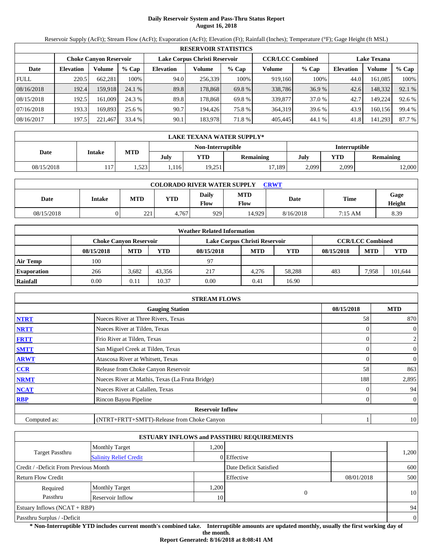# **Daily Reservoir System and Pass-Thru Status Report August 16, 2018**

Reservoir Supply (AcFt); Stream Flow (AcFt); Evaporation (AcFt); Elevation (Ft); Rainfall (Inches); Temperature (°F); Gage Height (ft MSL)

|             | <b>RESERVOIR STATISTICS</b> |                               |         |                               |         |         |                         |         |                    |         |        |  |  |
|-------------|-----------------------------|-------------------------------|---------|-------------------------------|---------|---------|-------------------------|---------|--------------------|---------|--------|--|--|
|             |                             | <b>Choke Canyon Reservoir</b> |         | Lake Corpus Christi Reservoir |         |         | <b>CCR/LCC Combined</b> |         | <b>Lake Texana</b> |         |        |  |  |
| Date        | <b>Elevation</b>            | Volume                        | $%$ Cap | <b>Elevation</b>              | Volume  | $%$ Cap | Volume                  | $%$ Cap | <b>Elevation</b>   | Volume  | % Cap  |  |  |
| <b>FULL</b> | 220.5                       | 662.281                       | 100%    | 94.0                          | 256,339 | 100%    | 919,160                 | 100%    | 44.0               | 161.085 | 100%   |  |  |
| 08/16/2018  | 192.4                       | 159.918                       | 24.1 %  | 89.8                          | 178,868 | 69.8 %  | 338,786                 | 36.9%   | 42.6               | 148,332 | 92.1 % |  |  |
| 08/15/2018  | 192.5                       | 161.009                       | 24.3 %  | 89.8                          | 178.868 | 69.8 %  | 339,877                 | 37.0 %  | 42.7               | 149.224 | 92.6 % |  |  |
| 07/16/2018  | 193.3                       | 169.893                       | 25.6 %  | 90.7                          | 194.426 | 75.8 %  | 364,319                 | 39.6 %  | 43.9               | 160.156 | 99.4 % |  |  |
| 08/16/2017  | 197.5                       | 221.467                       | 33.4 %  | 90.1                          | 183,978 | 71.8 %  | 405,445                 | 44.1 %  | 41.8               | 141,293 | 87.7 % |  |  |

|            | LAKE TEXANA WATER SUPPLY* |            |      |                   |                  |               |                  |        |  |  |
|------------|---------------------------|------------|------|-------------------|------------------|---------------|------------------|--------|--|--|
|            |                           |            |      | Non-Interruptible |                  | Interruptible |                  |        |  |  |
| Date       | Intake                    | <b>MTD</b> | July | YTD               | <b>Remaining</b> | July          | YTD<br>Remaining |        |  |  |
| 08/15/2018 | 117.                      | .523       | .116 | 19,251            | 1/189            | 2,099         | 2,099            | 12,000 |  |  |

| <b>COLORADO RIVER WATER SUPPLY</b><br>CRWT |        |              |            |                      |                    |           |             |                |  |  |  |
|--------------------------------------------|--------|--------------|------------|----------------------|--------------------|-----------|-------------|----------------|--|--|--|
| Date                                       | Intake | <b>MTD</b>   | <b>YTD</b> | Daily<br><b>Flow</b> | <b>MTD</b><br>Flow | Date      | <b>Time</b> | Gage<br>Height |  |  |  |
| 08/15/2018                                 |        | 221<br>۔ ے ب | 4.767      | 9291                 | 14.929             | 8/16/2018 | 7:15 AM     | 8.39           |  |  |  |

|                    | <b>Weather Related Information</b> |                               |        |                               |            |            |            |                         |            |  |  |  |
|--------------------|------------------------------------|-------------------------------|--------|-------------------------------|------------|------------|------------|-------------------------|------------|--|--|--|
|                    |                                    | <b>Choke Canvon Reservoir</b> |        | Lake Corpus Christi Reservoir |            |            |            | <b>CCR/LCC Combined</b> |            |  |  |  |
|                    | 08/15/2018                         | <b>MTD</b>                    | YTD    | 08/15/2018                    | <b>MTD</b> | <b>YTD</b> | 08/15/2018 | <b>MTD</b>              | <b>YTD</b> |  |  |  |
| <b>Air Temp</b>    | 100                                |                               |        | 97                            |            |            |            |                         |            |  |  |  |
| <b>Evaporation</b> | 266                                | 3.682                         | 43.356 | 217                           | 4.276      | 58.288     | 483        | 7.958                   | 101,644    |  |  |  |
| Rainfall           | 0.00                               | 0.11                          | 10.37  | 0.00                          | 0.41       | 16.90      |            |                         |            |  |  |  |

|              | <b>STREAM FLOWS</b>                             |            |                |
|--------------|-------------------------------------------------|------------|----------------|
|              | <b>Gauging Station</b>                          | 08/15/2018 | <b>MTD</b>     |
| <b>NTRT</b>  | Nueces River at Three Rivers, Texas             | 58         | 870            |
| <b>NRTT</b>  | Nueces River at Tilden, Texas                   |            | $\mathbf{0}$   |
| <b>FRTT</b>  | Frio River at Tilden, Texas                     |            | $\overline{c}$ |
| <b>SMTT</b>  | San Miguel Creek at Tilden, Texas               | $\theta$   | $\mathbf{0}$   |
| <b>ARWT</b>  | Atascosa River at Whitsett, Texas               | 0          | $\mathbf{0}$   |
| <b>CCR</b>   | Release from Choke Canyon Reservoir             | 58         | 863            |
| <b>NRMT</b>  | Nueces River at Mathis, Texas (La Fruta Bridge) | 188        | 2,895          |
| <b>NCAT</b>  | Nueces River at Calallen, Texas                 |            | 94             |
| <b>RBP</b>   | Rincon Bayou Pipeline                           |            | $\overline{0}$ |
|              | <b>Reservoir Inflow</b>                         |            |                |
| Computed as: | (NTRT+FRTT+SMTT)-Release from Choke Canyon      |            | 10             |

|                                       |                               |      | <b>ESTUARY INFLOWS and PASSTHRU REQUIREMENTS</b> |            |                |
|---------------------------------------|-------------------------------|------|--------------------------------------------------|------------|----------------|
|                                       | <b>Monthly Target</b>         | .200 |                                                  |            |                |
| Target Passthru                       | <b>Salinity Relief Credit</b> |      | 0 Effective                                      |            | 1,200          |
| Credit / -Deficit From Previous Month |                               |      | Date Deficit Satisfied                           |            | 600            |
| <b>Return Flow Credit</b>             |                               |      | Effective                                        | 08/01/2018 | 500            |
| Required                              | <b>Monthly Target</b>         | ,200 |                                                  |            |                |
| Passthru                              | Reservoir Inflow              | 10   | 0                                                |            | 10             |
| <b>Estuary Inflows (NCAT + RBP)</b>   |                               |      |                                                  |            | 94             |
| Passthru Surplus / -Deficit           |                               |      |                                                  |            | $\overline{0}$ |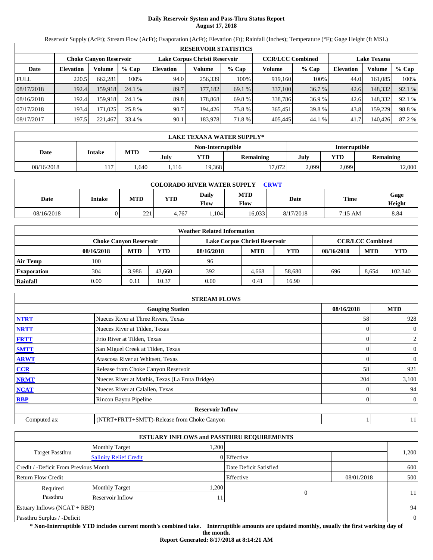# **Daily Reservoir System and Pass-Thru Status Report August 17, 2018**

Reservoir Supply (AcFt); Stream Flow (AcFt); Evaporation (AcFt); Elevation (Ft); Rainfall (Inches); Temperature (°F); Gage Height (ft MSL)

|             | <b>RESERVOIR STATISTICS</b> |                               |         |                               |         |         |                         |         |                    |         |        |  |  |
|-------------|-----------------------------|-------------------------------|---------|-------------------------------|---------|---------|-------------------------|---------|--------------------|---------|--------|--|--|
|             |                             | <b>Choke Canyon Reservoir</b> |         | Lake Corpus Christi Reservoir |         |         | <b>CCR/LCC Combined</b> |         | <b>Lake Texana</b> |         |        |  |  |
| Date        | <b>Elevation</b>            | Volume                        | $%$ Cap | <b>Elevation</b>              | Volume  | $%$ Cap | Volume                  | $%$ Cap | <b>Elevation</b>   | Volume  | % Cap  |  |  |
| <b>FULL</b> | 220.5                       | 662.281                       | 100%    | 94.0                          | 256,339 | 100%    | 919,160                 | 100%    | 44.0               | 161.085 | 100%   |  |  |
| 08/17/2018  | 192.4                       | 159.918                       | 24.1 %  | 89.7                          | 177.182 | 69.1 %  | 337,100                 | 36.7 %  | 42.6               | 148,332 | 92.1 % |  |  |
| 08/16/2018  | 192.4                       | 159.918                       | 24.1 %  | 89.8                          | 178.868 | 69.8 %  | 338,786                 | 36.9 %  | 42.6               | 148.332 | 92.1 % |  |  |
| 07/17/2018  | 193.4                       | 171.025                       | 25.8 %  | 90.7                          | 194.426 | 75.8 %  | 365,451                 | 39.8 %  | 43.8               | 159.229 | 98.8%  |  |  |
| 08/17/2017  | 197.5                       | 221.467                       | 33.4 %  | 90.1                          | 183,978 | 71.8 %  | 405,445                 | 44.1%   | 41.7               | 140.426 | 87.2 % |  |  |

|            | LAKE TEXANA WATER SUPPLY* |            |      |                   |                  |               |       |                  |  |  |  |
|------------|---------------------------|------------|------|-------------------|------------------|---------------|-------|------------------|--|--|--|
|            |                           |            |      | Non-Interruptible |                  | Interruptible |       |                  |  |  |  |
| Date       | <b>Intake</b>             | <b>MTD</b> | July | YTD               | <b>Remaining</b> | July          | YTD   | <b>Remaining</b> |  |  |  |
| 08/16/2018 | 117.                      | .640       | .116 | 19.3681           | 17.072           | 2,099         | 2,099 | 12,000           |  |  |  |

| <b>COLORADO RIVER WATER SUPPLY</b><br>CRWT |        |            |            |                      |                    |           |           |                |  |  |  |
|--------------------------------------------|--------|------------|------------|----------------------|--------------------|-----------|-----------|----------------|--|--|--|
| Date                                       | Intake | <b>MTD</b> | <b>YTD</b> | Daily<br><b>Flow</b> | <b>MTD</b><br>Flow | Date      | Time      | Gage<br>Height |  |  |  |
| 08/16/2018                                 |        | 221        | 4.767      | .104                 | 16.033             | 8/17/2018 | $7:15$ AM | 8.84           |  |  |  |

|                    | <b>Weather Related Information</b> |                               |        |                               |            |            |            |                         |         |  |  |  |
|--------------------|------------------------------------|-------------------------------|--------|-------------------------------|------------|------------|------------|-------------------------|---------|--|--|--|
|                    |                                    | <b>Choke Canvon Reservoir</b> |        | Lake Corpus Christi Reservoir |            |            |            | <b>CCR/LCC Combined</b> |         |  |  |  |
|                    | 08/16/2018                         | <b>MTD</b>                    | YTD    | 08/16/2018                    | <b>MTD</b> | <b>YTD</b> | 08/16/2018 | <b>MTD</b>              | YTD     |  |  |  |
| <b>Air Temp</b>    | 100                                |                               |        | 96                            |            |            |            |                         |         |  |  |  |
| <b>Evaporation</b> | 304                                | 3.986                         | 43.660 | 392                           | 4.668      | 58.680     | 696        | 8.654                   | 102,340 |  |  |  |
| Rainfall           | 0.00                               | 0.11                          | 10.37  | 0.00                          | 0.41       | 16.90      |            |                         |         |  |  |  |

|              | <b>STREAM FLOWS</b>                             |            |                |
|--------------|-------------------------------------------------|------------|----------------|
|              | <b>Gauging Station</b>                          | 08/16/2018 | <b>MTD</b>     |
| <b>NTRT</b>  | Nueces River at Three Rivers, Texas             | 58         | 928            |
| <b>NRTT</b>  | Nueces River at Tilden, Texas                   |            | $\overline{0}$ |
| <b>FRTT</b>  | Frio River at Tilden, Texas                     |            | $\overline{2}$ |
| <b>SMTT</b>  | San Miguel Creek at Tilden, Texas               | 0          | $\overline{0}$ |
| <b>ARWT</b>  | Atascosa River at Whitsett, Texas               | 0          | $\overline{0}$ |
| CCR          | Release from Choke Canyon Reservoir             | 58         | 921            |
| <b>NRMT</b>  | Nueces River at Mathis, Texas (La Fruta Bridge) | 204        | 3,100          |
| <b>NCAT</b>  | Nueces River at Calallen, Texas                 |            | 94             |
| <b>RBP</b>   | Rincon Bayou Pipeline                           | 0          | $\overline{0}$ |
|              | <b>Reservoir Inflow</b>                         |            |                |
| Computed as: | (NTRT+FRTT+SMTT)-Release from Choke Canyon      |            | 11             |

|                                       |                               |      | <b>ESTUARY INFLOWS and PASSTHRU REQUIREMENTS</b> |            |                |
|---------------------------------------|-------------------------------|------|--------------------------------------------------|------------|----------------|
|                                       | <b>Monthly Target</b>         | .200 |                                                  |            |                |
| <b>Target Passthru</b>                | <b>Salinity Relief Credit</b> |      | 0 Effective                                      |            | 1,200          |
| Credit / -Deficit From Previous Month |                               |      | Date Deficit Satisfied                           |            | 600            |
| <b>Return Flow Credit</b>             |                               |      | Effective                                        | 08/01/2018 | 500            |
| Required                              | <b>Monthly Target</b>         | ,200 |                                                  |            |                |
| Passthru                              | Reservoir Inflow              | 11   | 0                                                |            | 11             |
| Estuary Inflows $(NCAT + RBP)$        |                               |      |                                                  |            | 94             |
| Passthru Surplus / -Deficit           |                               |      |                                                  |            | $\overline{0}$ |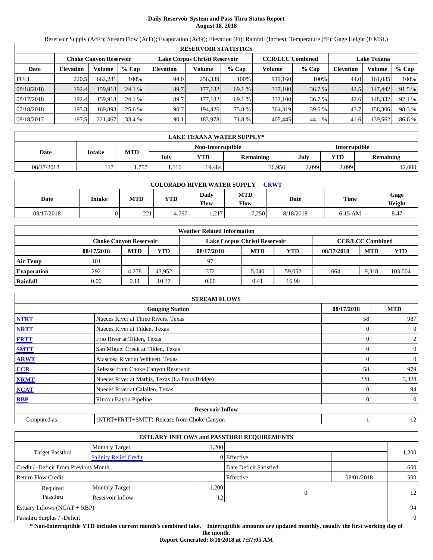# **Daily Reservoir System and Pass-Thru Status Report August 18, 2018**

Reservoir Supply (AcFt); Stream Flow (AcFt); Evaporation (AcFt); Elevation (Ft); Rainfall (Inches); Temperature (°F); Gage Height (ft MSL)

|             | <b>RESERVOIR STATISTICS</b> |                               |         |                               |         |         |                         |         |                    |         |        |  |  |
|-------------|-----------------------------|-------------------------------|---------|-------------------------------|---------|---------|-------------------------|---------|--------------------|---------|--------|--|--|
|             |                             | <b>Choke Canyon Reservoir</b> |         | Lake Corpus Christi Reservoir |         |         | <b>CCR/LCC Combined</b> |         | <b>Lake Texana</b> |         |        |  |  |
| Date        | <b>Elevation</b>            | Volume                        | $%$ Cap | <b>Elevation</b>              | Volume  | $%$ Cap | Volume                  | $%$ Cap | <b>Elevation</b>   | Volume  | % Cap  |  |  |
| <b>FULL</b> | 220.5                       | 662.281                       | 100%    | 94.0                          | 256,339 | 100%    | 919,160                 | 100%    | 44.0               | 161.085 | 100%   |  |  |
| 08/18/2018  | 192.4                       | 159.918                       | 24.1 %  | 89.7                          | 177.182 | 69.1 %  | 337,100                 | 36.7 %  | 42.5               | 147,442 | 91.5 % |  |  |
| 08/17/2018  | 192.4                       | 159.918                       | 24.1 %  | 89.7                          | 177.182 | 69.1 %  | 337,100                 | 36.7 %  | 42.6               | 148.332 | 92.1 % |  |  |
| 07/18/2018  | 193.3                       | 169.893                       | 25.6 %  | 90.7                          | 194.426 | 75.8 %  | 364,319                 | 39.6 %  | 43.7               | 158,306 | 98.3%  |  |  |
| 08/18/2017  | 197.5                       | 221.467                       | 33.4 %  | 90.1                          | 183,978 | 71.8 %  | 405,445                 | 44.1 %  | 41.6               | 139,562 | 86.6 % |  |  |

|            | LAKE TEXANA WATER SUPPLY* |            |      |                   |                  |               |       |                  |  |  |  |
|------------|---------------------------|------------|------|-------------------|------------------|---------------|-------|------------------|--|--|--|
|            |                           |            |      | Non-Interruptible |                  | Interruptible |       |                  |  |  |  |
| Date       | <b>Intake</b>             | <b>MTD</b> | July | YTD               | <b>Remaining</b> | July          | YTD   | <b>Remaining</b> |  |  |  |
| 08/17/2018 | 117.                      | .757       | .116 | 19.484            | 16.9561          | 2,099         | 2,099 | 12,000           |  |  |  |

| <b>COLORADO RIVER WATER SUPPLY</b><br>CRWT |        |            |            |                      |                    |           |           |                |  |  |  |
|--------------------------------------------|--------|------------|------------|----------------------|--------------------|-----------|-----------|----------------|--|--|--|
| Date                                       | Intake | <b>MTD</b> | <b>YTD</b> | Daily<br><b>Flow</b> | <b>MTD</b><br>Flow | Date      | Time      | Gage<br>Height |  |  |  |
| 08/17/2018                                 |        | 221        | 4.767      | 217<br>.             | 17.250             | 8/18/2018 | $6:15$ AM | 8.47           |  |  |  |

|                    | <b>Weather Related Information</b> |            |        |                               |            |        |            |                         |         |  |  |  |
|--------------------|------------------------------------|------------|--------|-------------------------------|------------|--------|------------|-------------------------|---------|--|--|--|
|                    | <b>Choke Canvon Reservoir</b>      |            |        | Lake Corpus Christi Reservoir |            |        |            | <b>CCR/LCC Combined</b> |         |  |  |  |
|                    | 08/17/2018                         | <b>MTD</b> | YTD    | 08/17/2018                    | <b>MTD</b> | YTD    | 08/17/2018 | <b>MTD</b>              | YTD     |  |  |  |
| <b>Air Temp</b>    | 101                                |            |        | 97                            |            |        |            |                         |         |  |  |  |
| <b>Evaporation</b> | 292                                | 4.278      | 43.952 | 372                           | 5.040      | 59,052 | 664        | 9.318                   | 103,004 |  |  |  |
| Rainfall           | 0.00                               | 0.11       | 10.37  | 0.00                          | 0.41       | 16.90  |            |                         |         |  |  |  |

|              | <b>STREAM FLOWS</b>                             |            |                |
|--------------|-------------------------------------------------|------------|----------------|
|              | <b>Gauging Station</b>                          | 08/17/2018 | <b>MTD</b>     |
| <b>NTRT</b>  | Nueces River at Three Rivers, Texas             | 58         | 987            |
| <b>NRTT</b>  | Nueces River at Tilden, Texas                   |            | $\overline{0}$ |
| <b>FRTT</b>  | Frio River at Tilden, Texas                     |            | $\overline{2}$ |
| <b>SMTT</b>  | San Miguel Creek at Tilden, Texas               | 0          | $\overline{0}$ |
| <b>ARWT</b>  | Atascosa River at Whitsett, Texas               | 0          | $\overline{0}$ |
| CCR          | Release from Choke Canyon Reservoir             | 58         | 979            |
| <b>NRMT</b>  | Nueces River at Mathis, Texas (La Fruta Bridge) | 228        | 3,328          |
| <b>NCAT</b>  | Nueces River at Calallen, Texas                 |            | 94             |
| <b>RBP</b>   | Rincon Bayou Pipeline                           | 0          | $\overline{0}$ |
|              | <b>Reservoir Inflow</b>                         |            |                |
| Computed as: | (NTRT+FRTT+SMTT)-Release from Choke Canyon      |            | 12             |

|                                                         |                       |      | <b>ESTUARY INFLOWS and PASSTHRU REQUIREMENTS</b> |            |                |
|---------------------------------------------------------|-----------------------|------|--------------------------------------------------|------------|----------------|
|                                                         | <b>Monthly Target</b> | .200 |                                                  |            |                |
| <b>Target Passthru</b><br><b>Salinity Relief Credit</b> |                       |      | 0 Effective                                      |            | 1,200          |
| Credit / -Deficit From Previous Month                   |                       |      | Date Deficit Satisfied                           |            | 600            |
| <b>Return Flow Credit</b>                               |                       |      | Effective                                        | 08/01/2018 | 500            |
| Required                                                | <b>Monthly Target</b> | ,200 |                                                  |            |                |
| Passthru                                                | Reservoir Inflow      | 12   | 0                                                |            | 12             |
| Estuary Inflows $(NCAT + RBP)$                          |                       |      |                                                  |            | 94             |
| Passthru Surplus / -Deficit                             |                       |      |                                                  |            | $\overline{0}$ |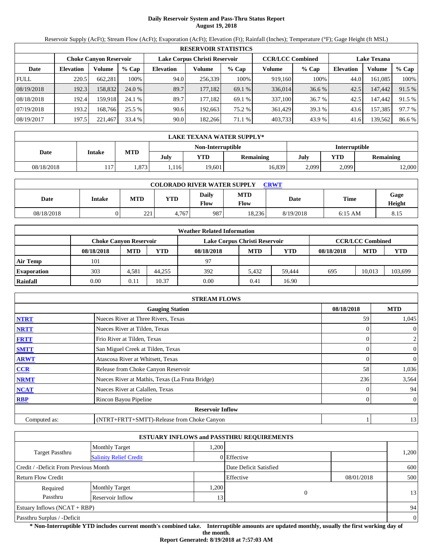# **Daily Reservoir System and Pass-Thru Status Report August 19, 2018**

Reservoir Supply (AcFt); Stream Flow (AcFt); Evaporation (AcFt); Elevation (Ft); Rainfall (Inches); Temperature (°F); Gage Height (ft MSL)

|             | <b>RESERVOIR STATISTICS</b> |                               |         |                               |         |         |                         |         |                    |         |        |  |  |
|-------------|-----------------------------|-------------------------------|---------|-------------------------------|---------|---------|-------------------------|---------|--------------------|---------|--------|--|--|
|             |                             | <b>Choke Canyon Reservoir</b> |         | Lake Corpus Christi Reservoir |         |         | <b>CCR/LCC Combined</b> |         | <b>Lake Texana</b> |         |        |  |  |
| Date        | <b>Elevation</b>            | Volume                        | $%$ Cap | <b>Elevation</b>              | Volume  | $%$ Cap | Volume                  | $%$ Cap | <b>Elevation</b>   | Volume  | % Cap  |  |  |
| <b>FULL</b> | 220.5                       | 662,281                       | 100%    | 94.0                          | 256,339 | 100%    | 919.160                 | 100%    | 44.0               | 161.085 | 100%   |  |  |
| 08/19/2018  | 192.3                       | 158,832                       | 24.0 %  | 89.7                          | 177.182 | 69.1 %  | 336,014                 | 36.6 %  | 42.5               | 147,442 | 91.5 % |  |  |
| 08/18/2018  | 192.4                       | 159.918                       | 24.1 %  | 89.7                          | 177.182 | 69.1 %  | 337,100                 | 36.7 %  | 42.5               | 147,442 | 91.5 % |  |  |
| 07/19/2018  | 193.2                       | 168.766                       | 25.5 %  | 90.6                          | 192.663 | 75.2 %  | 361,429                 | 39.3 %  | 43.6               | 157,385 | 97.7 % |  |  |
| 08/19/2017  | 197.5                       | 221,467                       | 33.4 %  | 90.0                          | 182,266 | 71.1 %  | 403,733                 | 43.9 %  | 41.6               | 139,562 | 86.6%  |  |  |

|            | LAKE TEXANA WATER SUPPLY* |            |      |                   |                  |               |       |           |  |  |
|------------|---------------------------|------------|------|-------------------|------------------|---------------|-------|-----------|--|--|
|            |                           |            |      | Non-Interruptible |                  | Interruptible |       |           |  |  |
| Date       | Intake                    | <b>MTD</b> | July | YTD               | <b>Remaining</b> | YTD<br>July   |       | Remaining |  |  |
| 08/18/2018 | 117                       | .873       | .116 | 19.601            | 16,839           | 2,099         | 2,099 | 12,000    |  |  |

| <b>COLORADO RIVER WATER SUPPLY</b><br><b>CRWT</b> |        |                       |            |                      |                           |           |           |                |  |  |  |
|---------------------------------------------------|--------|-----------------------|------------|----------------------|---------------------------|-----------|-----------|----------------|--|--|--|
| Date                                              | Intake | MTD                   | <b>YTD</b> | Daily<br><b>Flow</b> | <b>MTD</b><br><b>Flow</b> | Date      | Time      | Gage<br>Height |  |  |  |
| 08/18/2018                                        |        | $\mathbf{a}$<br>ل کرک | 4.767      | 987                  | 18,236                    | 8/19/2018 | $6:15$ AM | 8.15           |  |  |  |

|                    |                               |            |        | <b>Weather Related Information</b> |            |            |            |                         |         |
|--------------------|-------------------------------|------------|--------|------------------------------------|------------|------------|------------|-------------------------|---------|
|                    | <b>Choke Canvon Reservoir</b> |            |        | Lake Corpus Christi Reservoir      |            |            |            | <b>CCR/LCC Combined</b> |         |
|                    | 08/18/2018                    | <b>MTD</b> | YTD    | 08/18/2018                         | <b>MTD</b> | <b>YTD</b> | 08/18/2018 | <b>MTD</b>              | YTD     |
| <b>Air Temp</b>    | 101                           |            |        | 97                                 |            |            |            |                         |         |
| <b>Evaporation</b> | 303                           | 4.581      | 44.255 | 392                                | 5.432      | 59.444     | 695        | 10.013                  | 103,699 |
| Rainfall           | 0.00                          | 0.11       | 10.37  | 0.00                               | 0.41       | 16.90      |            |                         |         |

|              | <b>STREAM FLOWS</b>                             |            |                  |
|--------------|-------------------------------------------------|------------|------------------|
|              | <b>Gauging Station</b>                          | 08/18/2018 | <b>MTD</b>       |
| <b>NTRT</b>  | Nueces River at Three Rivers, Texas             | 59         | 1,045            |
| <b>NRTT</b>  | Nueces River at Tilden, Texas                   |            | $\theta$         |
| <b>FRTT</b>  | Frio River at Tilden, Texas                     |            | 2                |
| <b>SMTT</b>  | San Miguel Creek at Tilden, Texas               |            | $\boldsymbol{0}$ |
| <b>ARWT</b>  | Atascosa River at Whitsett, Texas               |            | $\boldsymbol{0}$ |
| <b>CCR</b>   | Release from Choke Canyon Reservoir             | 58         | 1,036            |
| <b>NRMT</b>  | Nueces River at Mathis, Texas (La Fruta Bridge) | 236        | 3,564            |
| <b>NCAT</b>  | Nueces River at Calallen, Texas                 |            | 94               |
| <b>RBP</b>   | Rincon Bayou Pipeline                           |            | $\overline{0}$   |
|              | <b>Reservoir Inflow</b>                         |            |                  |
| Computed as: | (NTRT+FRTT+SMTT)-Release from Choke Canyon      |            | 13               |

|                                                         |                       |      | <b>ESTUARY INFLOWS and PASSTHRU REQUIREMENTS</b> |            |                |
|---------------------------------------------------------|-----------------------|------|--------------------------------------------------|------------|----------------|
|                                                         | <b>Monthly Target</b> | .200 |                                                  |            |                |
| <b>Target Passthru</b><br><b>Salinity Relief Credit</b> |                       |      | 0 Effective                                      |            | 1,200          |
| Credit / -Deficit From Previous Month                   |                       |      | Date Deficit Satisfied                           |            | 600            |
| <b>Return Flow Credit</b>                               |                       |      | Effective                                        | 08/01/2018 | 500            |
| Required                                                | <b>Monthly Target</b> | ,200 |                                                  |            |                |
| Passthru                                                | Reservoir Inflow      | 13   | 0                                                |            | 13             |
| Estuary Inflows $(NCAT + RBP)$                          |                       |      |                                                  |            | 94             |
| Passthru Surplus / -Deficit                             |                       |      |                                                  |            | $\overline{0}$ |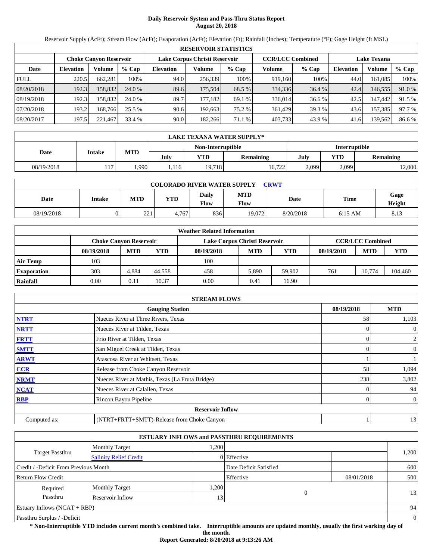# **Daily Reservoir System and Pass-Thru Status Report August 20, 2018**

Reservoir Supply (AcFt); Stream Flow (AcFt); Evaporation (AcFt); Elevation (Ft); Rainfall (Inches); Temperature (°F); Gage Height (ft MSL)

|             | <b>RESERVOIR STATISTICS</b> |                        |         |                               |         |         |                         |         |                    |         |        |  |
|-------------|-----------------------------|------------------------|---------|-------------------------------|---------|---------|-------------------------|---------|--------------------|---------|--------|--|
|             |                             | Choke Canvon Reservoir |         | Lake Corpus Christi Reservoir |         |         | <b>CCR/LCC Combined</b> |         | <b>Lake Texana</b> |         |        |  |
| Date        | <b>Elevation</b>            | Volume                 | $%$ Cap | <b>Elevation</b>              | Volume  | $%$ Cap | Volume                  | $%$ Cap | <b>Elevation</b>   | Volume  | % Cap  |  |
| <b>FULL</b> | 220.5                       | 662,281                | 100%    | 94.0                          | 256,339 | 100%    | 919,160                 | 100%    | 44.0               | 161,085 | 100%   |  |
| 08/20/2018  | 192.3                       | 158,832                | 24.0 %  | 89.6                          | 175,504 | 68.5 %  | 334,336                 | 36.4 %  | 42.4               | 146,555 | 91.0 % |  |
| 08/19/2018  | 192.3                       | 158.832                | 24.0 %  | 89.7                          | 177.182 | 69.1 %  | 336,014                 | 36.6 %  | 42.5               | 147,442 | 91.5 % |  |
| 07/20/2018  | 193.2                       | 168.766                | 25.5 %  | 90.6                          | 192,663 | 75.2 %  | 361,429                 | 39.3 %  | 43.6               | 157,385 | 97.7 % |  |
| 08/20/2017  | 197.5                       | 221,467                | 33.4 %  | 90.0                          | 182,266 | 71.1 %  | 403,733                 | 43.9 %  | 41.6               | 139,562 | 86.6%  |  |

|            | LAKE TEXANA WATER SUPPLY* |            |      |                   |                  |               |                  |        |  |  |
|------------|---------------------------|------------|------|-------------------|------------------|---------------|------------------|--------|--|--|
|            |                           |            |      | Non-Interruptible |                  | Interruptible |                  |        |  |  |
| Date       | Intake                    | <b>MTD</b> | July | YTD               | <b>Remaining</b> | July          | YTD<br>Remaining |        |  |  |
| 08/19/2018 | 117.                      | .990       | .116 | 19,718            | 16,722           | 2,099         | 2,099            | 12,000 |  |  |

| <b>COLORADO RIVER WATER SUPPLY</b><br><b>CRWT</b> |        |                     |       |                      |                           |           |           |                |  |  |
|---------------------------------------------------|--------|---------------------|-------|----------------------|---------------------------|-----------|-----------|----------------|--|--|
| Date                                              | Intake | MTD                 | YTD   | <b>Daily</b><br>Flow | <b>MTD</b><br><b>Flow</b> | Date      | Time      | Gage<br>Height |  |  |
| 08/19/2018                                        |        | $\mathbf{a}$<br>ـــ | 4.767 | 836                  | 19.072                    | 8/20/2018 | $6:15$ AM | 8.13           |  |  |

|                    |                               |            |        | <b>Weather Related Information</b> |            |            |            |                         |         |
|--------------------|-------------------------------|------------|--------|------------------------------------|------------|------------|------------|-------------------------|---------|
|                    | <b>Choke Canyon Reservoir</b> |            |        | Lake Corpus Christi Reservoir      |            |            |            | <b>CCR/LCC Combined</b> |         |
|                    | 08/19/2018                    | <b>MTD</b> | YTD    | 08/19/2018                         | <b>MTD</b> | <b>YTD</b> | 08/19/2018 | <b>MTD</b>              | YTD     |
| <b>Air Temp</b>    | 103                           |            |        | 100                                |            |            |            |                         |         |
| <b>Evaporation</b> | 303                           | 4.884      | 44.558 | 458                                | 5,890      | 59.902     | 761        | 10.774                  | 104,460 |
| Rainfall           | 0.00                          | 0.11       | 10.37  | 0.00                               | 0.41       | 16.90      |            |                         |         |

|              | <b>STREAM FLOWS</b>                             |            |                  |
|--------------|-------------------------------------------------|------------|------------------|
|              | <b>Gauging Station</b>                          | 08/19/2018 | <b>MTD</b>       |
| <b>NTRT</b>  | Nueces River at Three Rivers, Texas             | 58         | 1,103            |
| <b>NRTT</b>  | Nueces River at Tilden, Texas                   |            | $\theta$         |
| <b>FRTT</b>  | Frio River at Tilden, Texas                     |            | 2                |
| <b>SMTT</b>  | San Miguel Creek at Tilden, Texas               |            | $\boldsymbol{0}$ |
| <b>ARWT</b>  | Atascosa River at Whitsett, Texas               |            |                  |
| <b>CCR</b>   | Release from Choke Canyon Reservoir             | 58         | 1,094            |
| <b>NRMT</b>  | Nueces River at Mathis, Texas (La Fruta Bridge) | 238        | 3,802            |
| <b>NCAT</b>  | Nueces River at Calallen, Texas                 |            | 94               |
| <b>RBP</b>   | Rincon Bayou Pipeline                           |            | $\overline{0}$   |
|              | <b>Reservoir Inflow</b>                         |            |                  |
| Computed as: | (NTRT+FRTT+SMTT)-Release from Choke Canyon      |            | 13               |

|                                                         |                       |      | <b>ESTUARY INFLOWS and PASSTHRU REQUIREMENTS</b> |            |                |
|---------------------------------------------------------|-----------------------|------|--------------------------------------------------|------------|----------------|
|                                                         | <b>Monthly Target</b> | .200 |                                                  |            |                |
| <b>Target Passthru</b><br><b>Salinity Relief Credit</b> |                       |      | 0 Effective                                      |            | 1,200          |
| Credit / -Deficit From Previous Month                   |                       |      | Date Deficit Satisfied                           |            | 600            |
| <b>Return Flow Credit</b>                               |                       |      | Effective                                        | 08/01/2018 | 500            |
| Required                                                | <b>Monthly Target</b> | ,200 |                                                  |            |                |
| Passthru                                                | Reservoir Inflow      | 13   | 0                                                |            | 13             |
| Estuary Inflows $(NCAT + RBP)$                          |                       |      |                                                  |            | 94             |
| Passthru Surplus / -Deficit                             |                       |      |                                                  |            | $\overline{0}$ |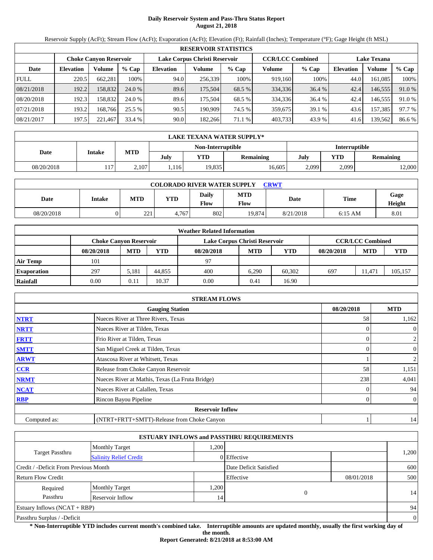# **Daily Reservoir System and Pass-Thru Status Report August 21, 2018**

Reservoir Supply (AcFt); Stream Flow (AcFt); Evaporation (AcFt); Elevation (Ft); Rainfall (Inches); Temperature (°F); Gage Height (ft MSL)

|             | <b>RESERVOIR STATISTICS</b> |                               |         |                  |                               |         |                         |         |                    |         |        |  |  |
|-------------|-----------------------------|-------------------------------|---------|------------------|-------------------------------|---------|-------------------------|---------|--------------------|---------|--------|--|--|
|             |                             | <b>Choke Canyon Reservoir</b> |         |                  | Lake Corpus Christi Reservoir |         | <b>CCR/LCC Combined</b> |         | <b>Lake Texana</b> |         |        |  |  |
| Date        | <b>Elevation</b>            | Volume                        | $%$ Cap | <b>Elevation</b> | Volume                        | $%$ Cap | Volume                  | $%$ Cap | <b>Elevation</b>   | Volume  | % Cap  |  |  |
| <b>FULL</b> | 220.5                       | 662,281                       | 100%    | 94.0             | 256,339                       | 100%    | 919.160                 | 100%    | 44.0               | 161.085 | 100%   |  |  |
| 08/21/2018  | 192.2                       | 158,832                       | 24.0 %  | 89.6             | 175.504                       | 68.5 %  | 334,336                 | 36.4 %  | 42.4               | 146,555 | 91.0 % |  |  |
| 08/20/2018  | 192.3                       | 158.832                       | 24.0 %  | 89.6             | 175.504                       | 68.5 %  | 334,336                 | 36.4 %  | 42.4               | 146,555 | 91.0%  |  |  |
| 07/21/2018  | 193.2                       | 168.766                       | 25.5 %  | 90.5             | 190.909                       | 74.5 %  | 359,675                 | 39.1 %  | 43.6               | 157,385 | 97.7 % |  |  |
| 08/21/2017  | 197.5                       | 221,467                       | 33.4 %  | 90.0             | 182,266                       | 71.1 %  | 403,733                 | 43.9 %  | 41.6               | 139,562 | 86.6%  |  |  |

|            | LAKE TEXANA WATER SUPPLY* |            |      |                   |                  |               |                         |        |  |  |  |
|------------|---------------------------|------------|------|-------------------|------------------|---------------|-------------------------|--------|--|--|--|
|            |                           |            |      | Non-Interruptible |                  | Interruptible |                         |        |  |  |  |
| Date       | Intake                    | <b>MTD</b> | July | YTD               | <b>Remaining</b> | July          | YTD<br><b>Remaining</b> |        |  |  |  |
| 08/20/2018 | 117.                      | 2,107      | .116 | 19.835            | 16,605           | 2,099         | 2,099                   | 12,000 |  |  |  |

| <b>COLORADO RIVER WATER SUPPLY</b><br>CRWT |        |              |            |               |                           |           |             |                |  |  |  |
|--------------------------------------------|--------|--------------|------------|---------------|---------------------------|-----------|-------------|----------------|--|--|--|
| Date                                       | Intake | <b>MTD</b>   | <b>YTD</b> | Daily<br>Flow | <b>MTD</b><br><b>Flow</b> | Date      | <b>Time</b> | Gage<br>Height |  |  |  |
| 08/20/2018                                 |        | 221<br>۔ ے ب | 4.767      | 802           | 19.874                    | 8/21/2018 | $6:15$ AM   | 8.01           |  |  |  |

|                    |                               |            |        | <b>Weather Related Information</b> |            |            |            |                         |         |
|--------------------|-------------------------------|------------|--------|------------------------------------|------------|------------|------------|-------------------------|---------|
|                    | <b>Choke Canvon Reservoir</b> |            |        | Lake Corpus Christi Reservoir      |            |            |            | <b>CCR/LCC Combined</b> |         |
|                    | 08/20/2018                    | <b>MTD</b> | YTD    | 08/20/2018                         | <b>MTD</b> | <b>YTD</b> | 08/20/2018 | <b>MTD</b>              | YTD     |
| <b>Air Temp</b>    | 101                           |            |        | 97                                 |            |            |            |                         |         |
| <b>Evaporation</b> | 297                           | 5.181      | 44.855 | 400                                | 6.290      | 60.302     | 697        | 1.471                   | 105,157 |
| Rainfall           | 0.00                          | 0.11       | 10.37  | 0.00                               | 0.41       | 16.90      |            |                         |         |

|              | <b>STREAM FLOWS</b>                             |            |                  |
|--------------|-------------------------------------------------|------------|------------------|
|              | <b>Gauging Station</b>                          | 08/20/2018 | <b>MTD</b>       |
| <b>NTRT</b>  | Nueces River at Three Rivers, Texas             | 58         | 1,162            |
| <b>NRTT</b>  | Nueces River at Tilden, Texas                   |            | $\mathbf{0}$     |
| <b>FRTT</b>  | Frio River at Tilden, Texas                     |            | 2                |
| <b>SMTT</b>  | San Miguel Creek at Tilden, Texas               |            | $\boldsymbol{0}$ |
| <b>ARWT</b>  | Atascosa River at Whitsett, Texas               |            | $\overline{2}$   |
| <b>CCR</b>   | Release from Choke Canyon Reservoir             | 58         | 1,151            |
| <b>NRMT</b>  | Nueces River at Mathis, Texas (La Fruta Bridge) | 238        | 4,041            |
| <b>NCAT</b>  | Nueces River at Calallen, Texas                 |            | 94               |
| <b>RBP</b>   | Rincon Bayou Pipeline                           |            | $\overline{0}$   |
|              | <b>Reservoir Inflow</b>                         |            |                  |
| Computed as: | (NTRT+FRTT+SMTT)-Release from Choke Canyon      |            | 14               |

|                                                         |                       |      | <b>ESTUARY INFLOWS and PASSTHRU REQUIREMENTS</b> |            |                |
|---------------------------------------------------------|-----------------------|------|--------------------------------------------------|------------|----------------|
|                                                         | <b>Monthly Target</b> | .200 |                                                  |            |                |
| <b>Target Passthru</b><br><b>Salinity Relief Credit</b> |                       |      | 0 Effective                                      |            | 1,200          |
| Credit / -Deficit From Previous Month                   |                       |      | Date Deficit Satisfied                           |            | 600            |
| <b>Return Flow Credit</b>                               |                       |      | Effective                                        | 08/01/2018 | 500            |
| Required                                                | <b>Monthly Target</b> | ,200 |                                                  |            |                |
| Passthru                                                | Reservoir Inflow      | 14   | 0                                                |            | 14             |
| Estuary Inflows $(NCAT + RBP)$                          |                       |      |                                                  |            | 94             |
| Passthru Surplus / -Deficit                             |                       |      |                                                  |            | $\overline{0}$ |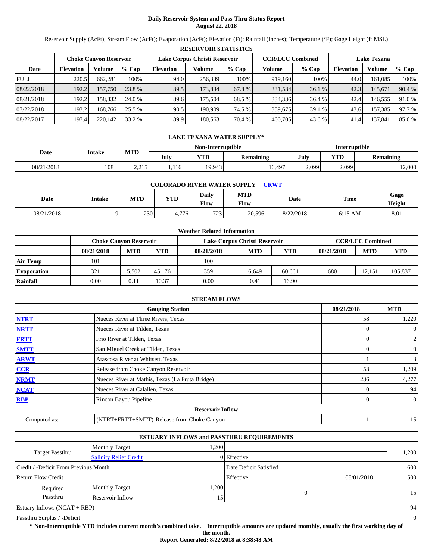# **Daily Reservoir System and Pass-Thru Status Report August 22, 2018**

Reservoir Supply (AcFt); Stream Flow (AcFt); Evaporation (AcFt); Elevation (Ft); Rainfall (Inches); Temperature (°F); Gage Height (ft MSL)

|             | <b>RESERVOIR STATISTICS</b> |                        |         |                               |         |         |                         |        |                    |         |        |  |  |
|-------------|-----------------------------|------------------------|---------|-------------------------------|---------|---------|-------------------------|--------|--------------------|---------|--------|--|--|
|             |                             | Choke Canvon Reservoir |         | Lake Corpus Christi Reservoir |         |         | <b>CCR/LCC Combined</b> |        | <b>Lake Texana</b> |         |        |  |  |
| Date        | <b>Elevation</b>            | Volume                 | $%$ Cap | <b>Elevation</b>              | Volume  | $%$ Cap | Volume                  | % Cap  | <b>Elevation</b>   | Volume  | % Cap  |  |  |
| <b>FULL</b> | 220.5                       | 662,281                | 100%    | 94.0                          | 256.339 | 100%    | 919,160                 | 100%   | 44.0               | 161,085 | 100%   |  |  |
| 08/22/2018  | 192.2                       | 157,750                | 23.8 %  | 89.5                          | 173,834 | 67.8 %  | 331,584                 | 36.1 % | 42.3               | 145,671 | 90.4 % |  |  |
| 08/21/2018  | 192.2                       | 158.832                | 24.0 %  | 89.6                          | 175.504 | 68.5 %  | 334,336                 | 36.4 % | 42.4               | 146.555 | 91.0 % |  |  |
| 07/22/2018  | 193.2                       | 168.766                | 25.5 %  | 90.5                          | 190.909 | 74.5 %  | 359,675                 | 39.1 % | 43.6               | 157,385 | 97.7 % |  |  |
| 08/22/2017  | 197.4                       | 220,142                | 33.2 %  | 89.9                          | 180,563 | 70.4 %  | 400,705                 | 43.6 % | 41.4               | 137,841 | 85.6 % |  |  |

|            | <b>LAKE TEXANA WATER SUPPLY*</b> |            |      |                   |           |               |                  |       |  |  |
|------------|----------------------------------|------------|------|-------------------|-----------|---------------|------------------|-------|--|--|
|            |                                  |            |      | Non-Interruptible |           | Interruptible |                  |       |  |  |
| Date       | Intake                           | <b>MTD</b> | July | <b>YTD</b>        | Remaining | July          | YTD<br>Remaining |       |  |  |
| 08/21/2018 | 108                              | 2,215      | ,116 | 19,943            | 16,497    | 2,099         | 2,099            | 2,000 |  |  |

| <b>COLORADO RIVER WATER SUPPLY</b><br><b>CRWT</b> |        |     |       |               |                    |           |           |                |  |  |  |
|---------------------------------------------------|--------|-----|-------|---------------|--------------------|-----------|-----------|----------------|--|--|--|
| Date                                              | Intake | MTD | YTD   | Daily<br>Flow | <b>MTD</b><br>Flow | Date      | Time      | Gage<br>Height |  |  |  |
| 08/21/2018                                        |        | 230 | 4.776 | 723           | 20.596             | 8/22/2018 | $6:15$ AM | 8.01           |  |  |  |

|                    |                               |            |        | <b>Weather Related Information</b> |            |            |            |                         |         |
|--------------------|-------------------------------|------------|--------|------------------------------------|------------|------------|------------|-------------------------|---------|
|                    | <b>Choke Canvon Reservoir</b> |            |        | Lake Corpus Christi Reservoir      |            |            |            | <b>CCR/LCC Combined</b> |         |
|                    | 08/21/2018                    | <b>MTD</b> | YTD    | 08/21/2018                         | <b>MTD</b> | <b>YTD</b> | 08/21/2018 | <b>MTD</b>              | YTD     |
| <b>Air Temp</b>    | 101                           |            |        | 100                                |            |            |            |                         |         |
| <b>Evaporation</b> | 321                           | 5.502      | 45.176 | 359                                | 6.649      | 60.661     | 680        | 12.151                  | 105,837 |
| Rainfall           | 0.00                          | 0.11       | 10.37  | 0.00                               | 0.41       | 16.90      |            |                         |         |

|              | <b>STREAM FLOWS</b>                             |            |                |
|--------------|-------------------------------------------------|------------|----------------|
|              | <b>Gauging Station</b>                          | 08/21/2018 | <b>MTD</b>     |
| <b>NTRT</b>  | Nueces River at Three Rivers, Texas             | 58         | 1,220          |
| <b>NRTT</b>  | Nueces River at Tilden, Texas                   |            | $\overline{0}$ |
| <b>FRTT</b>  | Frio River at Tilden, Texas                     |            | $\overline{c}$ |
| <b>SMTT</b>  | San Miguel Creek at Tilden, Texas               | 0          | $\mathbf{0}$   |
| <b>ARWT</b>  | Atascosa River at Whitsett, Texas               |            | $\mathfrak{Z}$ |
| <b>CCR</b>   | Release from Choke Canyon Reservoir             | 58         | 1,209          |
| <b>NRMT</b>  | Nueces River at Mathis, Texas (La Fruta Bridge) | 236        | 4,277          |
| <b>NCAT</b>  | Nueces River at Calallen, Texas                 |            | 94             |
| <b>RBP</b>   | Rincon Bayou Pipeline                           | 0          | $\overline{0}$ |
|              | <b>Reservoir Inflow</b>                         |            |                |
| Computed as: | (NTRT+FRTT+SMTT)-Release from Choke Canyon      |            | 15             |

|                                       |                               |                 | <b>ESTUARY INFLOWS and PASSTHRU REQUIREMENTS</b> |            |                |
|---------------------------------------|-------------------------------|-----------------|--------------------------------------------------|------------|----------------|
|                                       | <b>Monthly Target</b>         | .200            |                                                  |            |                |
| Target Passthru                       | <b>Salinity Relief Credit</b> |                 | 0 Effective                                      |            | 1,200          |
| Credit / -Deficit From Previous Month |                               |                 | Date Deficit Satisfied                           |            | 600            |
| <b>Return Flow Credit</b>             |                               |                 | Effective                                        | 08/01/2018 | 500            |
| Required                              | <b>Monthly Target</b>         | ,200            |                                                  |            |                |
| Passthru                              | Reservoir Inflow              | 15 <sub>1</sub> | 0                                                |            | 15             |
| <b>Estuary Inflows (NCAT + RBP)</b>   |                               |                 |                                                  |            | 94             |
| Passthru Surplus / -Deficit           |                               |                 |                                                  |            | $\overline{0}$ |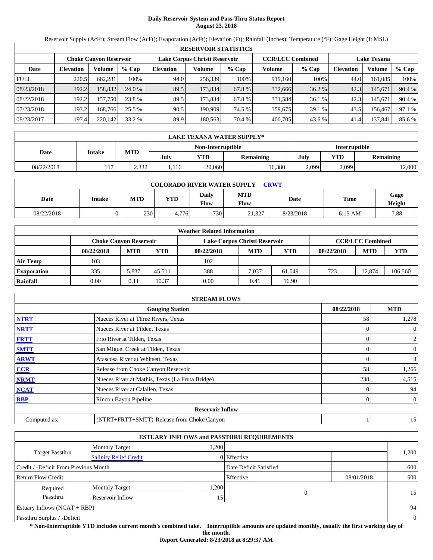# **Daily Reservoir System and Pass-Thru Status Report August 23, 2018**

Reservoir Supply (AcFt); Stream Flow (AcFt); Evaporation (AcFt); Elevation (Ft); Rainfall (Inches); Temperature (°F); Gage Height (ft MSL)

|             | <b>RESERVOIR STATISTICS</b> |                        |         |                  |                               |         |                         |         |                    |         |        |  |  |
|-------------|-----------------------------|------------------------|---------|------------------|-------------------------------|---------|-------------------------|---------|--------------------|---------|--------|--|--|
|             |                             | Choke Canvon Reservoir |         |                  | Lake Corpus Christi Reservoir |         | <b>CCR/LCC Combined</b> |         | <b>Lake Texana</b> |         |        |  |  |
| Date        | <b>Elevation</b>            | Volume                 | $%$ Cap | <b>Elevation</b> | Volume                        | $%$ Cap | Volume                  | $%$ Cap | <b>Elevation</b>   | Volume  | % Cap  |  |  |
| <b>FULL</b> | 220.5                       | 662,281                | 100%    | 94.0             | 256,339                       | 100%    | 919.160                 | 100%    | 44.0               | 161,085 | 100%   |  |  |
| 08/23/2018  | 192.2                       | 158.832                | 24.0 %  | 89.5             | 173,834                       | 67.8 %  | 332,666                 | 36.2 %  | 42.3               | 145,671 | 90.4 % |  |  |
| 08/22/2018  | 192.2                       | 157.750                | 23.8 %  | 89.5             | 173.834                       | 67.8%   | 331,584                 | 36.1 %  | 42.3               | 145,671 | 90.4 % |  |  |
| 07/23/2018  | 193.2                       | 168.766                | 25.5 %  | 90.5             | 190.909                       | 74.5 %  | 359,675                 | 39.1 %  | 43.5               | 156,467 | 97.1 % |  |  |
| 08/23/2017  | 197.4                       | 220,142                | 33.2 %  | 89.9             | 180.563                       | 70.4 %  | 400,705                 | 43.6 %  | 41.4               | 137,841 | 85.6 % |  |  |

|            | <b>LAKE TEXANA WATER SUPPLY*</b> |       |      |                   |                  |               |                  |       |  |  |  |
|------------|----------------------------------|-------|------|-------------------|------------------|---------------|------------------|-------|--|--|--|
|            |                                  |       |      | Non-Interruptible |                  | Interruptible |                  |       |  |  |  |
| Date       | Intake                           | MTD   | July | <b>YTD</b>        | <b>Remaining</b> | July          | YTD<br>Remaining |       |  |  |  |
| 08/22/2018 | 117                              | 2,332 | ,116 | 20,060            | 16,380           | 2,099         | 2,099            | 2,000 |  |  |  |

| <b>COLORADO RIVER WATER SUPPLY</b><br><b>CRWT</b> |        |            |            |                      |                           |           |             |                |  |  |  |
|---------------------------------------------------|--------|------------|------------|----------------------|---------------------------|-----------|-------------|----------------|--|--|--|
| Date                                              | Intake | <b>MTD</b> | <b>YTD</b> | Daily<br><b>Flow</b> | <b>MTD</b><br><b>Flow</b> | Date      | <b>Time</b> | Gage<br>Height |  |  |  |
| 08/22/2018                                        |        | 230        | 4.776      | 730                  | 21.327                    | 8/23/2018 | $6:15$ AM   | 7.88           |  |  |  |

|                    | <b>Weather Related Information</b> |            |        |                               |            |            |            |                         |         |  |  |  |
|--------------------|------------------------------------|------------|--------|-------------------------------|------------|------------|------------|-------------------------|---------|--|--|--|
|                    | <b>Choke Canvon Reservoir</b>      |            |        | Lake Corpus Christi Reservoir |            |            |            | <b>CCR/LCC Combined</b> |         |  |  |  |
|                    | 08/22/2018                         | <b>MTD</b> | YTD    | 08/22/2018                    | <b>MTD</b> | <b>YTD</b> | 08/22/2018 | <b>MTD</b>              | YTD     |  |  |  |
| <b>Air Temp</b>    | 103                                |            |        | 102                           |            |            |            |                         |         |  |  |  |
| <b>Evaporation</b> | 335                                | 5,837      | 45.511 | 388                           | 7,037      | 61,049     | 723        | 12.874                  | 106,560 |  |  |  |
| Rainfall           | 0.00                               | 0.11       | 10.37  | 0.00                          | 0.41       | 16.90      |            |                         |         |  |  |  |

|              | <b>STREAM FLOWS</b>                             |            |                  |
|--------------|-------------------------------------------------|------------|------------------|
|              | <b>Gauging Station</b>                          | 08/22/2018 | <b>MTD</b>       |
| <b>NTRT</b>  | Nueces River at Three Rivers, Texas             | 58         | 1,278            |
| <b>NRTT</b>  | Nueces River at Tilden, Texas                   |            | $\theta$         |
| <b>FRTT</b>  | Frio River at Tilden, Texas                     |            | 2                |
| <b>SMTT</b>  | San Miguel Creek at Tilden, Texas               |            | $\boldsymbol{0}$ |
| <b>ARWT</b>  | Atascosa River at Whitsett, Texas               |            | $\mathbf{3}$     |
| <b>CCR</b>   | Release from Choke Canyon Reservoir             | 58         | 1,266            |
| <b>NRMT</b>  | Nueces River at Mathis, Texas (La Fruta Bridge) | 238        | 4,515            |
| <b>NCAT</b>  | Nueces River at Calallen, Texas                 |            | 94               |
| <b>RBP</b>   | Rincon Bayou Pipeline                           |            | $\overline{0}$   |
|              | <b>Reservoir Inflow</b>                         |            |                  |
| Computed as: | (NTRT+FRTT+SMTT)-Release from Choke Canyon      |            | 15               |

|                                       |                               |      | <b>ESTUARY INFLOWS and PASSTHRU REQUIREMENTS</b> |            |                |
|---------------------------------------|-------------------------------|------|--------------------------------------------------|------------|----------------|
|                                       | <b>Monthly Target</b>         | .200 |                                                  |            |                |
| <b>Target Passthru</b>                | <b>Salinity Relief Credit</b> |      | 0 Effective                                      |            | 1,200          |
| Credit / -Deficit From Previous Month |                               |      | Date Deficit Satisfied                           |            | 600            |
| <b>Return Flow Credit</b>             |                               |      | Effective                                        | 08/01/2018 | 500            |
| Required                              | <b>Monthly Target</b>         | ,200 |                                                  |            |                |
| Passthru                              | Reservoir Inflow              | 15   | 0                                                |            | 15             |
| Estuary Inflows $(NCAT + RBP)$        |                               |      |                                                  |            | 94             |
| Passthru Surplus / -Deficit           |                               |      |                                                  |            | $\overline{0}$ |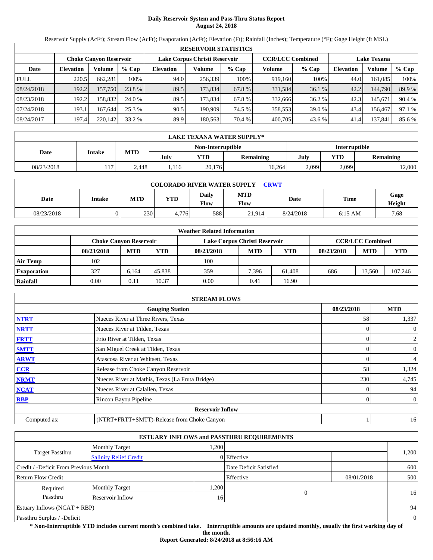# **Daily Reservoir System and Pass-Thru Status Report August 24, 2018**

Reservoir Supply (AcFt); Stream Flow (AcFt); Evaporation (AcFt); Elevation (Ft); Rainfall (Inches); Temperature (°F); Gage Height (ft MSL)

|             | <b>RESERVOIR STATISTICS</b> |                               |         |                  |                               |         |                         |         |                    |         |        |  |  |
|-------------|-----------------------------|-------------------------------|---------|------------------|-------------------------------|---------|-------------------------|---------|--------------------|---------|--------|--|--|
|             |                             | <b>Choke Canyon Reservoir</b> |         |                  | Lake Corpus Christi Reservoir |         | <b>CCR/LCC Combined</b> |         | <b>Lake Texana</b> |         |        |  |  |
| Date        | <b>Elevation</b>            | Volume                        | $%$ Cap | <b>Elevation</b> | Volume                        | $%$ Cap | Volume                  | $%$ Cap | <b>Elevation</b>   | Volume  | % Cap  |  |  |
| <b>FULL</b> | 220.5                       | 662.281                       | 100%    | 94.0             | 256,339                       | 100%    | 919,160                 | 100%    | 44.0               | 161.085 | 100%   |  |  |
| 08/24/2018  | 192.2                       | 157,750                       | 23.8 %  | 89.5             | 173,834                       | 67.8 %  | 331,584                 | 36.1%   | 42.2               | 144,790 | 89.9 % |  |  |
| 08/23/2018  | 192.2                       | 158.832                       | 24.0 %  | 89.5             | 173.834                       | 67.8 %  | 332,666                 | 36.2 %  | 42.3               | 145.671 | 90.4 % |  |  |
| 07/24/2018  | 193.1                       | 167.644                       | 25.3 %  | 90.5             | 190.909                       | 74.5 %  | 358.553                 | 39.0 %  | 43.4               | 156.467 | 97.1 % |  |  |
| 08/24/2017  | 197.4                       | 220,142                       | 33.2 %  | 89.9             | 180.563                       | 70.4 %  | 400,705                 | 43.6 %  | 41.4               | 137,841 | 85.6 % |  |  |

|            | LAKE TEXANA WATER SUPPLY* |            |      |                   |                  |               |       |           |  |  |
|------------|---------------------------|------------|------|-------------------|------------------|---------------|-------|-----------|--|--|
|            |                           |            |      | Non-Interruptible |                  | Interruptible |       |           |  |  |
| Date       | Intake                    | <b>MTD</b> | July | YTD               | <b>Remaining</b> | YTD<br>July   |       | Remaining |  |  |
| 08/23/2018 | 117.                      | 2.448      | .116 | 20,176            | 16,264           | 2,099         | 2,099 | 12,000    |  |  |

| <b>COLORADO RIVER WATER SUPPLY</b><br><b>CRWT</b> |        |            |            |                      |                           |           |             |                |  |  |  |
|---------------------------------------------------|--------|------------|------------|----------------------|---------------------------|-----------|-------------|----------------|--|--|--|
| Date                                              | Intake | <b>MTD</b> | <b>YTD</b> | Daily<br><b>Flow</b> | <b>MTD</b><br><b>Flow</b> | Date      | <b>Time</b> | Gage<br>Height |  |  |  |
| 08/23/2018                                        |        | 230        | 4.776      | 588                  | 21.914                    | 8/24/2018 | $6:15$ AM   | 7.68           |  |  |  |

|                    | <b>Weather Related Information</b> |            |        |                               |            |            |            |                         |         |  |  |  |
|--------------------|------------------------------------|------------|--------|-------------------------------|------------|------------|------------|-------------------------|---------|--|--|--|
|                    | <b>Choke Canyon Reservoir</b>      |            |        | Lake Corpus Christi Reservoir |            |            |            | <b>CCR/LCC Combined</b> |         |  |  |  |
|                    | 08/23/2018                         | <b>MTD</b> | YTD    | 08/23/2018                    | <b>MTD</b> | <b>YTD</b> | 08/23/2018 | <b>MTD</b>              | YTD     |  |  |  |
| <b>Air Temp</b>    | 102                                |            |        | 100                           |            |            |            |                         |         |  |  |  |
| <b>Evaporation</b> | 327                                | 6.164      | 45,838 | 359                           | 7.396      | 61.408     | 686        | 13.560                  | 107,246 |  |  |  |
| Rainfall           | 0.00                               | 0.11       | 10.37  | 0.00                          | 0.41       | 16.90      |            |                         |         |  |  |  |

|              | <b>STREAM FLOWS</b>                             |            |                  |
|--------------|-------------------------------------------------|------------|------------------|
|              | <b>Gauging Station</b>                          | 08/23/2018 | <b>MTD</b>       |
| <b>NTRT</b>  | Nueces River at Three Rivers, Texas             | 58         | 1,337            |
| <b>NRTT</b>  | Nueces River at Tilden, Texas                   |            | $\theta$         |
| <b>FRTT</b>  | Frio River at Tilden, Texas                     |            | 2                |
| <b>SMTT</b>  | San Miguel Creek at Tilden, Texas               |            | $\boldsymbol{0}$ |
| <b>ARWT</b>  | Atascosa River at Whitsett, Texas               |            | 4                |
| <b>CCR</b>   | Release from Choke Canyon Reservoir             | 58         | 1,324            |
| <b>NRMT</b>  | Nueces River at Mathis, Texas (La Fruta Bridge) | 230        | 4,745            |
| <b>NCAT</b>  | Nueces River at Calallen, Texas                 |            | 94               |
| <b>RBP</b>   | Rincon Bayou Pipeline                           |            | $\overline{0}$   |
|              | <b>Reservoir Inflow</b>                         |            |                  |
| Computed as: | (NTRT+FRTT+SMTT)-Release from Choke Canyon      |            | 16               |

|                                                  |                       |      | <b>ESTUARY INFLOWS and PASSTHRU REQUIREMENTS</b> |            |                |
|--------------------------------------------------|-----------------------|------|--------------------------------------------------|------------|----------------|
|                                                  | <b>Monthly Target</b> | .200 |                                                  |            |                |
| Target Passthru<br><b>Salinity Relief Credit</b> |                       |      | 0 Effective                                      |            | 1,200          |
| Credit / -Deficit From Previous Month            |                       |      | Date Deficit Satisfied                           |            | 600            |
| Return Flow Credit                               |                       |      | Effective                                        | 08/01/2018 | 500            |
| Required                                         | <b>Monthly Target</b> | ,200 |                                                  |            |                |
| Passthru                                         | Reservoir Inflow      | 16   | $\Omega$                                         |            | 16             |
| Estuary Inflows $(NCAT + RBP)$                   |                       |      |                                                  |            | 94             |
| Passthru Surplus / -Deficit                      |                       |      |                                                  |            | $\overline{0}$ |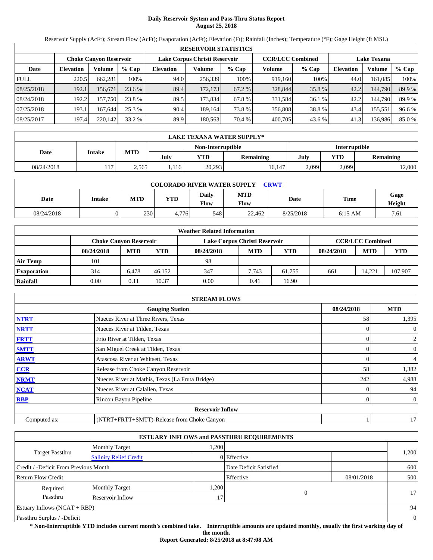# **Daily Reservoir System and Pass-Thru Status Report August 25, 2018**

Reservoir Supply (AcFt); Stream Flow (AcFt); Evaporation (AcFt); Elevation (Ft); Rainfall (Inches); Temperature (°F); Gage Height (ft MSL)

|             | <b>RESERVOIR STATISTICS</b> |                        |         |                  |                               |         |                         |         |                    |         |        |  |  |
|-------------|-----------------------------|------------------------|---------|------------------|-------------------------------|---------|-------------------------|---------|--------------------|---------|--------|--|--|
|             |                             | Choke Canvon Reservoir |         |                  | Lake Corpus Christi Reservoir |         | <b>CCR/LCC Combined</b> |         | <b>Lake Texana</b> |         |        |  |  |
| Date        | <b>Elevation</b>            | Volume                 | $%$ Cap | <b>Elevation</b> | Volume                        | $%$ Cap | Volume                  | $%$ Cap | <b>Elevation</b>   | Volume  | % Cap  |  |  |
| <b>FULL</b> | 220.5                       | 662,281                | 100%    | 94.0             | 256,339                       | 100%    | 919.160                 | 100%    | 44.0               | 161,085 | 100%   |  |  |
| 08/25/2018  | 192.1                       | 156.671                | 23.6 %  | 89.4             | 172,173                       | 67.2 %  | 328,844                 | 35.8%   | 42.2               | 144,790 | 89.9 % |  |  |
| 08/24/2018  | 192.2                       | 157.750                | 23.8 %  | 89.5             | 173.834                       | 67.8%   | 331,584                 | 36.1 %  | 42.2               | 144.790 | 89.9 % |  |  |
| 07/25/2018  | 193.1                       | 167.644                | 25.3%   | 90.4             | 189.164                       | 73.8 %  | 356,808                 | 38.8%   | 43.4               | 155,551 | 96.6 % |  |  |
| 08/25/2017  | 197.4                       | 220,142                | 33.2 %  | 89.9             | 180,563                       | 70.4 %  | 400,705                 | 43.6 %  | 41.3               | 136,986 | 85.0%  |  |  |

|            | LAKE TEXANA WATER SUPPLY* |            |      |                   |                                 |               |       |                  |  |  |  |
|------------|---------------------------|------------|------|-------------------|---------------------------------|---------------|-------|------------------|--|--|--|
|            |                           |            |      | Non-Interruptible |                                 | Interruptible |       |                  |  |  |  |
| Date       | Intake                    | <b>MTD</b> | July | YTD               | YTD<br>July<br><b>Remaining</b> |               |       | <b>Remaining</b> |  |  |  |
| 08/24/2018 | 117.                      | 2,565      | .116 | 20,293            | 16,147                          | 2,099         | 2,099 | 12,000           |  |  |  |

| <b>COLORADO RIVER WATER SUPPLY</b><br><b>CRWT</b> |        |     |       |                      |                           |           |           |                |  |  |
|---------------------------------------------------|--------|-----|-------|----------------------|---------------------------|-----------|-----------|----------------|--|--|
| Date                                              | Intake | MTD | YTD   | <b>Daily</b><br>Flow | <b>MTD</b><br><b>Flow</b> | Date      | Time      | Gage<br>Height |  |  |
| 08/24/2018                                        |        | 230 | 4.776 | 548                  | 22.462                    | 8/25/2018 | $6:15$ AM | 7.61           |  |  |

|                    |                               |            |        | <b>Weather Related Information</b> |            |            |            |                         |         |
|--------------------|-------------------------------|------------|--------|------------------------------------|------------|------------|------------|-------------------------|---------|
|                    | <b>Choke Canvon Reservoir</b> |            |        | Lake Corpus Christi Reservoir      |            |            |            | <b>CCR/LCC Combined</b> |         |
|                    | 08/24/2018                    | <b>MTD</b> | YTD    | 08/24/2018                         | <b>MTD</b> | <b>YTD</b> | 08/24/2018 | <b>MTD</b>              | YTD     |
| <b>Air Temp</b>    | 101                           |            |        | 98                                 |            |            |            |                         |         |
| <b>Evaporation</b> | 314                           | 6.478      | 46.152 | 347                                | 7.743      | 61.755     | 661        | 14.221                  | 107,907 |
| Rainfall           | 0.00                          | 0.11       | 10.37  | 0.00                               | 0.41       | 16.90      |            |                         |         |

|              | <b>STREAM FLOWS</b>                             |            |                  |
|--------------|-------------------------------------------------|------------|------------------|
|              | <b>Gauging Station</b>                          | 08/24/2018 | <b>MTD</b>       |
| <b>NTRT</b>  | Nueces River at Three Rivers, Texas             | 58         | 1,395            |
| <b>NRTT</b>  | Nueces River at Tilden, Texas                   |            | $\theta$         |
| <b>FRTT</b>  | Frio River at Tilden, Texas                     |            | 2                |
| <b>SMTT</b>  | San Miguel Creek at Tilden, Texas               |            | $\boldsymbol{0}$ |
| <b>ARWT</b>  | Atascosa River at Whitsett, Texas               |            | 4                |
| <b>CCR</b>   | Release from Choke Canyon Reservoir             | 58         | 1,382            |
| <b>NRMT</b>  | Nueces River at Mathis, Texas (La Fruta Bridge) | 242        | 4,988            |
| <b>NCAT</b>  | Nueces River at Calallen, Texas                 |            | 94               |
| <b>RBP</b>   | Rincon Bayou Pipeline                           |            | $\overline{0}$   |
|              | <b>Reservoir Inflow</b>                         |            |                  |
| Computed as: | (NTRT+FRTT+SMTT)-Release from Choke Canyon      |            | 17               |

|                                       |                               |      | <b>ESTUARY INFLOWS and PASSTHRU REQUIREMENTS</b> |            |                |
|---------------------------------------|-------------------------------|------|--------------------------------------------------|------------|----------------|
|                                       | <b>Monthly Target</b>         | .200 |                                                  |            |                |
| <b>Target Passthru</b>                | <b>Salinity Relief Credit</b> |      | 0 Effective                                      |            | 1,200          |
| Credit / -Deficit From Previous Month |                               |      | Date Deficit Satisfied                           |            | 600            |
| <b>Return Flow Credit</b>             |                               |      | Effective                                        | 08/01/2018 | 500            |
| Required                              | <b>Monthly Target</b>         | .200 |                                                  |            |                |
| Passthru                              | Reservoir Inflow              | 17   | 0                                                |            | 17             |
| Estuary Inflows $(NCAT + RBP)$        |                               |      |                                                  |            | 94             |
| Passthru Surplus / -Deficit           |                               |      |                                                  |            | $\overline{0}$ |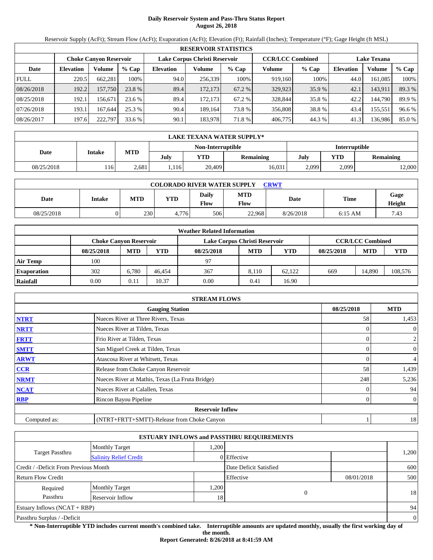# **Daily Reservoir System and Pass-Thru Status Report August 26, 2018**

Reservoir Supply (AcFt); Stream Flow (AcFt); Evaporation (AcFt); Elevation (Ft); Rainfall (Inches); Temperature (°F); Gage Height (ft MSL)

|             | <b>RESERVOIR STATISTICS</b> |                        |         |                  |                               |         |                         |         |                    |         |        |  |  |
|-------------|-----------------------------|------------------------|---------|------------------|-------------------------------|---------|-------------------------|---------|--------------------|---------|--------|--|--|
|             |                             | Choke Canvon Reservoir |         |                  | Lake Corpus Christi Reservoir |         | <b>CCR/LCC Combined</b> |         | <b>Lake Texana</b> |         |        |  |  |
| Date        | <b>Elevation</b>            | Volume                 | $%$ Cap | <b>Elevation</b> | Volume                        | $%$ Cap | Volume                  | $%$ Cap | <b>Elevation</b>   | Volume  | % Cap  |  |  |
| <b>FULL</b> | 220.5                       | 662,281                | 100%    | 94.0             | 256,339                       | 100%    | 919.160                 | 100%    | 44.0               | 161,085 | 100%   |  |  |
| 08/26/2018  | 192.2                       | 157,750                | 23.8 %  | 89.4             | 172,173                       | 67.2 %  | 329,923                 | 35.9 %  | 42.1               | 143,911 | 89.3 % |  |  |
| 08/25/2018  | 192.1                       | 156.671                | 23.6 %  | 89.4             | 172.173                       | 67.2 %  | 328,844                 | 35.8%   | 42.2               | 144.790 | 89.9 % |  |  |
| 07/26/2018  | 193.1                       | 167.644                | 25.3%   | 90.4             | 189.164                       | 73.8 %  | 356,808                 | 38.8%   | 43.4               | 155,551 | 96.6 % |  |  |
| 08/26/2017  | 197.6                       | 222,797                | 33.6 %  | 90.1             | 183,978                       | 71.8%   | 406,775                 | 44.3 %  | 41.3               | 136,986 | 85.0%  |  |  |

|            | LAKE TEXANA WATER SUPPLY* |       |      |                   |        |               |           |       |  |  |  |
|------------|---------------------------|-------|------|-------------------|--------|---------------|-----------|-------|--|--|--|
|            |                           |       |      | Non-Interruptible |        | Interruptible |           |       |  |  |  |
| Date       | MTD<br>Intake<br>July     |       | YTD  | <b>Remaining</b>  | July   | YTD           | Remaining |       |  |  |  |
| 08/25/2018 | 116                       | 2.681 | .116 | 20,409            | 16,031 | 2,099         | 2,099     | 2,000 |  |  |  |

| <b>COLORADO RIVER WATER SUPPLY</b><br><b>CRWT</b> |        |     |       |               |                           |           |           |                |  |  |  |
|---------------------------------------------------|--------|-----|-------|---------------|---------------------------|-----------|-----------|----------------|--|--|--|
| Date                                              | Intake | MTD | YTD   | Daily<br>Flow | <b>MTD</b><br><b>Flow</b> | Date      | Time      | Gage<br>Height |  |  |  |
| 08/25/2018                                        |        | 230 | 4.776 | 506           | 22.968                    | 8/26/2018 | $6:15$ AM | 7.43           |  |  |  |

|                    | <b>Weather Related Information</b> |            |        |                               |            |            |            |                         |         |  |  |  |
|--------------------|------------------------------------|------------|--------|-------------------------------|------------|------------|------------|-------------------------|---------|--|--|--|
|                    | <b>Choke Canyon Reservoir</b>      |            |        | Lake Corpus Christi Reservoir |            |            |            | <b>CCR/LCC Combined</b> |         |  |  |  |
|                    | 08/25/2018                         | <b>MTD</b> | YTD    | 08/25/2018                    | <b>MTD</b> | <b>YTD</b> | 08/25/2018 | <b>MTD</b>              | YTD     |  |  |  |
| <b>Air Temp</b>    | 100                                |            |        | 97                            |            |            |            |                         |         |  |  |  |
| <b>Evaporation</b> | 302                                | 6.780      | 46.454 | 367                           | 8.110      | 62.122     | 669        | 14.890                  | 108,576 |  |  |  |
| Rainfall           | 0.00                               | 0.11       | 10.37  | 0.00                          | 0.41       | 16.90      |            |                         |         |  |  |  |

|              | <b>STREAM FLOWS</b>                             |            |                  |
|--------------|-------------------------------------------------|------------|------------------|
|              | <b>Gauging Station</b>                          | 08/25/2018 | <b>MTD</b>       |
| <b>NTRT</b>  | Nueces River at Three Rivers, Texas             | 58         | 1,453            |
| <b>NRTT</b>  | Nueces River at Tilden, Texas                   |            | $\theta$         |
| <b>FRTT</b>  | Frio River at Tilden, Texas                     |            | 2                |
| <b>SMTT</b>  | San Miguel Creek at Tilden, Texas               |            | $\boldsymbol{0}$ |
| <b>ARWT</b>  | Atascosa River at Whitsett, Texas               |            | 4                |
| <b>CCR</b>   | Release from Choke Canyon Reservoir             | 58         | 1,439            |
| <b>NRMT</b>  | Nueces River at Mathis, Texas (La Fruta Bridge) | 248        | 5,236            |
| <b>NCAT</b>  | Nueces River at Calallen, Texas                 |            | 94               |
| <b>RBP</b>   | Rincon Bayou Pipeline                           |            | $\overline{0}$   |
|              | <b>Reservoir Inflow</b>                         |            |                  |
| Computed as: | (NTRT+FRTT+SMTT)-Release from Choke Canyon      |            | 18               |

|                                                         |                       |      | <b>ESTUARY INFLOWS and PASSTHRU REQUIREMENTS</b> |            |                |
|---------------------------------------------------------|-----------------------|------|--------------------------------------------------|------------|----------------|
|                                                         | <b>Monthly Target</b> | .200 |                                                  |            |                |
| <b>Target Passthru</b><br><b>Salinity Relief Credit</b> |                       |      | 0 Effective                                      |            | 1,200          |
| Credit / -Deficit From Previous Month                   |                       |      | Date Deficit Satisfied                           |            | 600            |
| <b>Return Flow Credit</b>                               |                       |      | Effective                                        | 08/01/2018 | 500            |
| Required                                                | <b>Monthly Target</b> | .200 |                                                  |            |                |
| Passthru                                                | Reservoir Inflow      | 18   | 0                                                |            | 18             |
| Estuary Inflows $(NCAT + RBP)$                          |                       |      |                                                  |            | 94             |
| Passthru Surplus / -Deficit                             |                       |      |                                                  |            | $\overline{0}$ |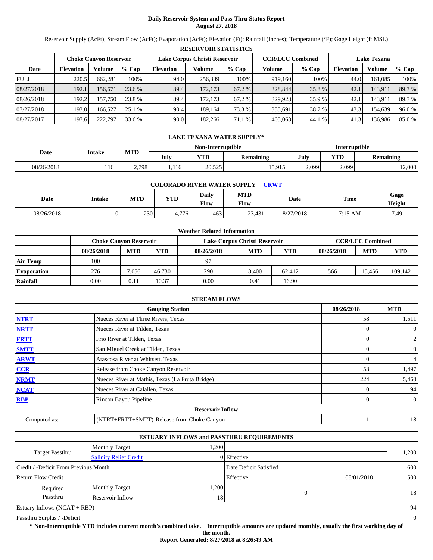# **Daily Reservoir System and Pass-Thru Status Report August 27, 2018**

Reservoir Supply (AcFt); Stream Flow (AcFt); Evaporation (AcFt); Elevation (Ft); Rainfall (Inches); Temperature (°F); Gage Height (ft MSL)

|             | <b>RESERVOIR STATISTICS</b> |                               |         |                  |                               |                                               |         |         |                  |         |        |  |
|-------------|-----------------------------|-------------------------------|---------|------------------|-------------------------------|-----------------------------------------------|---------|---------|------------------|---------|--------|--|
|             |                             | <b>Choke Canvon Reservoir</b> |         |                  | Lake Corpus Christi Reservoir | <b>CCR/LCC Combined</b><br><b>Lake Texana</b> |         |         |                  |         |        |  |
| Date        | <b>Elevation</b>            | Volume                        | $%$ Cap | <b>Elevation</b> | Volume                        | $%$ Cap                                       | Volume  | $%$ Cap | <b>Elevation</b> | Volume  | % Cap  |  |
| <b>FULL</b> | 220.5                       | 662,281                       | 100%    | 94.0             | 256,339                       | 100%                                          | 919,160 | 100%    | 44.0             | 161,085 | 100%   |  |
| 08/27/2018  | 192.1                       | 156.671                       | 23.6 %  | 89.4             | 172,173                       | 67.2 %                                        | 328,844 | 35.8 %  | 42.1             | 143,911 | 89.3 % |  |
| 08/26/2018  | 192.2                       | 157.750                       | 23.8 %  | 89.4             | 172.173                       | 67.2 %                                        | 329,923 | 35.9 %  | 42.1             | 143,911 | 89.3 % |  |
| 07/27/2018  | 193.0                       | 166.527                       | 25.1 %  | 90.4             | 189.164                       | 73.8 %                                        | 355,691 | 38.7 %  | 43.3             | 154,639 | 96.0 % |  |
| 08/27/2017  | 197.6                       | 222,797                       | 33.6 %  | 90.0             | 182.266                       | 71.1 %                                        | 405,063 | 44.1 %  | 41.3             | 136,986 | 85.0 % |  |

|            | LAKE TEXANA WATER SUPPLY* |            |      |                   |                                 |               |       |                  |  |  |
|------------|---------------------------|------------|------|-------------------|---------------------------------|---------------|-------|------------------|--|--|
|            |                           |            |      | Non-Interruptible |                                 | Interruptible |       |                  |  |  |
| Date       | Intake                    | <b>MTD</b> | July | YTD               | YTD<br>July<br><b>Remaining</b> |               |       | <b>Remaining</b> |  |  |
| 08/26/2018 | 116                       | 2,798      | .116 | 20,525            | 15,915                          | 2,099         | 2,099 | 12,000           |  |  |

| <b>COLORADO RIVER WATER SUPPLY</b><br>CRWT |        |            |            |                      |                           |           |             |                |  |  |
|--------------------------------------------|--------|------------|------------|----------------------|---------------------------|-----------|-------------|----------------|--|--|
| Date                                       | Intake | <b>MTD</b> | <b>YTD</b> | Daily<br><b>Flow</b> | <b>MTD</b><br><b>Flow</b> | Date      | <b>Time</b> | Gage<br>Height |  |  |
| 08/26/2018                                 |        | 230        | 4.776      | 463                  | 23.431                    | 8/27/2018 | 7:15 AM     | 7.49           |  |  |

|                    | <b>Weather Related Information</b> |            |        |                               |            |            |            |                         |         |  |  |
|--------------------|------------------------------------|------------|--------|-------------------------------|------------|------------|------------|-------------------------|---------|--|--|
|                    | <b>Choke Canvon Reservoir</b>      |            |        | Lake Corpus Christi Reservoir |            |            |            | <b>CCR/LCC Combined</b> |         |  |  |
|                    | 08/26/2018                         | <b>MTD</b> | YTD    | 08/26/2018                    | <b>MTD</b> | <b>YTD</b> | 08/26/2018 | <b>MTD</b>              | YTD     |  |  |
| <b>Air Temp</b>    | 100                                |            |        | 97                            |            |            |            |                         |         |  |  |
| <b>Evaporation</b> | 276                                | 7,056      | 46.730 | 290                           | 8.400      | 62.412     | 566        | 15.456                  | 109.142 |  |  |
| Rainfall           | 0.00                               | 0.11       | 10.37  | 0.00                          | 0.41       | 16.90      |            |                         |         |  |  |

|              | <b>STREAM FLOWS</b>                             |            |                  |
|--------------|-------------------------------------------------|------------|------------------|
|              | <b>Gauging Station</b>                          | 08/26/2018 | <b>MTD</b>       |
| <b>NTRT</b>  | Nueces River at Three Rivers, Texas             | 58         | 1,511            |
| <b>NRTT</b>  | Nueces River at Tilden, Texas                   |            | $\overline{0}$   |
| <b>FRTT</b>  | Frio River at Tilden, Texas                     |            | 2                |
| <b>SMTT</b>  | San Miguel Creek at Tilden, Texas               |            | $\boldsymbol{0}$ |
| <b>ARWT</b>  | Atascosa River at Whitsett, Texas               |            | 4                |
| <b>CCR</b>   | Release from Choke Canyon Reservoir             | 58         | 1,497            |
| <b>NRMT</b>  | Nueces River at Mathis, Texas (La Fruta Bridge) | 224        | 5,460            |
| <b>NCAT</b>  | Nueces River at Calallen, Texas                 |            | 94               |
| <b>RBP</b>   | Rincon Bayou Pipeline                           |            | $\overline{0}$   |
|              | <b>Reservoir Inflow</b>                         |            |                  |
| Computed as: | (NTRT+FRTT+SMTT)-Release from Choke Canyon      |            | 18               |

|                                                         |                       |      | <b>ESTUARY INFLOWS and PASSTHRU REQUIREMENTS</b> |            |                |
|---------------------------------------------------------|-----------------------|------|--------------------------------------------------|------------|----------------|
|                                                         | <b>Monthly Target</b> | .200 |                                                  |            |                |
| <b>Target Passthru</b><br><b>Salinity Relief Credit</b> |                       |      | 0 Effective                                      |            | 1,200          |
| Credit / -Deficit From Previous Month                   |                       |      | Date Deficit Satisfied                           |            | 600            |
| <b>Return Flow Credit</b>                               |                       |      | Effective                                        | 08/01/2018 | 500            |
| Required                                                | <b>Monthly Target</b> | .200 |                                                  |            |                |
| Passthru<br>Reservoir Inflow<br>18                      |                       |      | 0                                                |            | 18             |
| Estuary Inflows $(NCAT + RBP)$                          |                       |      |                                                  |            | 94             |
| Passthru Surplus / -Deficit                             |                       |      |                                                  |            | $\overline{0}$ |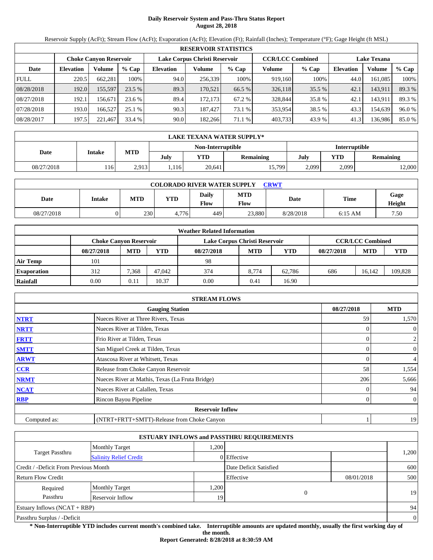# **Daily Reservoir System and Pass-Thru Status Report August 28, 2018**

Reservoir Supply (AcFt); Stream Flow (AcFt); Evaporation (AcFt); Elevation (Ft); Rainfall (Inches); Temperature (°F); Gage Height (ft MSL)

|             | <b>RESERVOIR STATISTICS</b> |                               |         |                  |                                                          |         |         |         |                  |                    |        |  |
|-------------|-----------------------------|-------------------------------|---------|------------------|----------------------------------------------------------|---------|---------|---------|------------------|--------------------|--------|--|
|             |                             | <b>Choke Canvon Reservoir</b> |         |                  | Lake Corpus Christi Reservoir<br><b>CCR/LCC Combined</b> |         |         |         |                  | <b>Lake Texana</b> |        |  |
| Date        | <b>Elevation</b>            | Volume                        | $%$ Cap | <b>Elevation</b> | Volume                                                   | $%$ Cap | Volume  | $%$ Cap | <b>Elevation</b> | Volume             | % Cap  |  |
| <b>FULL</b> | 220.5                       | 662,281                       | 100%    | 94.0             | 256,339                                                  | 100%    | 919,160 | 100%    | 44.0             | 161,085            | 100%   |  |
| 08/28/2018  | 192.0                       | 155,597                       | 23.5%   | 89.3             | 170.521                                                  | 66.5 %  | 326,118 | 35.5 %  | 42.1             | 143,911            | 89.3 % |  |
| 08/27/2018  | 192.1                       | 156.671                       | 23.6 %  | 89.4             | 172.173                                                  | 67.2 %  | 328,844 | 35.8 %  | 42.1             | 143,911            | 89.3 % |  |
| 07/28/2018  | 193.0                       | 166.527                       | 25.1%   | 90.3             | 187.427                                                  | 73.1 %  | 353,954 | 38.5 %  | 43.3             | 154,639            | 96.0%  |  |
| 08/28/2017  | 197.5                       | 221,467                       | 33.4 %  | 90.0             | 182,266                                                  | 71.1 %  | 403,733 | 43.9 %  | 41.3             | 136,986            | 85.0%  |  |

|            | LAKE TEXANA WATER SUPPLY* |            |      |                   |                  |               |       |           |  |  |
|------------|---------------------------|------------|------|-------------------|------------------|---------------|-------|-----------|--|--|
|            |                           |            |      | Non-Interruptible |                  | Interruptible |       |           |  |  |
| Date       | Intake                    | <b>MTD</b> | July | YTD               | <b>Remaining</b> | July          | YTD   | Remaining |  |  |
| 08/27/2018 | 116                       | 2,913      | .116 | 20,641            | 15,799           | 2,099         | 2,099 | 12,000    |  |  |

| <b>COLORADO RIVER WATER SUPPLY</b><br><b>CRWT</b> |        |     |       |                      |                           |           |           |                |  |  |
|---------------------------------------------------|--------|-----|-------|----------------------|---------------------------|-----------|-----------|----------------|--|--|
| Date                                              | Intake | MTD | YTD   | <b>Daily</b><br>Flow | <b>MTD</b><br><b>Flow</b> | Date      | Time      | Gage<br>Height |  |  |
| 08/27/2018                                        |        | 230 | 4.776 | 449'                 | 23.880                    | 8/28/2018 | $6:15$ AM | 7.50           |  |  |

|                    | <b>Weather Related Information</b> |            |        |                               |            |            |            |                         |         |  |  |
|--------------------|------------------------------------|------------|--------|-------------------------------|------------|------------|------------|-------------------------|---------|--|--|
|                    | <b>Choke Canvon Reservoir</b>      |            |        | Lake Corpus Christi Reservoir |            |            |            | <b>CCR/LCC Combined</b> |         |  |  |
|                    | 08/27/2018                         | <b>MTD</b> | YTD    | 08/27/2018                    | <b>MTD</b> | <b>YTD</b> | 08/27/2018 | <b>MTD</b>              | YTD     |  |  |
| <b>Air Temp</b>    | 101                                |            |        | 98                            |            |            |            |                         |         |  |  |
| <b>Evaporation</b> | 312                                | 7.368      | 47,042 | 374                           | 8.774      | 62.786     | 686        | 16.142                  | 109,828 |  |  |
| Rainfall           | 0.00                               | 0.11       | 10.37  | 0.00                          | 0.41       | 16.90      |            |                         |         |  |  |

|              | <b>STREAM FLOWS</b>                             |            |                |
|--------------|-------------------------------------------------|------------|----------------|
|              | <b>Gauging Station</b>                          | 08/27/2018 | <b>MTD</b>     |
| <b>NTRT</b>  | Nueces River at Three Rivers, Texas             | 59         | 1,570          |
| <b>NRTT</b>  | Nueces River at Tilden, Texas                   |            | $\overline{0}$ |
| <b>FRTT</b>  | Frio River at Tilden, Texas                     | 0          | $\overline{c}$ |
| <b>SMTT</b>  | San Miguel Creek at Tilden, Texas               | 0          | $\overline{0}$ |
| <b>ARWT</b>  | Atascosa River at Whitsett, Texas               |            | $\overline{4}$ |
| <b>CCR</b>   | Release from Choke Canyon Reservoir             | 58         | 1,554          |
| <b>NRMT</b>  | Nueces River at Mathis, Texas (La Fruta Bridge) | 206        | 5,666          |
| <b>NCAT</b>  | Nueces River at Calallen, Texas                 |            | 94             |
| <b>RBP</b>   | Rincon Bayou Pipeline                           | 0          | $\overline{0}$ |
|              | <b>Reservoir Inflow</b>                         |            |                |
| Computed as: | (NTRT+FRTT+SMTT)-Release from Choke Canyon      |            | 19             |

|                                       |                               |                 | <b>ESTUARY INFLOWS and PASSTHRU REQUIREMENTS</b> |            |                |
|---------------------------------------|-------------------------------|-----------------|--------------------------------------------------|------------|----------------|
|                                       | <b>Monthly Target</b>         | .200            |                                                  |            |                |
| <b>Target Passthru</b>                | <b>Salinity Relief Credit</b> |                 | 0 Effective                                      |            | 1,200          |
| Credit / -Deficit From Previous Month |                               |                 | Date Deficit Satisfied                           |            | 600            |
| <b>Return Flow Credit</b>             |                               |                 | Effective                                        | 08/01/2018 | 500            |
| Required                              | <b>Monthly Target</b>         | .200            |                                                  |            |                |
| Passthru                              | Reservoir Inflow              | 19 <sub>1</sub> | 0                                                |            | 19             |
| Estuary Inflows $(NCAT + RBP)$        |                               |                 |                                                  |            | 94             |
| Passthru Surplus / -Deficit           |                               |                 |                                                  |            | $\overline{0}$ |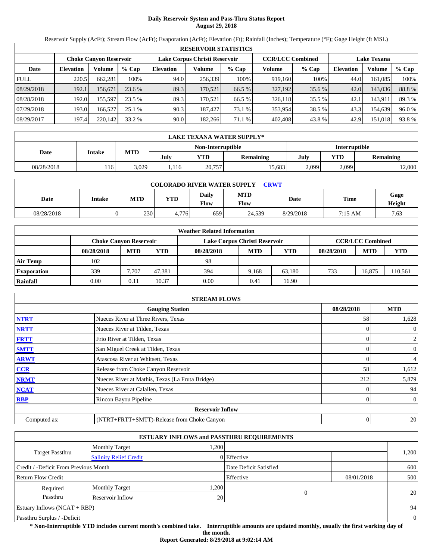# **Daily Reservoir System and Pass-Thru Status Report August 29, 2018**

Reservoir Supply (AcFt); Stream Flow (AcFt); Evaporation (AcFt); Elevation (Ft); Rainfall (Inches); Temperature (°F); Gage Height (ft MSL)

|             | <b>RESERVOIR STATISTICS</b> |                        |         |                               |         |         |                         |         |                    |         |        |  |
|-------------|-----------------------------|------------------------|---------|-------------------------------|---------|---------|-------------------------|---------|--------------------|---------|--------|--|
|             |                             | Choke Canvon Reservoir |         | Lake Corpus Christi Reservoir |         |         | <b>CCR/LCC Combined</b> |         | <b>Lake Texana</b> |         |        |  |
| Date        | <b>Elevation</b>            | Volume                 | $%$ Cap | <b>Elevation</b>              | Volume  | $%$ Cap | Volume                  | $%$ Cap | <b>Elevation</b>   | Volume  | % Cap  |  |
| <b>FULL</b> | 220.5                       | 662,281                | 100%    | 94.0                          | 256,339 | 100%    | 919.160                 | 100%    | 44.0               | 161,085 | 100%   |  |
| 08/29/2018  | 192.1                       | 156.671                | 23.6 %  | 89.3                          | 170.521 | 66.5 %  | 327,192                 | 35.6 %  | 42.0               | 143,036 | 88.8%  |  |
| 08/28/2018  | 192.0                       | 155,597                | 23.5 %  | 89.3                          | 170.521 | 66.5 %  | 326,118                 | 35.5 %  | 42.1               | 143,911 | 89.3 % |  |
| 07/29/2018  | 193.0                       | 166.527                | 25.1 %  | 90.3                          | 187.427 | 73.1 %  | 353,954                 | 38.5 %  | 43.3               | 154,639 | 96.0%  |  |
| 08/29/2017  | 197.4                       | 220,142                | 33.2 %  | 90.0                          | 182.266 | 71.1 %  | 402,408                 | 43.8%   | 42.9               | 151,018 | 93.8%  |  |

|            | LAKE TEXANA WATER SUPPLY* |            |      |                   |                  |               |       |                  |  |  |
|------------|---------------------------|------------|------|-------------------|------------------|---------------|-------|------------------|--|--|
|            | Intake                    |            |      | Non-Interruptible |                  | Interruptible |       |                  |  |  |
| Date       |                           | <b>MTD</b> | July | YTD               | <b>Remaining</b> | July          | YTD   | <b>Remaining</b> |  |  |
| 08/28/2018 | 116                       | 3,029      | .116 | 20,757            | 15,683           | 2,099         | 2,099 | 2,000            |  |  |

| <b>COLORADO RIVER WATER SUPPLY</b><br><b>CRWT</b> |        |     |       |                      |                           |           |         |                |  |  |  |
|---------------------------------------------------|--------|-----|-------|----------------------|---------------------------|-----------|---------|----------------|--|--|--|
| Date                                              | Intake | MTD | YTD   | <b>Daily</b><br>Flow | <b>MTD</b><br><b>Flow</b> | Date      | Time    | Gage<br>Height |  |  |  |
| 08/28/2018                                        |        | 230 | 4.776 | 659                  | 24.539                    | 8/29/2018 | 7:15 AM | 7.63           |  |  |  |

|                    |                               |            |        | <b>Weather Related Information</b> |            |            |            |                         |        |
|--------------------|-------------------------------|------------|--------|------------------------------------|------------|------------|------------|-------------------------|--------|
|                    | <b>Choke Canyon Reservoir</b> |            |        | Lake Corpus Christi Reservoir      |            |            |            | <b>CCR/LCC Combined</b> |        |
|                    | 08/28/2018                    | <b>MTD</b> | YTD    | 08/28/2018                         | <b>MTD</b> | <b>YTD</b> | 08/28/2018 | <b>MTD</b>              | YTD    |
| <b>Air Temp</b>    | 102                           |            |        | 98                                 |            |            |            |                         |        |
| <b>Evaporation</b> | 339                           | 7.707      | 47.381 | 394                                | 9.168      | 63.180     | 733        | 16.875                  | 10,561 |
| Rainfall           | 0.00                          | 0.11       | 10.37  | 0.00                               | 0.41       | 16.90      |            |                         |        |

|              | <b>STREAM FLOWS</b>                             |            |                  |
|--------------|-------------------------------------------------|------------|------------------|
|              | <b>Gauging Station</b>                          | 08/28/2018 | <b>MTD</b>       |
| <b>NTRT</b>  | Nueces River at Three Rivers, Texas             | 58         | 1,628            |
| <b>NRTT</b>  | Nueces River at Tilden, Texas                   |            | $\theta$         |
| <b>FRTT</b>  | Frio River at Tilden, Texas                     |            | 2                |
| <b>SMTT</b>  | San Miguel Creek at Tilden, Texas               |            | $\boldsymbol{0}$ |
| <b>ARWT</b>  | Atascosa River at Whitsett, Texas               |            | 4                |
| <b>CCR</b>   | Release from Choke Canyon Reservoir             | 58         | 1,612            |
| <b>NRMT</b>  | Nueces River at Mathis, Texas (La Fruta Bridge) | 212        | 5,879            |
| <b>NCAT</b>  | Nueces River at Calallen, Texas                 |            | 94               |
| <b>RBP</b>   | Rincon Bayou Pipeline                           |            | $\overline{0}$   |
|              | <b>Reservoir Inflow</b>                         |            |                  |
| Computed as: | (NTRT+FRTT+SMTT)-Release from Choke Canyon      | 0          | 20 <sub>1</sub>  |

|                                       |                               |      | <b>ESTUARY INFLOWS and PASSTHRU REQUIREMENTS</b> |            |          |
|---------------------------------------|-------------------------------|------|--------------------------------------------------|------------|----------|
|                                       | <b>Monthly Target</b>         | .200 |                                                  |            |          |
| <b>Target Passthru</b>                | <b>Salinity Relief Credit</b> |      | 0 Effective                                      |            | 1,200    |
| Credit / -Deficit From Previous Month |                               |      | Date Deficit Satisfied                           |            | 600      |
| <b>Return Flow Credit</b>             |                               |      | Effective                                        | 08/01/2018 | 500      |
| Required                              | <b>Monthly Target</b>         | ,200 |                                                  |            |          |
| Passthru                              | Reservoir Inflow              | 20   | $\overline{0}$                                   |            | 20       |
| Estuary Inflows $(NCAT + RBP)$        |                               |      |                                                  |            | 94       |
| Passthru Surplus / -Deficit           |                               |      |                                                  |            | $\theta$ |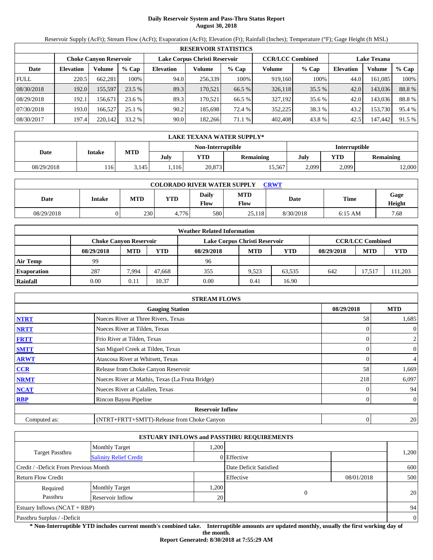# **Daily Reservoir System and Pass-Thru Status Report August 30, 2018**

Reservoir Supply (AcFt); Stream Flow (AcFt); Evaporation (AcFt); Elevation (Ft); Rainfall (Inches); Temperature (°F); Gage Height (ft MSL)

|             | <b>RESERVOIR STATISTICS</b> |                               |          |                               |         |         |                         |         |                    |         |        |  |  |
|-------------|-----------------------------|-------------------------------|----------|-------------------------------|---------|---------|-------------------------|---------|--------------------|---------|--------|--|--|
|             |                             | <b>Choke Canyon Reservoir</b> |          | Lake Corpus Christi Reservoir |         |         | <b>CCR/LCC Combined</b> |         | <b>Lake Texana</b> |         |        |  |  |
| Date        | <b>Elevation</b>            | Volume                        | $%$ Cap  | <b>Elevation</b>              | Volume  | $%$ Cap | Volume                  | $%$ Cap | <b>Elevation</b>   | Volume  | % Cap  |  |  |
| <b>FULL</b> | 220.5                       | 662.281                       | 100%     | 94.0                          | 256,339 | 100%    | 919,160                 | 100%    | 44.0               | 161.085 | 100%   |  |  |
| 08/30/2018  | 192.0                       | 155,597                       | $23.5\%$ | 89.3                          | 170.521 | 66.5 %  | 326,118                 | 35.5 %  | 42.0               | 143,036 | 88.8%  |  |  |
| 08/29/2018  | 192.1                       | 156.671                       | 23.6 %   | 89.3                          | 170.521 | 66.5 %  | 327.192                 | 35.6 %  | 42.0               | 143.036 | 88.8%  |  |  |
| 07/30/2018  | 193.0                       | 166,527                       | 25.1 %   | 90.2                          | 185.698 | 72.4 %  | 352,225                 | 38.3 %  | 43.2               | 153,730 | 95.4 % |  |  |
| 08/30/2017  | 197.4                       | 220,142                       | 33.2 %   | 90.0                          | 182,266 | 71.1%   | 402,408                 | 43.8%   | 42.5               | 147,442 | 91.5 % |  |  |

|            | LAKE TEXANA WATER SUPPLY* |            |      |                   |                  |               |       |           |  |  |
|------------|---------------------------|------------|------|-------------------|------------------|---------------|-------|-----------|--|--|
|            |                           | <b>MTD</b> |      | Non-Interruptible |                  | Interruptible |       |           |  |  |
| Date       | Intake                    |            | July | YTD               | <b>Remaining</b> | July          | YTD   | Remaining |  |  |
| 08/29/2018 | 116                       | 3,145      | .116 | 20,873            | 15,567           | 2,099         | 2,099 | 12,000    |  |  |

| <b>COLORADO RIVER WATER SUPPLY</b><br>CRWT |        |            |            |               |                           |           |             |                |  |  |
|--------------------------------------------|--------|------------|------------|---------------|---------------------------|-----------|-------------|----------------|--|--|
| Date                                       | Intake | <b>MTD</b> | <b>YTD</b> | Daily<br>Flow | <b>MTD</b><br><b>Flow</b> | Date      | <b>Time</b> | Gage<br>Height |  |  |
| 08/29/2018                                 |        | 230        | 4.776      | 580           | 25.118                    | 8/30/2018 | $6:15$ AM   | 7.68           |  |  |

|                    |                               |            |        | <b>Weather Related Information</b> |            |            |            |                         |        |
|--------------------|-------------------------------|------------|--------|------------------------------------|------------|------------|------------|-------------------------|--------|
|                    | <b>Choke Canvon Reservoir</b> |            |        | Lake Corpus Christi Reservoir      |            |            |            | <b>CCR/LCC Combined</b> |        |
|                    | 08/29/2018                    | <b>MTD</b> | YTD    | 08/29/2018                         | <b>MTD</b> | <b>YTD</b> | 08/29/2018 | <b>MTD</b>              | YTD    |
| <b>Air Temp</b>    | 99                            |            |        | 96                                 |            |            |            |                         |        |
| <b>Evaporation</b> | 287                           | 7.994      | 47.668 | 355                                | 9.523      | 63,535     | 642        | 17.517                  | 11,203 |
| Rainfall           | 0.00                          | 0.11       | 10.37  | 0.00                               | 0.41       | 16.90      |            |                         |        |

|              | <b>STREAM FLOWS</b>                             |            |                      |
|--------------|-------------------------------------------------|------------|----------------------|
|              | <b>Gauging Station</b>                          | 08/29/2018 | <b>MTD</b>           |
| <b>NTRT</b>  | Nueces River at Three Rivers, Texas             | 58         | 1,685                |
| <b>NRTT</b>  | Nueces River at Tilden, Texas                   |            | $\overline{0}$       |
| <b>FRTT</b>  | Frio River at Tilden, Texas                     |            | 2                    |
| <b>SMTT</b>  | San Miguel Creek at Tilden, Texas               |            | $\boldsymbol{0}$     |
| <b>ARWT</b>  | Atascosa River at Whitsett, Texas               |            | 4                    |
| CCR          | Release from Choke Canyon Reservoir             | 58         | 1,669                |
| <b>NRMT</b>  | Nueces River at Mathis, Texas (La Fruta Bridge) | 218        | 6,097                |
| <b>NCAT</b>  | Nueces River at Calallen, Texas                 |            | 94                   |
| <b>RBP</b>   | Rincon Bayou Pipeline                           |            | $\overline{0}$       |
|              | <b>Reservoir Inflow</b>                         |            |                      |
| Computed as: | (NTRT+FRTT+SMTT)-Release from Choke Canyon      |            | 20 <sub>1</sub><br>0 |

|                                       |                               |      | <b>ESTUARY INFLOWS and PASSTHRU REQUIREMENTS</b> |            |          |
|---------------------------------------|-------------------------------|------|--------------------------------------------------|------------|----------|
|                                       | <b>Monthly Target</b>         | .200 |                                                  |            |          |
| <b>Target Passthru</b>                | <b>Salinity Relief Credit</b> |      | 0 Effective                                      |            | 1,200    |
| Credit / -Deficit From Previous Month |                               |      | Date Deficit Satisfied                           |            | 600      |
| <b>Return Flow Credit</b>             |                               |      | Effective                                        | 08/01/2018 | 500      |
| Required                              | <b>Monthly Target</b>         | ,200 |                                                  |            |          |
| Passthru                              | Reservoir Inflow              | 20   | $\overline{0}$                                   |            | 20       |
| Estuary Inflows $(NCAT + RBP)$        |                               |      |                                                  |            | 94       |
| Passthru Surplus / -Deficit           |                               |      |                                                  |            | $\theta$ |